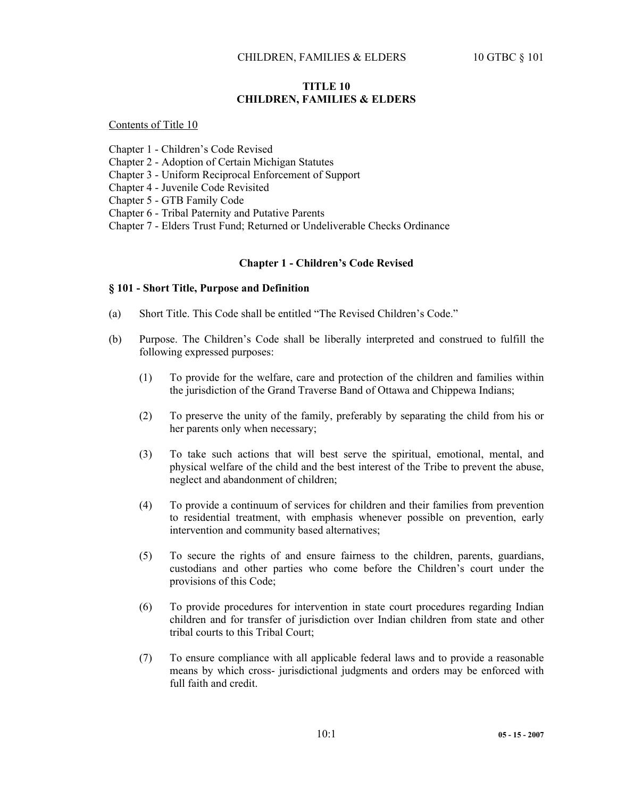## **TITLE 10 CHILDREN, FAMILIES & ELDERS**

Contents of Title 10

Chapter 1 - Children's Code Revised

Chapter 2 - Adoption of Certain Michigan Statutes

Chapter 3 - Uniform Reciprocal Enforcement of Support

Chapter 4 - Juvenile Code Revisited

Chapter 5 - GTB Family Code

Chapter 6 - Tribal Paternity and Putative Parents

Chapter 7 - Elders Trust Fund; Returned or Undeliverable Checks Ordinance

## **Chapter 1 - Children's Code Revised**

## **§ 101 - Short Title, Purpose and Definition**

- (a) Short Title. This Code shall be entitled "The Revised Children's Code."
- (b) Purpose. The Children's Code shall be liberally interpreted and construed to fulfill the following expressed purposes:
	- (1) To provide for the welfare, care and protection of the children and families within the jurisdiction of the Grand Traverse Band of Ottawa and Chippewa Indians;
	- (2) To preserve the unity of the family, preferably by separating the child from his or her parents only when necessary;
	- (3) To take such actions that will best serve the spiritual, emotional, mental, and physical welfare of the child and the best interest of the Tribe to prevent the abuse, neglect and abandonment of children;
	- (4) To provide a continuum of services for children and their families from prevention to residential treatment, with emphasis whenever possible on prevention, early intervention and community based alternatives;
	- (5) To secure the rights of and ensure fairness to the children, parents, guardians, custodians and other parties who come before the Children's court under the provisions of this Code;
	- (6) To provide procedures for intervention in state court procedures regarding Indian children and for transfer of jurisdiction over Indian children from state and other tribal courts to this Tribal Court;
	- (7) To ensure compliance with all applicable federal laws and to provide a reasonable means by which cross- jurisdictional judgments and orders may be enforced with full faith and credit.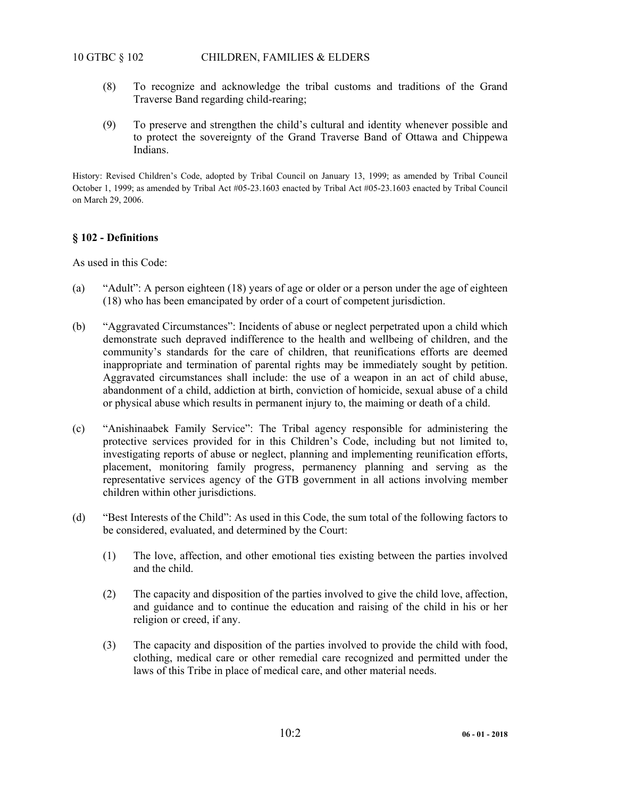# 10 GTBC § 102 CHILDREN, FAMILIES & ELDERS

- (8) To recognize and acknowledge the tribal customs and traditions of the Grand Traverse Band regarding child-rearing;
- (9) To preserve and strengthen the child's cultural and identity whenever possible and to protect the sovereignty of the Grand Traverse Band of Ottawa and Chippewa Indians.

History: Revised Children's Code, adopted by Tribal Council on January 13, 1999; as amended by Tribal Council October 1, 1999; as amended by Tribal Act #05-23.1603 enacted by Tribal Act #05-23.1603 enacted by Tribal Council on March 29, 2006.

## **§ 102 - Definitions**

As used in this Code:

- (a) "Adult": A person eighteen (18) years of age or older or a person under the age of eighteen (18) who has been emancipated by order of a court of competent jurisdiction.
- (b) "Aggravated Circumstances": Incidents of abuse or neglect perpetrated upon a child which demonstrate such depraved indifference to the health and wellbeing of children, and the community's standards for the care of children, that reunifications efforts are deemed inappropriate and termination of parental rights may be immediately sought by petition. Aggravated circumstances shall include: the use of a weapon in an act of child abuse, abandonment of a child, addiction at birth, conviction of homicide, sexual abuse of a child or physical abuse which results in permanent injury to, the maiming or death of a child.
- (c) "Anishinaabek Family Service": The Tribal agency responsible for administering the protective services provided for in this Children's Code, including but not limited to, investigating reports of abuse or neglect, planning and implementing reunification efforts, placement, monitoring family progress, permanency planning and serving as the representative services agency of the GTB government in all actions involving member children within other jurisdictions.
- (d) "Best Interests of the Child": As used in this Code, the sum total of the following factors to be considered, evaluated, and determined by the Court:
	- (1) The love, affection, and other emotional ties existing between the parties involved and the child.
	- (2) The capacity and disposition of the parties involved to give the child love, affection, and guidance and to continue the education and raising of the child in his or her religion or creed, if any.
	- (3) The capacity and disposition of the parties involved to provide the child with food, clothing, medical care or other remedial care recognized and permitted under the laws of this Tribe in place of medical care, and other material needs.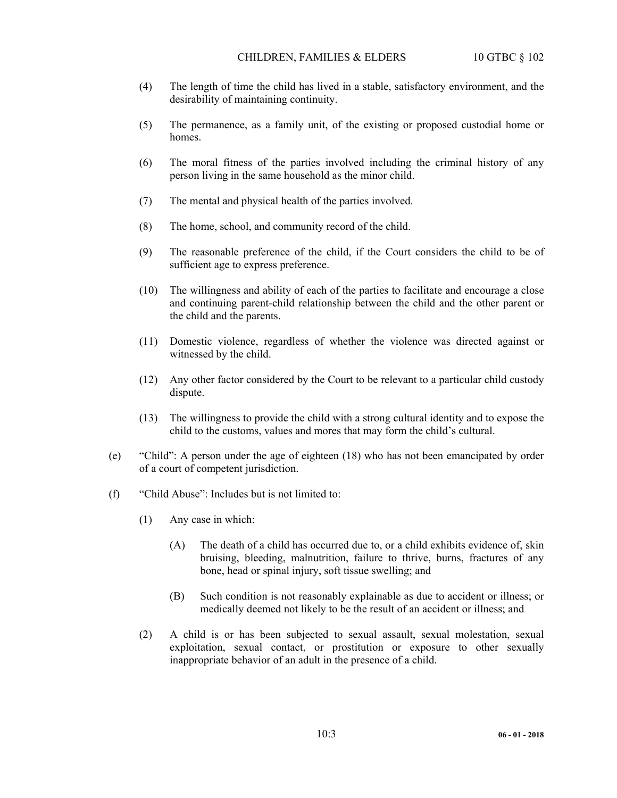- (4) The length of time the child has lived in a stable, satisfactory environment, and the desirability of maintaining continuity.
- (5) The permanence, as a family unit, of the existing or proposed custodial home or homes.
- (6) The moral fitness of the parties involved including the criminal history of any person living in the same household as the minor child.
- (7) The mental and physical health of the parties involved.
- (8) The home, school, and community record of the child.
- (9) The reasonable preference of the child, if the Court considers the child to be of sufficient age to express preference.
- (10) The willingness and ability of each of the parties to facilitate and encourage a close and continuing parent-child relationship between the child and the other parent or the child and the parents.
- (11) Domestic violence, regardless of whether the violence was directed against or witnessed by the child.
- (12) Any other factor considered by the Court to be relevant to a particular child custody dispute.
- (13) The willingness to provide the child with a strong cultural identity and to expose the child to the customs, values and mores that may form the child's cultural.
- (e) "Child": A person under the age of eighteen (18) who has not been emancipated by order of a court of competent jurisdiction.
- (f) "Child Abuse": Includes but is not limited to:
	- (1) Any case in which:
		- (A) The death of a child has occurred due to, or a child exhibits evidence of, skin bruising, bleeding, malnutrition, failure to thrive, burns, fractures of any bone, head or spinal injury, soft tissue swelling; and
		- (B) Such condition is not reasonably explainable as due to accident or illness; or medically deemed not likely to be the result of an accident or illness; and
	- (2) A child is or has been subjected to sexual assault, sexual molestation, sexual exploitation, sexual contact, or prostitution or exposure to other sexually inappropriate behavior of an adult in the presence of a child.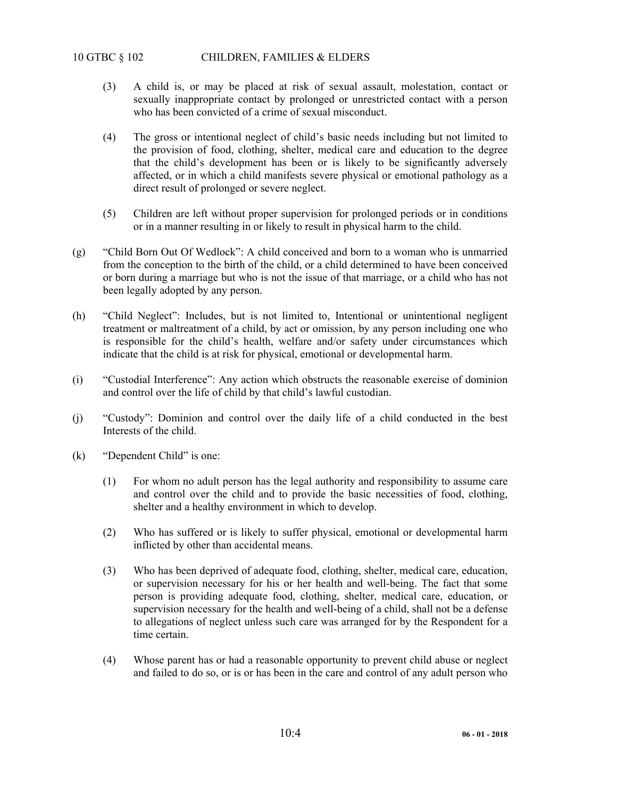# 10 GTBC § 102 CHILDREN, FAMILIES & ELDERS

- (3) A child is, or may be placed at risk of sexual assault, molestation, contact or sexually inappropriate contact by prolonged or unrestricted contact with a person who has been convicted of a crime of sexual misconduct.
- (4) The gross or intentional neglect of child's basic needs including but not limited to the provision of food, clothing, shelter, medical care and education to the degree that the child's development has been or is likely to be significantly adversely affected, or in which a child manifests severe physical or emotional pathology as a direct result of prolonged or severe neglect.
- (5) Children are left without proper supervision for prolonged periods or in conditions or in a manner resulting in or likely to result in physical harm to the child.
- (g) "Child Born Out Of Wedlock": A child conceived and born to a woman who is unmarried from the conception to the birth of the child, or a child determined to have been conceived or born during a marriage but who is not the issue of that marriage, or a child who has not been legally adopted by any person.
- (h) "Child Neglect": Includes, but is not limited to, Intentional or unintentional negligent treatment or maltreatment of a child, by act or omission, by any person including one who is responsible for the child's health, welfare and/or safety under circumstances which indicate that the child is at risk for physical, emotional or developmental harm.
- (i) "Custodial Interference": Any action which obstructs the reasonable exercise of dominion and control over the life of child by that child's lawful custodian.
- (j) "Custody": Dominion and control over the daily life of a child conducted in the best Interests of the child.
- (k) "Dependent Child" is one:
	- (1) For whom no adult person has the legal authority and responsibility to assume care and control over the child and to provide the basic necessities of food, clothing, shelter and a healthy environment in which to develop.
	- (2) Who has suffered or is likely to suffer physical, emotional or developmental harm inflicted by other than accidental means.
	- (3) Who has been deprived of adequate food, clothing, shelter, medical care, education, or supervision necessary for his or her health and well-being. The fact that some person is providing adequate food, clothing, shelter, medical care, education, or supervision necessary for the health and well-being of a child, shall not be a defense to allegations of neglect unless such care was arranged for by the Respondent for a time certain.
	- (4) Whose parent has or had a reasonable opportunity to prevent child abuse or neglect and failed to do so, or is or has been in the care and control of any adult person who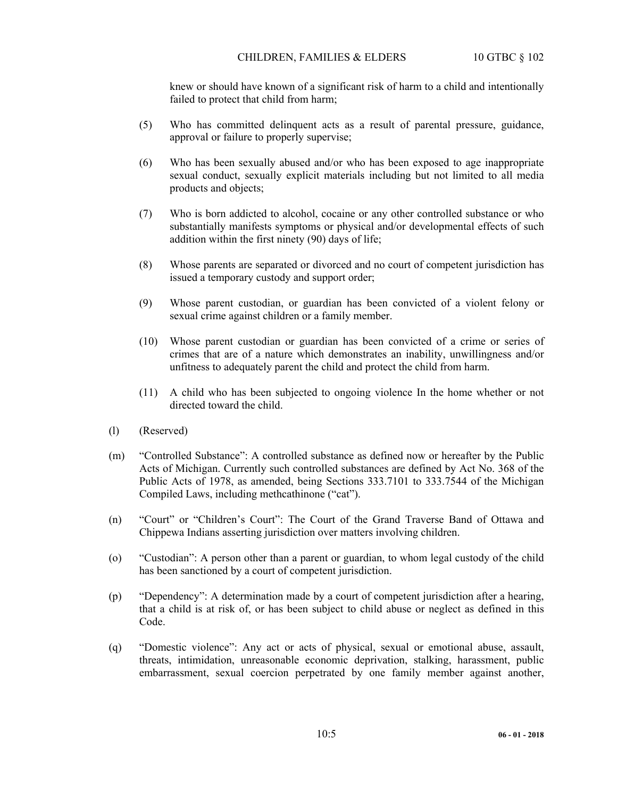knew or should have known of a significant risk of harm to a child and intentionally failed to protect that child from harm;

- (5) Who has committed delinquent acts as a result of parental pressure, guidance, approval or failure to properly supervise;
- (6) Who has been sexually abused and/or who has been exposed to age inappropriate sexual conduct, sexually explicit materials including but not limited to all media products and objects;
- (7) Who is born addicted to alcohol, cocaine or any other controlled substance or who substantially manifests symptoms or physical and/or developmental effects of such addition within the first ninety (90) days of life;
- (8) Whose parents are separated or divorced and no court of competent jurisdiction has issued a temporary custody and support order;
- (9) Whose parent custodian, or guardian has been convicted of a violent felony or sexual crime against children or a family member.
- (10) Whose parent custodian or guardian has been convicted of a crime or series of crimes that are of a nature which demonstrates an inability, unwillingness and/or unfitness to adequately parent the child and protect the child from harm.
- (11) A child who has been subjected to ongoing violence In the home whether or not directed toward the child.
- (l) (Reserved)
- (m) "Controlled Substance": A controlled substance as defined now or hereafter by the Public Acts of Michigan. Currently such controlled substances are defined by Act No. 368 of the Public Acts of 1978, as amended, being Sections 333.7101 to 333.7544 of the Michigan Compiled Laws, including methcathinone ("cat").
- (n) "Court" or "Children's Court": The Court of the Grand Traverse Band of Ottawa and Chippewa Indians asserting jurisdiction over matters involving children.
- (o) "Custodian": A person other than a parent or guardian, to whom legal custody of the child has been sanctioned by a court of competent jurisdiction.
- (p) "Dependency": A determination made by a court of competent jurisdiction after a hearing, that a child is at risk of, or has been subject to child abuse or neglect as defined in this Code.
- (q) "Domestic violence": Any act or acts of physical, sexual or emotional abuse, assault, threats, intimidation, unreasonable economic deprivation, stalking, harassment, public embarrassment, sexual coercion perpetrated by one family member against another,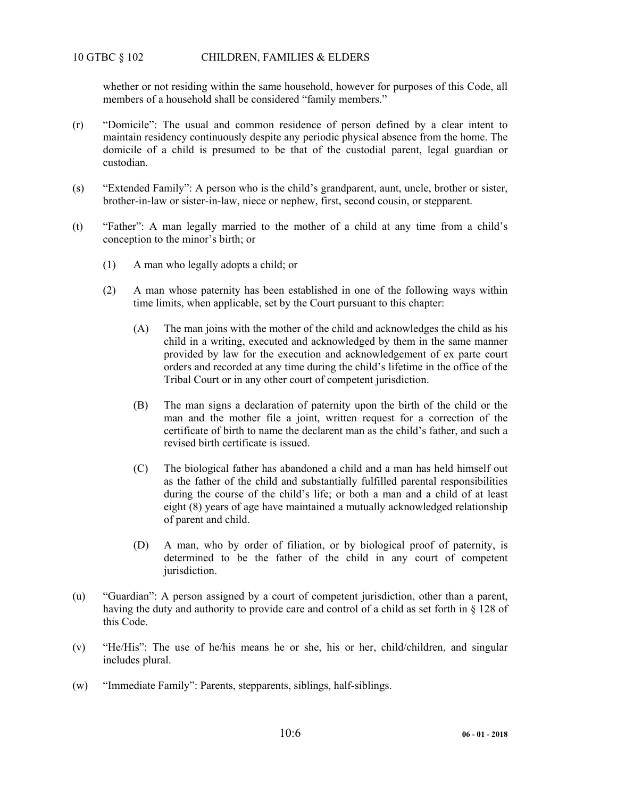## 10 GTBC § 102 CHILDREN, FAMILIES & ELDERS

whether or not residing within the same household, however for purposes of this Code, all members of a household shall be considered "family members."

- (r) "Domicile": The usual and common residence of person defined by a clear intent to maintain residency continuously despite any periodic physical absence from the home. The domicile of a child is presumed to be that of the custodial parent, legal guardian or custodian.
- (s) "Extended Family": A person who is the child's grandparent, aunt, uncle, brother or sister, brother-in-law or sister-in-law, niece or nephew, first, second cousin, or stepparent.
- (t) "Father": A man legally married to the mother of a child at any time from a child's conception to the minor's birth; or
	- (1) A man who legally adopts a child; or
	- (2) A man whose paternity has been established in one of the following ways within time limits, when applicable, set by the Court pursuant to this chapter:
		- (A) The man joins with the mother of the child and acknowledges the child as his child in a writing, executed and acknowledged by them in the same manner provided by law for the execution and acknowledgement of ex parte court orders and recorded at any time during the child's lifetime in the office of the Tribal Court or in any other court of competent jurisdiction.
		- (B) The man signs a declaration of paternity upon the birth of the child or the man and the mother file a joint, written request for a correction of the certificate of birth to name the declarent man as the child's father, and such a revised birth certificate is issued.
		- (C) The biological father has abandoned a child and a man has held himself out as the father of the child and substantially fulfilled parental responsibilities during the course of the child's life; or both a man and a child of at least eight (8) years of age have maintained a mutually acknowledged relationship of parent and child.
		- (D) A man, who by order of filiation, or by biological proof of paternity, is determined to be the father of the child in any court of competent jurisdiction.
- (u) "Guardian": A person assigned by a court of competent jurisdiction, other than a parent, having the duty and authority to provide care and control of a child as set forth in § 128 of this Code.
- (v) "He/His": The use of he/his means he or she, his or her, child/children, and singular includes plural.
- (w) "Immediate Family": Parents, stepparents, siblings, half-siblings.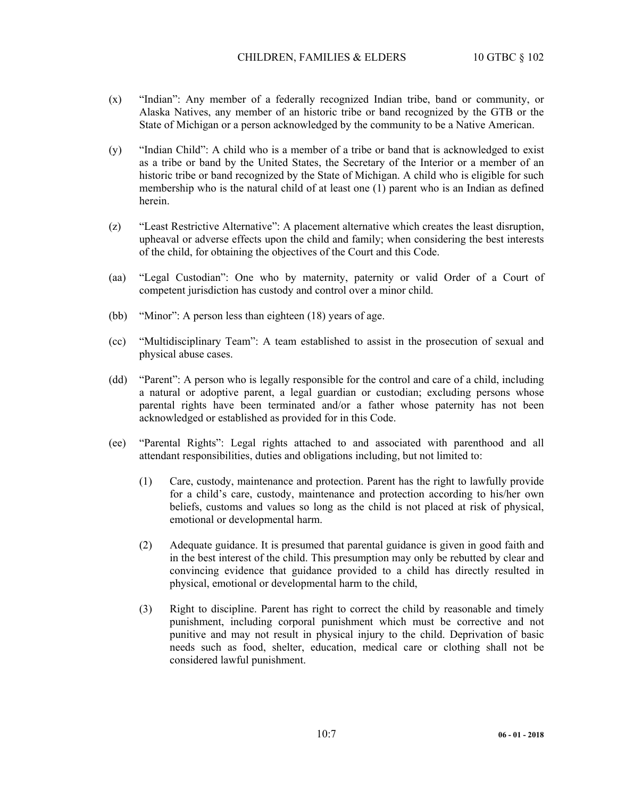- (x) "Indian": Any member of a federally recognized Indian tribe, band or community, or Alaska Natives, any member of an historic tribe or band recognized by the GTB or the State of Michigan or a person acknowledged by the community to be a Native American.
- (y) "Indian Child": A child who is a member of a tribe or band that is acknowledged to exist as a tribe or band by the United States, the Secretary of the Interior or a member of an historic tribe or band recognized by the State of Michigan. A child who is eligible for such membership who is the natural child of at least one (1) parent who is an Indian as defined herein.
- (z) "Least Restrictive Alternative": A placement alternative which creates the least disruption, upheaval or adverse effects upon the child and family; when considering the best interests of the child, for obtaining the objectives of the Court and this Code.
- (aa) "Legal Custodian": One who by maternity, paternity or valid Order of a Court of competent jurisdiction has custody and control over a minor child.
- (bb) "Minor": A person less than eighteen (18) years of age.
- (cc) "Multidisciplinary Team": A team established to assist in the prosecution of sexual and physical abuse cases.
- (dd) "Parent": A person who is legally responsible for the control and care of a child, including a natural or adoptive parent, a legal guardian or custodian; excluding persons whose parental rights have been terminated and/or a father whose paternity has not been acknowledged or established as provided for in this Code.
- (ee) "Parental Rights": Legal rights attached to and associated with parenthood and all attendant responsibilities, duties and obligations including, but not limited to:
	- (1) Care, custody, maintenance and protection. Parent has the right to lawfully provide for a child's care, custody, maintenance and protection according to his/her own beliefs, customs and values so long as the child is not placed at risk of physical, emotional or developmental harm.
	- (2) Adequate guidance. It is presumed that parental guidance is given in good faith and in the best interest of the child. This presumption may only be rebutted by clear and convincing evidence that guidance provided to a child has directly resulted in physical, emotional or developmental harm to the child,
	- (3) Right to discipline. Parent has right to correct the child by reasonable and timely punishment, including corporal punishment which must be corrective and not punitive and may not result in physical injury to the child. Deprivation of basic needs such as food, shelter, education, medical care or clothing shall not be considered lawful punishment.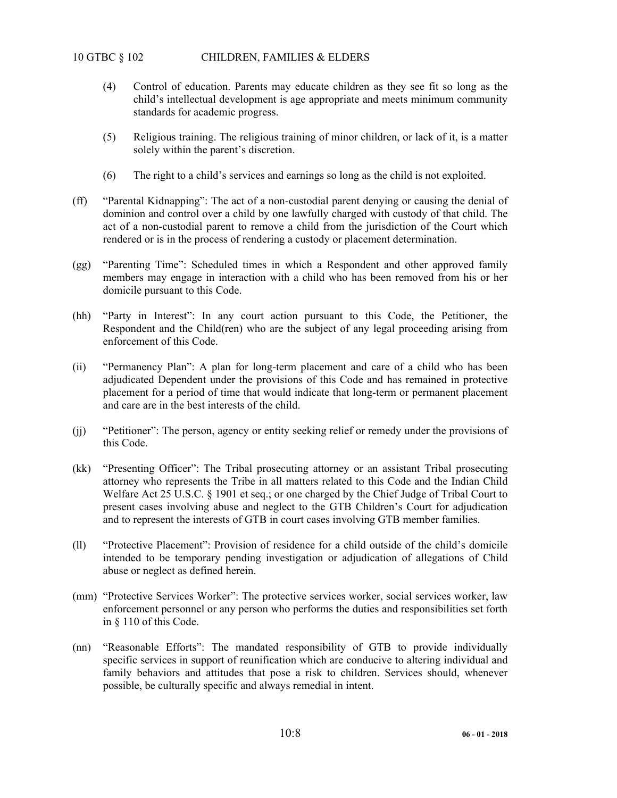- (4) Control of education. Parents may educate children as they see fit so long as the child's intellectual development is age appropriate and meets minimum community standards for academic progress.
- (5) Religious training. The religious training of minor children, or lack of it, is a matter solely within the parent's discretion.
- (6) The right to a child's services and earnings so long as the child is not exploited.
- (ff) "Parental Kidnapping": The act of a non-custodial parent denying or causing the denial of dominion and control over a child by one lawfully charged with custody of that child. The act of a non-custodial parent to remove a child from the jurisdiction of the Court which rendered or is in the process of rendering a custody or placement determination.
- (gg) "Parenting Time": Scheduled times in which a Respondent and other approved family members may engage in interaction with a child who has been removed from his or her domicile pursuant to this Code.
- (hh) "Party in Interest": In any court action pursuant to this Code, the Petitioner, the Respondent and the Child(ren) who are the subject of any legal proceeding arising from enforcement of this Code.
- (ii) "Permanency Plan": A plan for long-term placement and care of a child who has been adjudicated Dependent under the provisions of this Code and has remained in protective placement for a period of time that would indicate that long-term or permanent placement and care are in the best interests of the child.
- (jj) "Petitioner": The person, agency or entity seeking relief or remedy under the provisions of this Code.
- (kk) "Presenting Officer": The Tribal prosecuting attorney or an assistant Tribal prosecuting attorney who represents the Tribe in all matters related to this Code and the Indian Child Welfare Act 25 U.S.C. § 1901 et seq.; or one charged by the Chief Judge of Tribal Court to present cases involving abuse and neglect to the GTB Children's Court for adjudication and to represent the interests of GTB in court cases involving GTB member families.
- (ll) "Protective Placement": Provision of residence for a child outside of the child's domicile intended to be temporary pending investigation or adjudication of allegations of Child abuse or neglect as defined herein.
- (mm) "Protective Services Worker": The protective services worker, social services worker, law enforcement personnel or any person who performs the duties and responsibilities set forth in § 110 of this Code.
- (nn) "Reasonable Efforts": The mandated responsibility of GTB to provide individually specific services in support of reunification which are conducive to altering individual and family behaviors and attitudes that pose a risk to children. Services should, whenever possible, be culturally specific and always remedial in intent.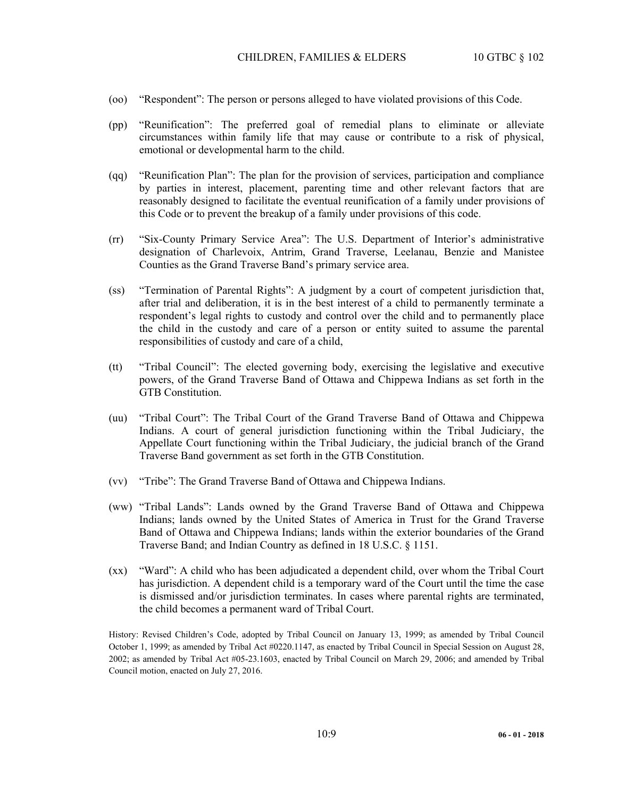- (oo) "Respondent": The person or persons alleged to have violated provisions of this Code.
- (pp) "Reunification": The preferred goal of remedial plans to eliminate or alleviate circumstances within family life that may cause or contribute to a risk of physical, emotional or developmental harm to the child.
- (qq) "Reunification Plan": The plan for the provision of services, participation and compliance by parties in interest, placement, parenting time and other relevant factors that are reasonably designed to facilitate the eventual reunification of a family under provisions of this Code or to prevent the breakup of a family under provisions of this code.
- (rr) "Six-County Primary Service Area": The U.S. Department of Interior's administrative designation of Charlevoix, Antrim, Grand Traverse, Leelanau, Benzie and Manistee Counties as the Grand Traverse Band's primary service area.
- (ss) "Termination of Parental Rights": A judgment by a court of competent jurisdiction that, after trial and deliberation, it is in the best interest of a child to permanently terminate a respondent's legal rights to custody and control over the child and to permanently place the child in the custody and care of a person or entity suited to assume the parental responsibilities of custody and care of a child,
- (tt) "Tribal Council": The elected governing body, exercising the legislative and executive powers, of the Grand Traverse Band of Ottawa and Chippewa Indians as set forth in the GTB Constitution.
- (uu) "Tribal Court": The Tribal Court of the Grand Traverse Band of Ottawa and Chippewa Indians. A court of general jurisdiction functioning within the Tribal Judiciary, the Appellate Court functioning within the Tribal Judiciary, the judicial branch of the Grand Traverse Band government as set forth in the GTB Constitution.
- (vv) "Tribe": The Grand Traverse Band of Ottawa and Chippewa Indians.
- (ww) "Tribal Lands": Lands owned by the Grand Traverse Band of Ottawa and Chippewa Indians; lands owned by the United States of America in Trust for the Grand Traverse Band of Ottawa and Chippewa Indians; lands within the exterior boundaries of the Grand Traverse Band; and Indian Country as defined in 18 U.S.C. § 1151.
- (xx) "Ward": A child who has been adjudicated a dependent child, over whom the Tribal Court has jurisdiction. A dependent child is a temporary ward of the Court until the time the case is dismissed and/or jurisdiction terminates. In cases where parental rights are terminated, the child becomes a permanent ward of Tribal Court.

History: Revised Children's Code, adopted by Tribal Council on January 13, 1999; as amended by Tribal Council October 1, 1999; as amended by Tribal Act #0220.1147, as enacted by Tribal Council in Special Session on August 28, 2002; as amended by Tribal Act #05-23.1603, enacted by Tribal Council on March 29, 2006; and amended by Tribal Council motion, enacted on July 27, 2016.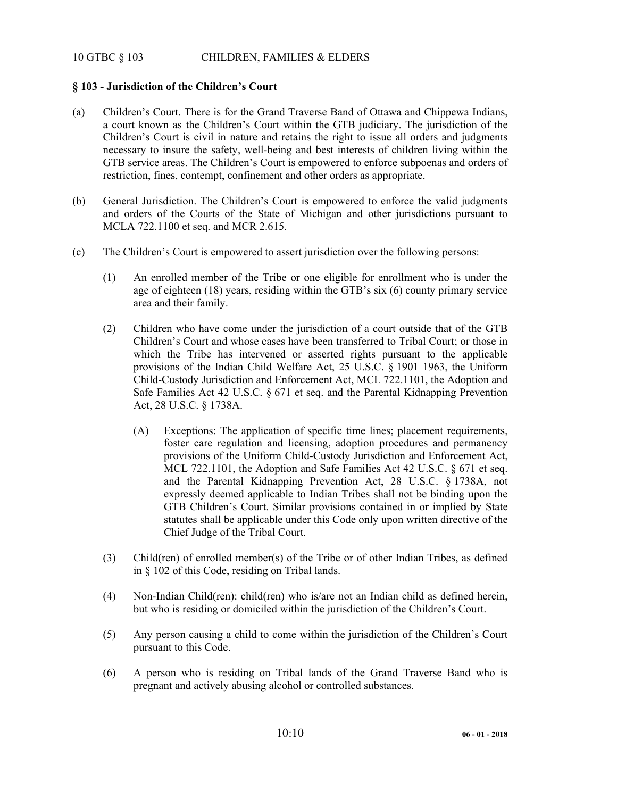## 10 GTBC § 103 CHILDREN, FAMILIES & ELDERS

## **§ 103 - Jurisdiction of the Children's Court**

- (a) Children's Court. There is for the Grand Traverse Band of Ottawa and Chippewa Indians, a court known as the Children's Court within the GTB judiciary. The jurisdiction of the Children's Court is civil in nature and retains the right to issue all orders and judgments necessary to insure the safety, well-being and best interests of children living within the GTB service areas. The Children's Court is empowered to enforce subpoenas and orders of restriction, fines, contempt, confinement and other orders as appropriate.
- (b) General Jurisdiction. The Children's Court is empowered to enforce the valid judgments and orders of the Courts of the State of Michigan and other jurisdictions pursuant to MCLA 722.1100 et seq. and MCR 2.615.
- (c) The Children's Court is empowered to assert jurisdiction over the following persons:
	- (1) An enrolled member of the Tribe or one eligible for enrollment who is under the age of eighteen (18) years, residing within the GTB's six (6) county primary service area and their family.
	- (2) Children who have come under the jurisdiction of a court outside that of the GTB Children's Court and whose cases have been transferred to Tribal Court; or those in which the Tribe has intervened or asserted rights pursuant to the applicable provisions of the Indian Child Welfare Act, 25 U.S.C. § 1901 1963, the Uniform Child-Custody Jurisdiction and Enforcement Act, MCL 722.1101, the Adoption and Safe Families Act 42 U.S.C. § 671 et seq. and the Parental Kidnapping Prevention Act, 28 U.S.C. § 1738A.
		- (A) Exceptions: The application of specific time lines; placement requirements, foster care regulation and licensing, adoption procedures and permanency provisions of the Uniform Child-Custody Jurisdiction and Enforcement Act, MCL 722.1101, the Adoption and Safe Families Act 42 U.S.C. § 671 et seq. and the Parental Kidnapping Prevention Act, 28 U.S.C. § 1738A, not expressly deemed applicable to Indian Tribes shall not be binding upon the GTB Children's Court. Similar provisions contained in or implied by State statutes shall be applicable under this Code only upon written directive of the Chief Judge of the Tribal Court.
	- (3) Child(ren) of enrolled member(s) of the Tribe or of other Indian Tribes, as defined in § 102 of this Code, residing on Tribal lands.
	- (4) Non-Indian Child(ren): child(ren) who is/are not an Indian child as defined herein, but who is residing or domiciled within the jurisdiction of the Children's Court.
	- (5) Any person causing a child to come within the jurisdiction of the Children's Court pursuant to this Code.
	- (6) A person who is residing on Tribal lands of the Grand Traverse Band who is pregnant and actively abusing alcohol or controlled substances.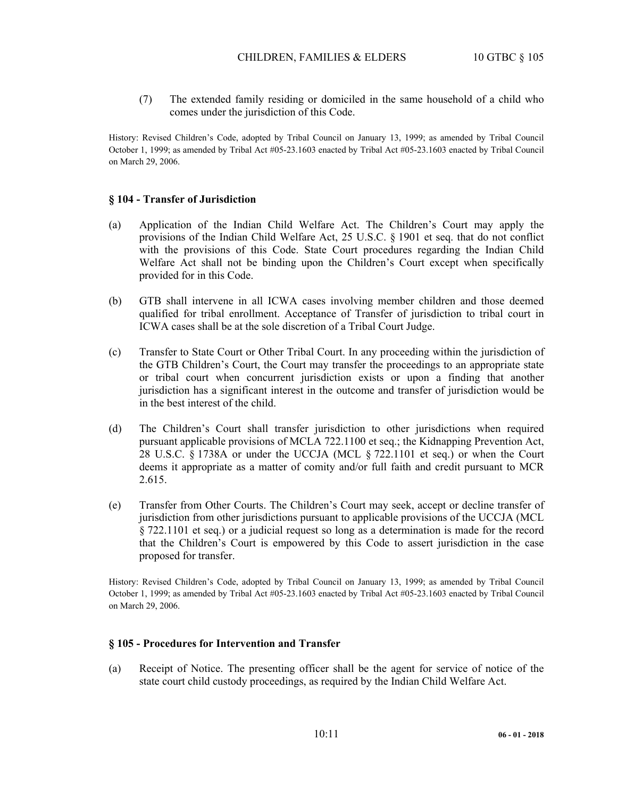(7) The extended family residing or domiciled in the same household of a child who comes under the jurisdiction of this Code.

History: Revised Children's Code, adopted by Tribal Council on January 13, 1999; as amended by Tribal Council October 1, 1999; as amended by Tribal Act #05-23.1603 enacted by Tribal Act #05-23.1603 enacted by Tribal Council on March 29, 2006.

#### **§ 104 - Transfer of Jurisdiction**

- (a) Application of the Indian Child Welfare Act. The Children's Court may apply the provisions of the Indian Child Welfare Act, 25 U.S.C. § 1901 et seq. that do not conflict with the provisions of this Code. State Court procedures regarding the Indian Child Welfare Act shall not be binding upon the Children's Court except when specifically provided for in this Code.
- (b) GTB shall intervene in all ICWA cases involving member children and those deemed qualified for tribal enrollment. Acceptance of Transfer of jurisdiction to tribal court in ICWA cases shall be at the sole discretion of a Tribal Court Judge.
- (c) Transfer to State Court or Other Tribal Court. In any proceeding within the jurisdiction of the GTB Children's Court, the Court may transfer the proceedings to an appropriate state or tribal court when concurrent jurisdiction exists or upon a finding that another jurisdiction has a significant interest in the outcome and transfer of jurisdiction would be in the best interest of the child.
- (d) The Children's Court shall transfer jurisdiction to other jurisdictions when required pursuant applicable provisions of MCLA 722.1100 et seq.; the Kidnapping Prevention Act, 28 U.S.C. § 1738A or under the UCCJA (MCL § 722.1101 et seq.) or when the Court deems it appropriate as a matter of comity and/or full faith and credit pursuant to MCR 2.615.
- (e) Transfer from Other Courts. The Children's Court may seek, accept or decline transfer of jurisdiction from other jurisdictions pursuant to applicable provisions of the UCCJA (MCL § 722.1101 et seq.) or a judicial request so long as a determination is made for the record that the Children's Court is empowered by this Code to assert jurisdiction in the case proposed for transfer.

History: Revised Children's Code, adopted by Tribal Council on January 13, 1999; as amended by Tribal Council October 1, 1999; as amended by Tribal Act #05-23.1603 enacted by Tribal Act #05-23.1603 enacted by Tribal Council on March 29, 2006.

#### **§ 105 - Procedures for Intervention and Transfer**

(a) Receipt of Notice. The presenting officer shall be the agent for service of notice of the state court child custody proceedings, as required by the Indian Child Welfare Act.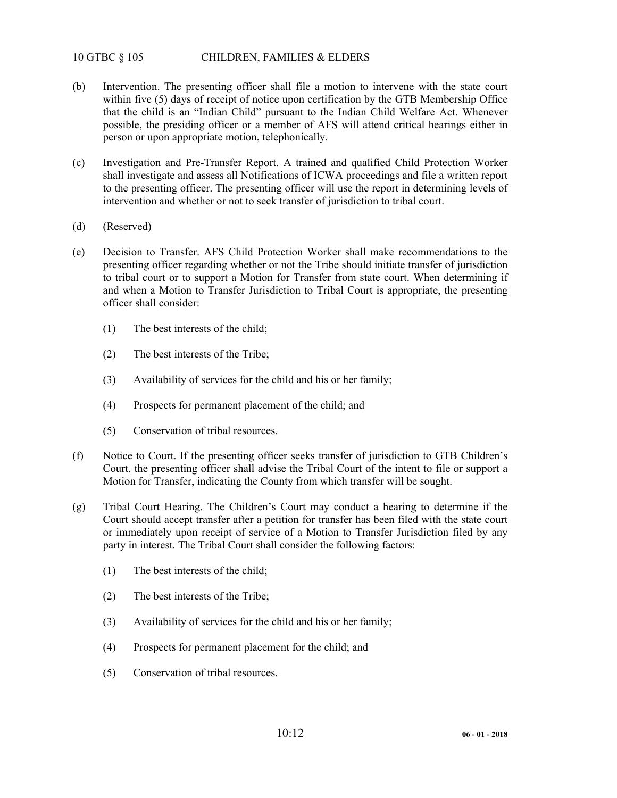## 10 GTBC § 105 CHILDREN, FAMILIES & ELDERS

- (b) Intervention. The presenting officer shall file a motion to intervene with the state court within five (5) days of receipt of notice upon certification by the GTB Membership Office that the child is an "Indian Child" pursuant to the Indian Child Welfare Act. Whenever possible, the presiding officer or a member of AFS will attend critical hearings either in person or upon appropriate motion, telephonically.
- (c) Investigation and Pre-Transfer Report. A trained and qualified Child Protection Worker shall investigate and assess all Notifications of ICWA proceedings and file a written report to the presenting officer. The presenting officer will use the report in determining levels of intervention and whether or not to seek transfer of jurisdiction to tribal court.
- (d) (Reserved)
- (e) Decision to Transfer. AFS Child Protection Worker shall make recommendations to the presenting officer regarding whether or not the Tribe should initiate transfer of jurisdiction to tribal court or to support a Motion for Transfer from state court. When determining if and when a Motion to Transfer Jurisdiction to Tribal Court is appropriate, the presenting officer shall consider:
	- (1) The best interests of the child;
	- (2) The best interests of the Tribe;
	- (3) Availability of services for the child and his or her family;
	- (4) Prospects for permanent placement of the child; and
	- (5) Conservation of tribal resources.
- (f) Notice to Court. If the presenting officer seeks transfer of jurisdiction to GTB Children's Court, the presenting officer shall advise the Tribal Court of the intent to file or support a Motion for Transfer, indicating the County from which transfer will be sought.
- (g) Tribal Court Hearing. The Children's Court may conduct a hearing to determine if the Court should accept transfer after a petition for transfer has been filed with the state court or immediately upon receipt of service of a Motion to Transfer Jurisdiction filed by any party in interest. The Tribal Court shall consider the following factors:
	- (1) The best interests of the child;
	- (2) The best interests of the Tribe;
	- (3) Availability of services for the child and his or her family;
	- (4) Prospects for permanent placement for the child; and
	- (5) Conservation of tribal resources.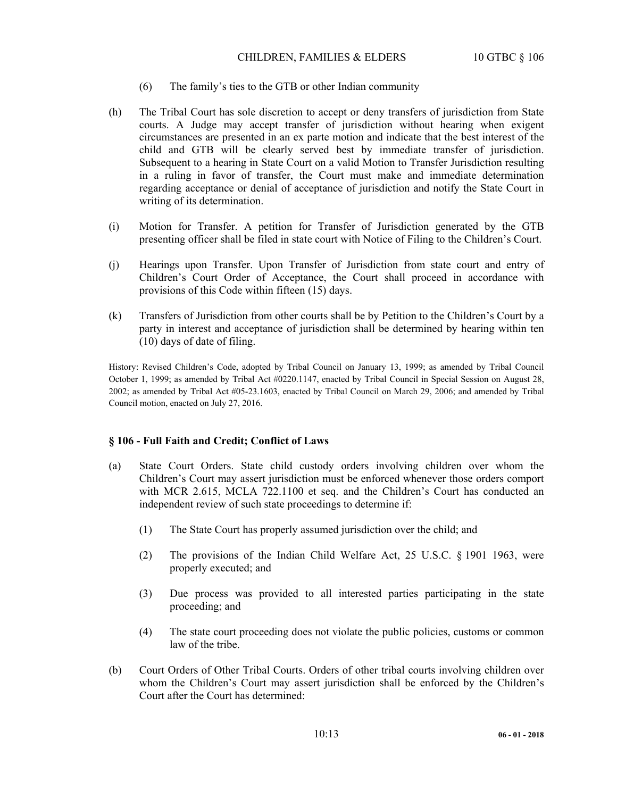### CHILDREN, FAMILIES & ELDERS 10 GTBC § 106

- (6) The family's ties to the GTB or other Indian community
- (h) The Tribal Court has sole discretion to accept or deny transfers of jurisdiction from State courts. A Judge may accept transfer of jurisdiction without hearing when exigent circumstances are presented in an ex parte motion and indicate that the best interest of the child and GTB will be clearly served best by immediate transfer of jurisdiction. Subsequent to a hearing in State Court on a valid Motion to Transfer Jurisdiction resulting in a ruling in favor of transfer, the Court must make and immediate determination regarding acceptance or denial of acceptance of jurisdiction and notify the State Court in writing of its determination.
- (i) Motion for Transfer. A petition for Transfer of Jurisdiction generated by the GTB presenting officer shall be filed in state court with Notice of Filing to the Children's Court.
- (j) Hearings upon Transfer. Upon Transfer of Jurisdiction from state court and entry of Children's Court Order of Acceptance, the Court shall proceed in accordance with provisions of this Code within fifteen (15) days.
- (k) Transfers of Jurisdiction from other courts shall be by Petition to the Children's Court by a party in interest and acceptance of jurisdiction shall be determined by hearing within ten (10) days of date of filing.

History: Revised Children's Code, adopted by Tribal Council on January 13, 1999; as amended by Tribal Council October 1, 1999; as amended by Tribal Act #0220.1147, enacted by Tribal Council in Special Session on August 28, 2002; as amended by Tribal Act #05-23.1603, enacted by Tribal Council on March 29, 2006; and amended by Tribal Council motion, enacted on July 27, 2016.

#### **§ 106 - Full Faith and Credit; Conflict of Laws**

- (a) State Court Orders. State child custody orders involving children over whom the Children's Court may assert jurisdiction must be enforced whenever those orders comport with MCR 2.615, MCLA 722.1100 et seq. and the Children's Court has conducted an independent review of such state proceedings to determine if:
	- (1) The State Court has properly assumed jurisdiction over the child; and
	- (2) The provisions of the Indian Child Welfare Act, 25 U.S.C. § 1901 1963, were properly executed; and
	- (3) Due process was provided to all interested parties participating in the state proceeding; and
	- (4) The state court proceeding does not violate the public policies, customs or common law of the tribe.
- (b) Court Orders of Other Tribal Courts. Orders of other tribal courts involving children over whom the Children's Court may assert jurisdiction shall be enforced by the Children's Court after the Court has determined: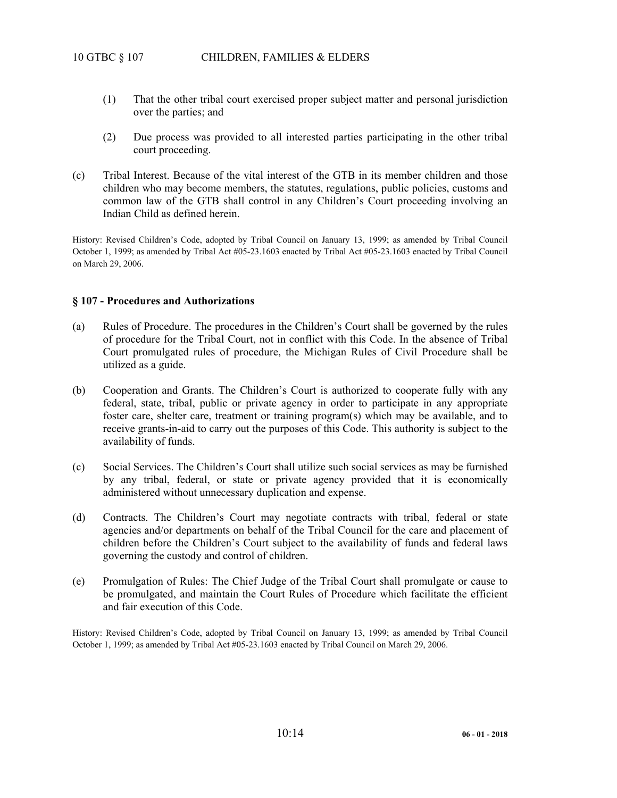- (1) That the other tribal court exercised proper subject matter and personal jurisdiction over the parties; and
- (2) Due process was provided to all interested parties participating in the other tribal court proceeding.
- (c) Tribal Interest. Because of the vital interest of the GTB in its member children and those children who may become members, the statutes, regulations, public policies, customs and common law of the GTB shall control in any Children's Court proceeding involving an Indian Child as defined herein.

History: Revised Children's Code, adopted by Tribal Council on January 13, 1999; as amended by Tribal Council October 1, 1999; as amended by Tribal Act #05-23.1603 enacted by Tribal Act #05-23.1603 enacted by Tribal Council on March 29, 2006.

#### **§ 107 - Procedures and Authorizations**

- (a) Rules of Procedure. The procedures in the Children's Court shall be governed by the rules of procedure for the Tribal Court, not in conflict with this Code. In the absence of Tribal Court promulgated rules of procedure, the Michigan Rules of Civil Procedure shall be utilized as a guide.
- (b) Cooperation and Grants. The Children's Court is authorized to cooperate fully with any federal, state, tribal, public or private agency in order to participate in any appropriate foster care, shelter care, treatment or training program(s) which may be available, and to receive grants-in-aid to carry out the purposes of this Code. This authority is subject to the availability of funds.
- (c) Social Services. The Children's Court shall utilize such social services as may be furnished by any tribal, federal, or state or private agency provided that it is economically administered without unnecessary duplication and expense.
- (d) Contracts. The Children's Court may negotiate contracts with tribal, federal or state agencies and/or departments on behalf of the Tribal Council for the care and placement of children before the Children's Court subject to the availability of funds and federal laws governing the custody and control of children.
- (e) Promulgation of Rules: The Chief Judge of the Tribal Court shall promulgate or cause to be promulgated, and maintain the Court Rules of Procedure which facilitate the efficient and fair execution of this Code.

History: Revised Children's Code, adopted by Tribal Council on January 13, 1999; as amended by Tribal Council October 1, 1999; as amended by Tribal Act #05-23.1603 enacted by Tribal Council on March 29, 2006.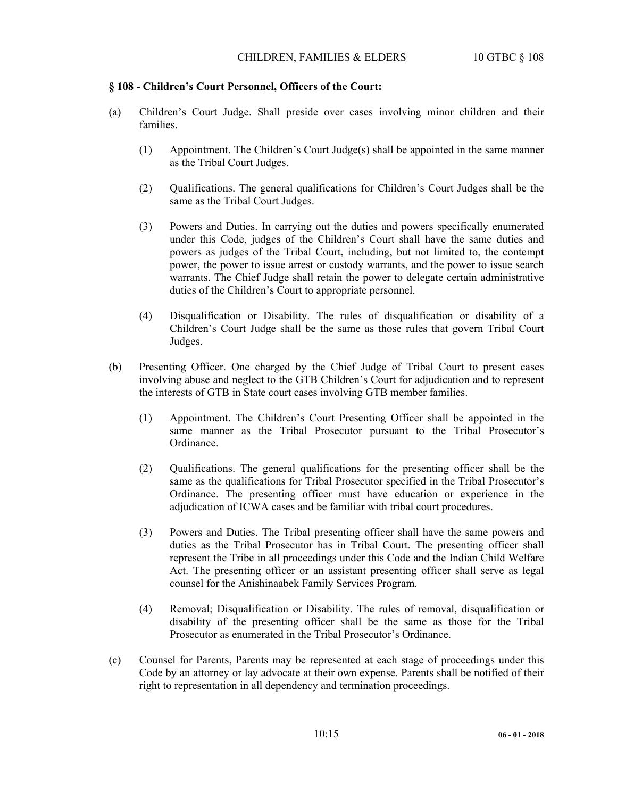### **§ 108 - Children's Court Personnel, Officers of the Court:**

- (a) Children's Court Judge. Shall preside over cases involving minor children and their families.
	- (1) Appointment. The Children's Court Judge(s) shall be appointed in the same manner as the Tribal Court Judges.
	- (2) Qualifications. The general qualifications for Children's Court Judges shall be the same as the Tribal Court Judges.
	- (3) Powers and Duties. In carrying out the duties and powers specifically enumerated under this Code, judges of the Children's Court shall have the same duties and powers as judges of the Tribal Court, including, but not limited to, the contempt power, the power to issue arrest or custody warrants, and the power to issue search warrants. The Chief Judge shall retain the power to delegate certain administrative duties of the Children's Court to appropriate personnel.
	- (4) Disqualification or Disability. The rules of disqualification or disability of a Children's Court Judge shall be the same as those rules that govern Tribal Court Judges.
- (b) Presenting Officer. One charged by the Chief Judge of Tribal Court to present cases involving abuse and neglect to the GTB Children's Court for adjudication and to represent the interests of GTB in State court cases involving GTB member families.
	- (1) Appointment. The Children's Court Presenting Officer shall be appointed in the same manner as the Tribal Prosecutor pursuant to the Tribal Prosecutor's Ordinance.
	- (2) Qualifications. The general qualifications for the presenting officer shall be the same as the qualifications for Tribal Prosecutor specified in the Tribal Prosecutor's Ordinance. The presenting officer must have education or experience in the adjudication of ICWA cases and be familiar with tribal court procedures.
	- (3) Powers and Duties. The Tribal presenting officer shall have the same powers and duties as the Tribal Prosecutor has in Tribal Court. The presenting officer shall represent the Tribe in all proceedings under this Code and the Indian Child Welfare Act. The presenting officer or an assistant presenting officer shall serve as legal counsel for the Anishinaabek Family Services Program.
	- (4) Removal; Disqualification or Disability. The rules of removal, disqualification or disability of the presenting officer shall be the same as those for the Tribal Prosecutor as enumerated in the Tribal Prosecutor's Ordinance.
- (c) Counsel for Parents, Parents may be represented at each stage of proceedings under this Code by an attorney or lay advocate at their own expense. Parents shall be notified of their right to representation in all dependency and termination proceedings.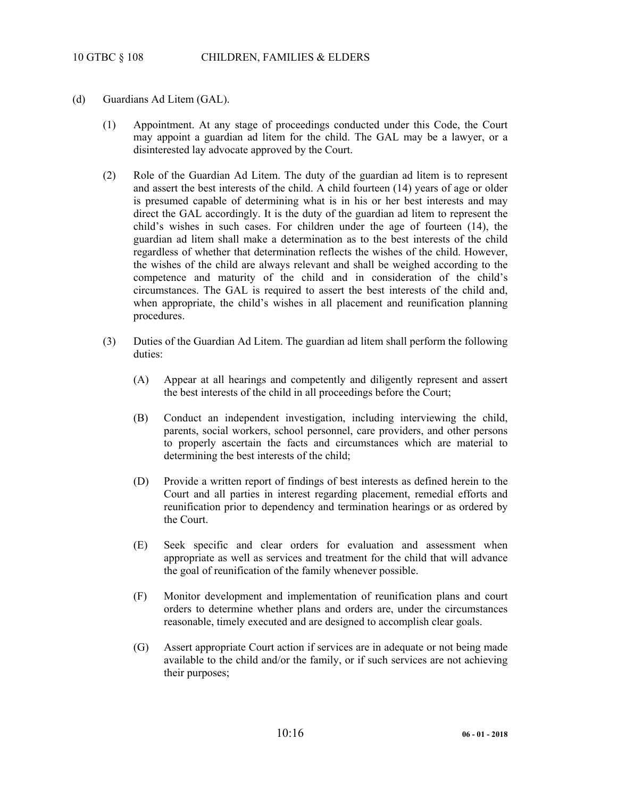- (d) Guardians Ad Litem (GAL).
	- (1) Appointment. At any stage of proceedings conducted under this Code, the Court may appoint a guardian ad litem for the child. The GAL may be a lawyer, or a disinterested lay advocate approved by the Court.
	- (2) Role of the Guardian Ad Litem. The duty of the guardian ad litem is to represent and assert the best interests of the child. A child fourteen (14) years of age or older is presumed capable of determining what is in his or her best interests and may direct the GAL accordingly. It is the duty of the guardian ad litem to represent the child's wishes in such cases. For children under the age of fourteen (14), the guardian ad litem shall make a determination as to the best interests of the child regardless of whether that determination reflects the wishes of the child. However, the wishes of the child are always relevant and shall be weighed according to the competence and maturity of the child and in consideration of the child's circumstances. The GAL is required to assert the best interests of the child and, when appropriate, the child's wishes in all placement and reunification planning procedures.
	- (3) Duties of the Guardian Ad Litem. The guardian ad litem shall perform the following duties:
		- (A) Appear at all hearings and competently and diligently represent and assert the best interests of the child in all proceedings before the Court;
		- (B) Conduct an independent investigation, including interviewing the child, parents, social workers, school personnel, care providers, and other persons to properly ascertain the facts and circumstances which are material to determining the best interests of the child;
		- (D) Provide a written report of findings of best interests as defined herein to the Court and all parties in interest regarding placement, remedial efforts and reunification prior to dependency and termination hearings or as ordered by the Court.
		- (E) Seek specific and clear orders for evaluation and assessment when appropriate as well as services and treatment for the child that will advance the goal of reunification of the family whenever possible.
		- (F) Monitor development and implementation of reunification plans and court orders to determine whether plans and orders are, under the circumstances reasonable, timely executed and are designed to accomplish clear goals.
		- (G) Assert appropriate Court action if services are in adequate or not being made available to the child and/or the family, or if such services are not achieving their purposes;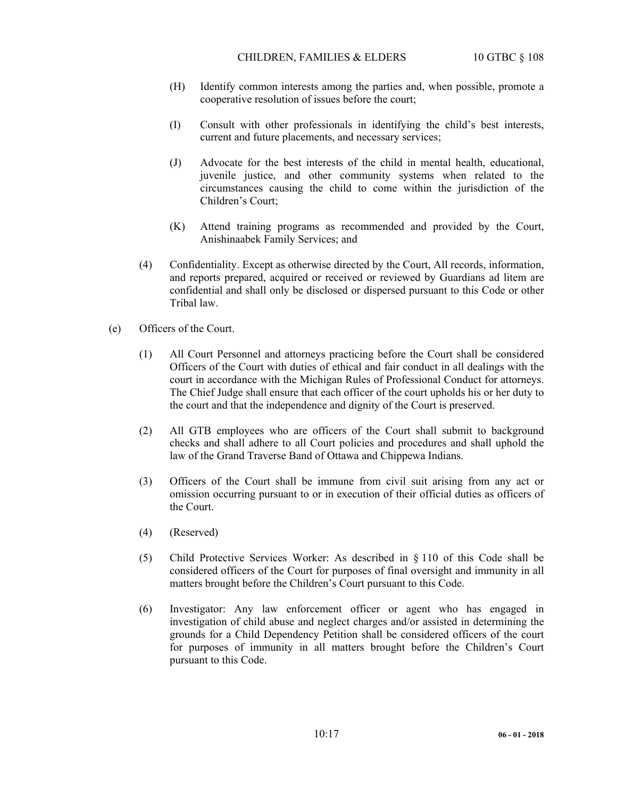- (H) Identify common interests among the parties and, when possible, promote a cooperative resolution of issues before the court;
- (I) Consult with other professionals in identifying the child's best interests, current and future placements, and necessary services;
- (J) Advocate for the best interests of the child in mental health, educational, juvenile justice, and other community systems when related to the circumstances causing the child to come within the jurisdiction of the Children's Court;
- (K) Attend training programs as recommended and provided by the Court, Anishinaabek Family Services; and
- (4) Confidentiality. Except as otherwise directed by the Court, All records, information, and reports prepared, acquired or received or reviewed by Guardians ad litem are confidential and shall only be disclosed or dispersed pursuant to this Code or other Tribal law.
- (e) Officers of the Court.
	- (1) All Court Personnel and attorneys practicing before the Court shall be considered Officers of the Court with duties of ethical and fair conduct in all dealings with the court in accordance with the Michigan Rules of Professional Conduct for attorneys. The Chief Judge shall ensure that each officer of the court upholds his or her duty to the court and that the independence and dignity of the Court is preserved.
	- (2) All GTB employees who are officers of the Court shall submit to background checks and shall adhere to all Court policies and procedures and shall uphold the law of the Grand Traverse Band of Ottawa and Chippewa Indians.
	- (3) Officers of the Court shall be immune from civil suit arising from any act or omission occurring pursuant to or in execution of their official duties as officers of the Court.
	- (4) (Reserved)
	- (5) Child Protective Services Worker: As described in § 110 of this Code shall be considered officers of the Court for purposes of final oversight and immunity in all matters brought before the Children's Court pursuant to this Code.
	- (6) Investigator: Any law enforcement officer or agent who has engaged in investigation of child abuse and neglect charges and/or assisted in determining the grounds for a Child Dependency Petition shall be considered officers of the court for purposes of immunity in all matters brought before the Children's Court pursuant to this Code.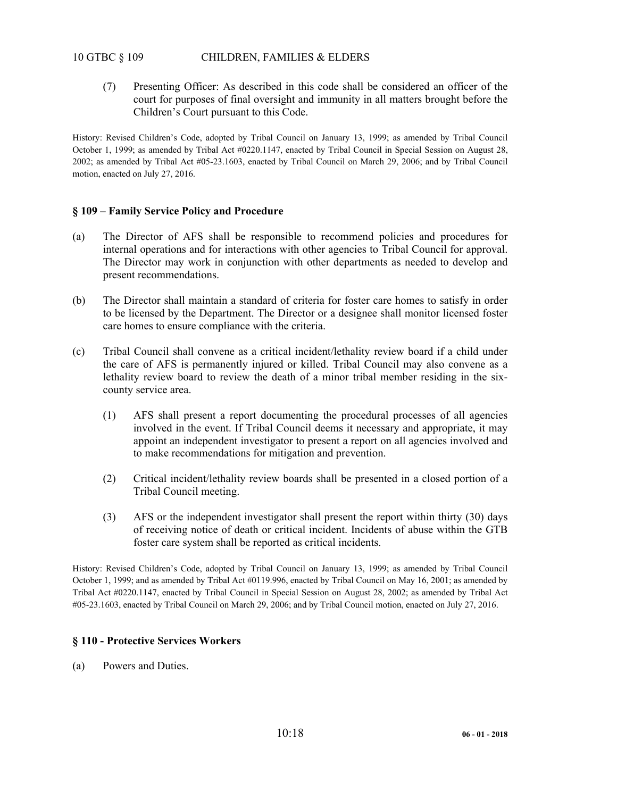# 10 GTBC § 109 CHILDREN, FAMILIES & ELDERS

 (7) Presenting Officer: As described in this code shall be considered an officer of the court for purposes of final oversight and immunity in all matters brought before the Children's Court pursuant to this Code.

History: Revised Children's Code, adopted by Tribal Council on January 13, 1999; as amended by Tribal Council October 1, 1999; as amended by Tribal Act #0220.1147, enacted by Tribal Council in Special Session on August 28, 2002; as amended by Tribal Act #05-23.1603, enacted by Tribal Council on March 29, 2006; and by Tribal Council motion, enacted on July 27, 2016.

## **§ 109 – Family Service Policy and Procedure**

- (a) The Director of AFS shall be responsible to recommend policies and procedures for internal operations and for interactions with other agencies to Tribal Council for approval. The Director may work in conjunction with other departments as needed to develop and present recommendations.
- (b) The Director shall maintain a standard of criteria for foster care homes to satisfy in order to be licensed by the Department. The Director or a designee shall monitor licensed foster care homes to ensure compliance with the criteria.
- (c) Tribal Council shall convene as a critical incident/lethality review board if a child under the care of AFS is permanently injured or killed. Tribal Council may also convene as a lethality review board to review the death of a minor tribal member residing in the sixcounty service area.
	- (1) AFS shall present a report documenting the procedural processes of all agencies involved in the event. If Tribal Council deems it necessary and appropriate, it may appoint an independent investigator to present a report on all agencies involved and to make recommendations for mitigation and prevention.
	- (2) Critical incident/lethality review boards shall be presented in a closed portion of a Tribal Council meeting.
	- (3) AFS or the independent investigator shall present the report within thirty (30) days of receiving notice of death or critical incident. Incidents of abuse within the GTB foster care system shall be reported as critical incidents.

History: Revised Children's Code, adopted by Tribal Council on January 13, 1999; as amended by Tribal Council October 1, 1999; and as amended by Tribal Act #0119.996, enacted by Tribal Council on May 16, 2001; as amended by Tribal Act #0220.1147, enacted by Tribal Council in Special Session on August 28, 2002; as amended by Tribal Act #05-23.1603, enacted by Tribal Council on March 29, 2006; and by Tribal Council motion, enacted on July 27, 2016.

## **§ 110 - Protective Services Workers**

(a) Powers and Duties.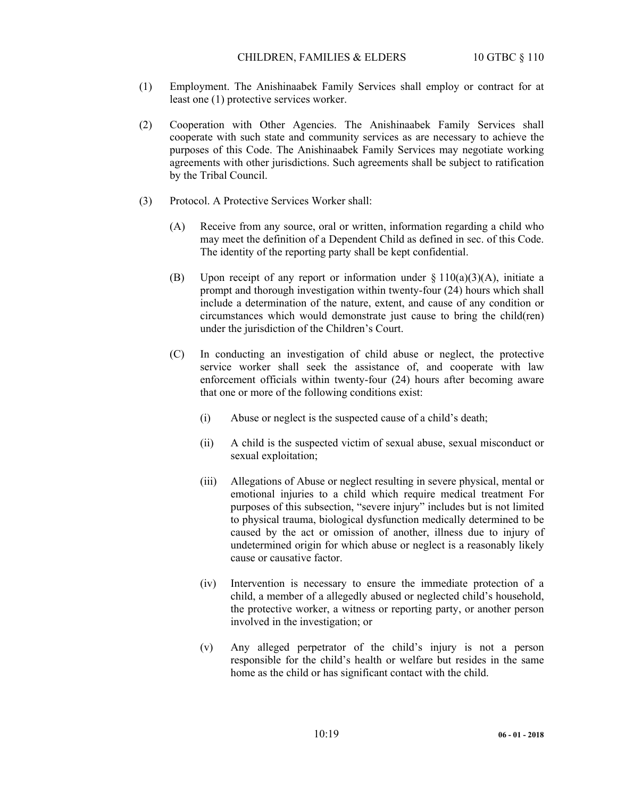- (1) Employment. The Anishinaabek Family Services shall employ or contract for at least one (1) protective services worker.
- (2) Cooperation with Other Agencies. The Anishinaabek Family Services shall cooperate with such state and community services as are necessary to achieve the purposes of this Code. The Anishinaabek Family Services may negotiate working agreements with other jurisdictions. Such agreements shall be subject to ratification by the Tribal Council.
- (3) Protocol. A Protective Services Worker shall:
	- (A) Receive from any source, oral or written, information regarding a child who may meet the definition of a Dependent Child as defined in sec. of this Code. The identity of the reporting party shall be kept confidential.
	- (B) Upon receipt of any report or information under  $\S 110(a)(3)(A)$ , initiate a prompt and thorough investigation within twenty-four (24) hours which shall include a determination of the nature, extent, and cause of any condition or circumstances which would demonstrate just cause to bring the child(ren) under the jurisdiction of the Children's Court.
	- (C) In conducting an investigation of child abuse or neglect, the protective service worker shall seek the assistance of, and cooperate with law enforcement officials within twenty-four (24) hours after becoming aware that one or more of the following conditions exist:
		- (i) Abuse or neglect is the suspected cause of a child's death;
		- (ii) A child is the suspected victim of sexual abuse, sexual misconduct or sexual exploitation;
		- (iii) Allegations of Abuse or neglect resulting in severe physical, mental or emotional injuries to a child which require medical treatment For purposes of this subsection, "severe injury" includes but is not limited to physical trauma, biological dysfunction medically determined to be caused by the act or omission of another, illness due to injury of undetermined origin for which abuse or neglect is a reasonably likely cause or causative factor.
		- (iv) Intervention is necessary to ensure the immediate protection of a child, a member of a allegedly abused or neglected child's household, the protective worker, a witness or reporting party, or another person involved in the investigation; or
		- (v) Any alleged perpetrator of the child's injury is not a person responsible for the child's health or welfare but resides in the same home as the child or has significant contact with the child.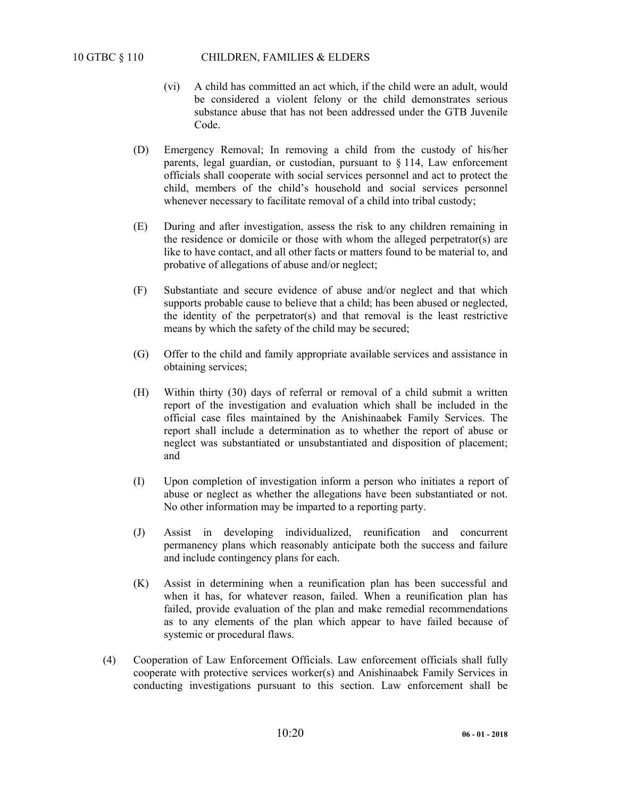- (vi) A child has committed an act which, if the child were an adult, would be considered a violent felony or the child demonstrates serious substance abuse that has not been addressed under the GTB Juvenile Code.
- (D) Emergency Removal; In removing a child from the custody of his/her parents, legal guardian, or custodian, pursuant to § 114, Law enforcement officials shall cooperate with social services personnel and act to protect the child, members of the child's household and social services personnel whenever necessary to facilitate removal of a child into tribal custody;
- (E) During and after investigation, assess the risk to any children remaining in the residence or domicile or those with whom the alleged perpetrator(s) are like to have contact, and all other facts or matters found to be material to, and probative of allegations of abuse and/or neglect;
- (F) Substantiate and secure evidence of abuse and/or neglect and that which supports probable cause to believe that a child; has been abused or neglected, the identity of the perpetrator(s) and that removal is the least restrictive means by which the safety of the child may be secured;
- (G) Offer to the child and family appropriate available services and assistance in obtaining services;
- (H) Within thirty (30) days of referral or removal of a child submit a written report of the investigation and evaluation which shall be included in the official case files maintained by the Anishinaabek Family Services. The report shall include a determination as to whether the report of abuse or neglect was substantiated or unsubstantiated and disposition of placement; and
- (I) Upon completion of investigation inform a person who initiates a report of abuse or neglect as whether the allegations have been substantiated or not. No other information may be imparted to a reporting party.
- (J) Assist in developing individualized, reunification and concurrent permanency plans which reasonably anticipate both the success and failure and include contingency plans for each.
- (K) Assist in determining when a reunification plan has been successful and when it has, for whatever reason, failed. When a reunification plan has failed, provide evaluation of the plan and make remedial recommendations as to any elements of the plan which appear to have failed because of systemic or procedural flaws.
- (4) Cooperation of Law Enforcement Officials. Law enforcement officials shall fully cooperate with protective services worker(s) and Anishinaabek Family Services in conducting investigations pursuant to this section. Law enforcement shall be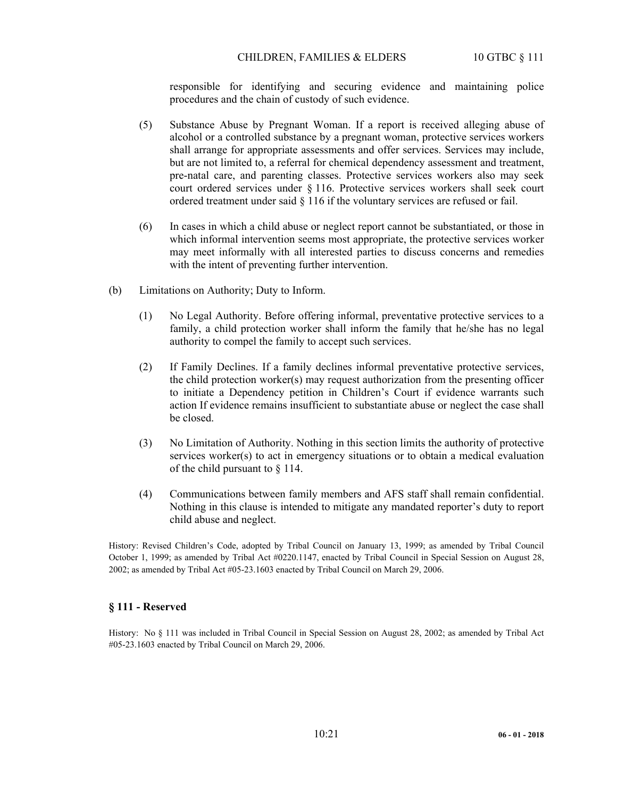### CHILDREN, FAMILIES & ELDERS 10 GTBC § 111

responsible for identifying and securing evidence and maintaining police procedures and the chain of custody of such evidence.

- (5) Substance Abuse by Pregnant Woman. If a report is received alleging abuse of alcohol or a controlled substance by a pregnant woman, protective services workers shall arrange for appropriate assessments and offer services. Services may include, but are not limited to, a referral for chemical dependency assessment and treatment, pre-natal care, and parenting classes. Protective services workers also may seek court ordered services under § 116. Protective services workers shall seek court ordered treatment under said § 116 if the voluntary services are refused or fail.
- (6) In cases in which a child abuse or neglect report cannot be substantiated, or those in which informal intervention seems most appropriate, the protective services worker may meet informally with all interested parties to discuss concerns and remedies with the intent of preventing further intervention.
- (b) Limitations on Authority; Duty to Inform.
	- (1) No Legal Authority. Before offering informal, preventative protective services to a family, a child protection worker shall inform the family that he/she has no legal authority to compel the family to accept such services.
	- (2) If Family Declines. If a family declines informal preventative protective services, the child protection worker(s) may request authorization from the presenting officer to initiate a Dependency petition in Children's Court if evidence warrants such action If evidence remains insufficient to substantiate abuse or neglect the case shall be closed.
	- (3) No Limitation of Authority. Nothing in this section limits the authority of protective services worker(s) to act in emergency situations or to obtain a medical evaluation of the child pursuant to § 114.
	- (4) Communications between family members and AFS staff shall remain confidential. Nothing in this clause is intended to mitigate any mandated reporter's duty to report child abuse and neglect.

History: Revised Children's Code, adopted by Tribal Council on January 13, 1999; as amended by Tribal Council October 1, 1999; as amended by Tribal Act #0220.1147, enacted by Tribal Council in Special Session on August 28, 2002; as amended by Tribal Act #05-23.1603 enacted by Tribal Council on March 29, 2006.

## **§ 111 - Reserved**

History: No § 111 was included in Tribal Council in Special Session on August 28, 2002; as amended by Tribal Act #05-23.1603 enacted by Tribal Council on March 29, 2006.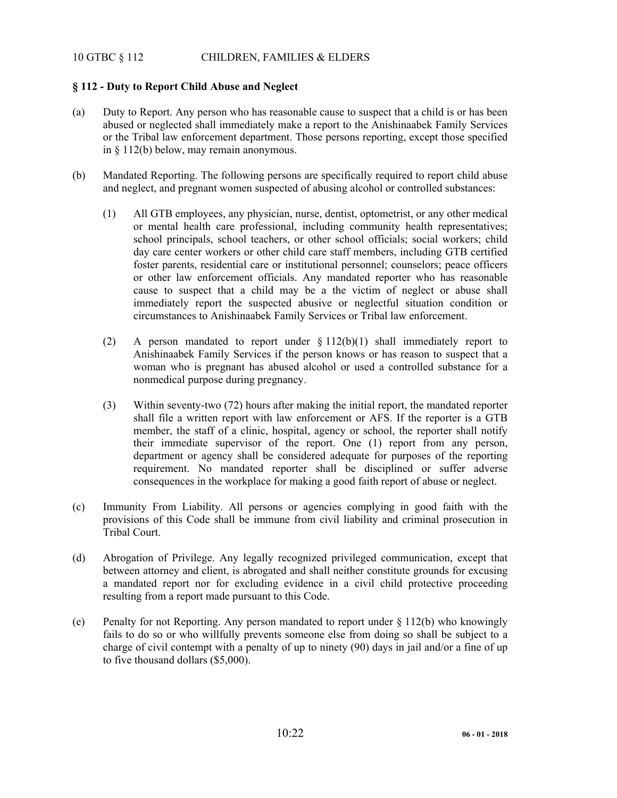# 10 GTBC § 112 CHILDREN, FAMILIES & ELDERS

# **§ 112 - Duty to Report Child Abuse and Neglect**

- (a) Duty to Report. Any person who has reasonable cause to suspect that a child is or has been abused or neglected shall immediately make a report to the Anishinaabek Family Services or the Tribal law enforcement department. Those persons reporting, except those specified in § 112(b) below, may remain anonymous.
- (b) Mandated Reporting. The following persons are specifically required to report child abuse and neglect, and pregnant women suspected of abusing alcohol or controlled substances:
	- (1) All GTB employees, any physician, nurse, dentist, optometrist, or any other medical or mental health care professional, including community health representatives; school principals, school teachers, or other school officials; social workers; child day care center workers or other child care staff members, including GTB certified foster parents, residential care or institutional personnel; counselors; peace officers or other law enforcement officials. Any mandated reporter who has reasonable cause to suspect that a child may be a the victim of neglect or abuse shall immediately report the suspected abusive or neglectful situation condition or circumstances to Anishinaabek Family Services or Tribal law enforcement.
	- (2) A person mandated to report under § 112(b)(1) shall immediately report to Anishinaabek Family Services if the person knows or has reason to suspect that a woman who is pregnant has abused alcohol or used a controlled substance for a nonmedical purpose during pregnancy.
	- (3) Within seventy-two (72) hours after making the initial report, the mandated reporter shall file a written report with law enforcement or AFS. If the reporter is a GTB member, the staff of a clinic, hospital, agency or school, the reporter shall notify their immediate supervisor of the report. One (1) report from any person, department or agency shall be considered adequate for purposes of the reporting requirement. No mandated reporter shall be disciplined or suffer adverse consequences in the workplace for making a good faith report of abuse or neglect.
- (c) Immunity From Liability. All persons or agencies complying in good faith with the provisions of this Code shall be immune from civil liability and criminal prosecution in Tribal Court.
- (d) Abrogation of Privilege. Any legally recognized privileged communication, except that between attorney and client, is abrogated and shall neither constitute grounds for excusing a mandated report nor for excluding evidence in a civil child protective proceeding resulting from a report made pursuant to this Code.
- (e) Penalty for not Reporting. Any person mandated to report under § 112(b) who knowingly fails to do so or who willfully prevents someone else from doing so shall be subject to a charge of civil contempt with a penalty of up to ninety (90) days in jail and/or a fine of up to five thousand dollars (\$5,000).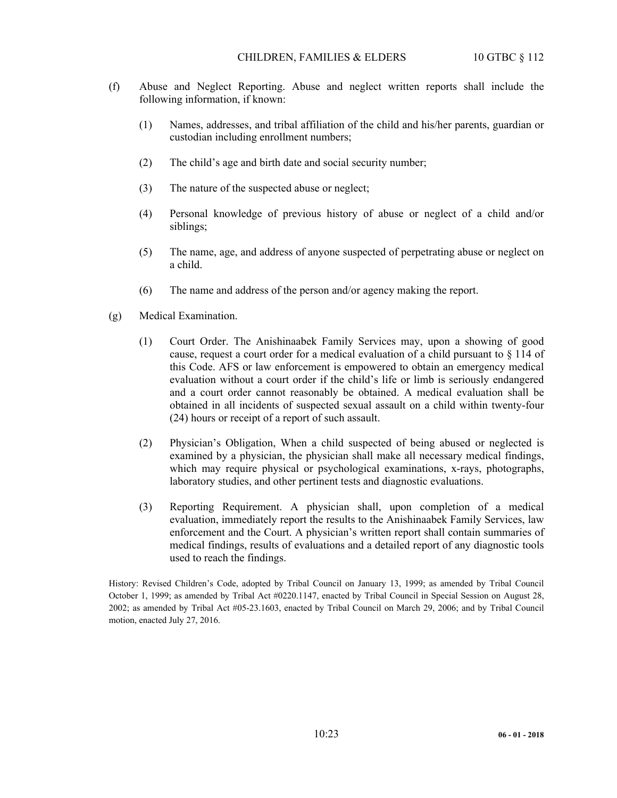- (f) Abuse and Neglect Reporting. Abuse and neglect written reports shall include the following information, if known:
	- (1) Names, addresses, and tribal affiliation of the child and his/her parents, guardian or custodian including enrollment numbers;
	- (2) The child's age and birth date and social security number;
	- (3) The nature of the suspected abuse or neglect;
	- (4) Personal knowledge of previous history of abuse or neglect of a child and/or siblings;
	- (5) The name, age, and address of anyone suspected of perpetrating abuse or neglect on a child.
	- (6) The name and address of the person and/or agency making the report.
- (g) Medical Examination.
	- (1) Court Order. The Anishinaabek Family Services may, upon a showing of good cause, request a court order for a medical evaluation of a child pursuant to § 114 of this Code. AFS or law enforcement is empowered to obtain an emergency medical evaluation without a court order if the child's life or limb is seriously endangered and a court order cannot reasonably be obtained. A medical evaluation shall be obtained in all incidents of suspected sexual assault on a child within twenty-four (24) hours or receipt of a report of such assault.
	- (2) Physician's Obligation, When a child suspected of being abused or neglected is examined by a physician, the physician shall make all necessary medical findings, which may require physical or psychological examinations, x-rays, photographs, laboratory studies, and other pertinent tests and diagnostic evaluations.
	- (3) Reporting Requirement. A physician shall, upon completion of a medical evaluation, immediately report the results to the Anishinaabek Family Services, law enforcement and the Court. A physician's written report shall contain summaries of medical findings, results of evaluations and a detailed report of any diagnostic tools used to reach the findings.

History: Revised Children's Code, adopted by Tribal Council on January 13, 1999; as amended by Tribal Council October 1, 1999; as amended by Tribal Act #0220.1147, enacted by Tribal Council in Special Session on August 28, 2002; as amended by Tribal Act #05-23.1603, enacted by Tribal Council on March 29, 2006; and by Tribal Council motion, enacted July 27, 2016.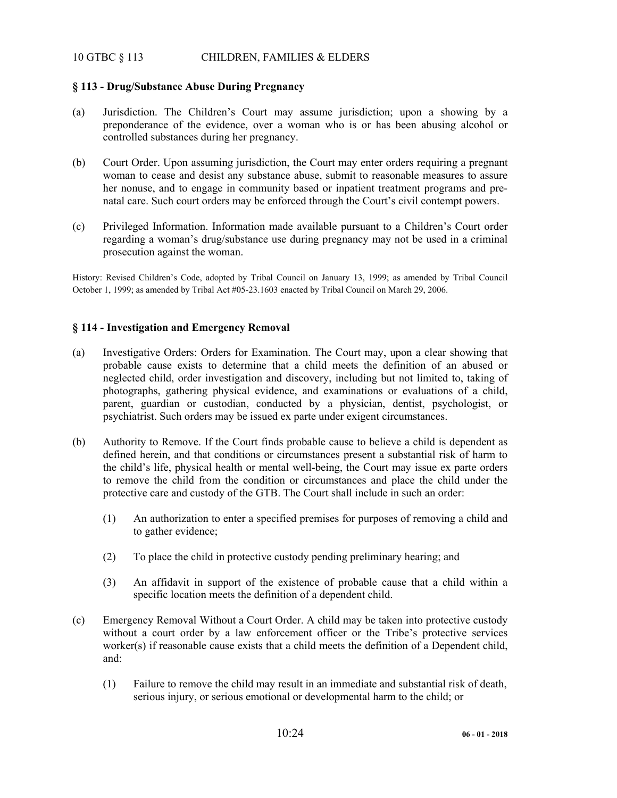# 10 GTBC § 113 CHILDREN, FAMILIES & ELDERS

## **§ 113 - Drug/Substance Abuse During Pregnancy**

- (a) Jurisdiction. The Children's Court may assume jurisdiction; upon a showing by a preponderance of the evidence, over a woman who is or has been abusing alcohol or controlled substances during her pregnancy.
- (b) Court Order. Upon assuming jurisdiction, the Court may enter orders requiring a pregnant woman to cease and desist any substance abuse, submit to reasonable measures to assure her nonuse, and to engage in community based or inpatient treatment programs and prenatal care. Such court orders may be enforced through the Court's civil contempt powers.
- (c) Privileged Information. Information made available pursuant to a Children's Court order regarding a woman's drug/substance use during pregnancy may not be used in a criminal prosecution against the woman.

History: Revised Children's Code, adopted by Tribal Council on January 13, 1999; as amended by Tribal Council October 1, 1999; as amended by Tribal Act #05-23.1603 enacted by Tribal Council on March 29, 2006.

## **§ 114 - Investigation and Emergency Removal**

- (a) Investigative Orders: Orders for Examination. The Court may, upon a clear showing that probable cause exists to determine that a child meets the definition of an abused or neglected child, order investigation and discovery, including but not limited to, taking of photographs, gathering physical evidence, and examinations or evaluations of a child, parent, guardian or custodian, conducted by a physician, dentist, psychologist, or psychiatrist. Such orders may be issued ex parte under exigent circumstances.
- (b) Authority to Remove. If the Court finds probable cause to believe a child is dependent as defined herein, and that conditions or circumstances present a substantial risk of harm to the child's life, physical health or mental well-being, the Court may issue ex parte orders to remove the child from the condition or circumstances and place the child under the protective care and custody of the GTB. The Court shall include in such an order:
	- (1) An authorization to enter a specified premises for purposes of removing a child and to gather evidence;
	- (2) To place the child in protective custody pending preliminary hearing; and
	- (3) An affidavit in support of the existence of probable cause that a child within a specific location meets the definition of a dependent child.
- (c) Emergency Removal Without a Court Order. A child may be taken into protective custody without a court order by a law enforcement officer or the Tribe's protective services worker(s) if reasonable cause exists that a child meets the definition of a Dependent child, and:
	- (1) Failure to remove the child may result in an immediate and substantial risk of death, serious injury, or serious emotional or developmental harm to the child; or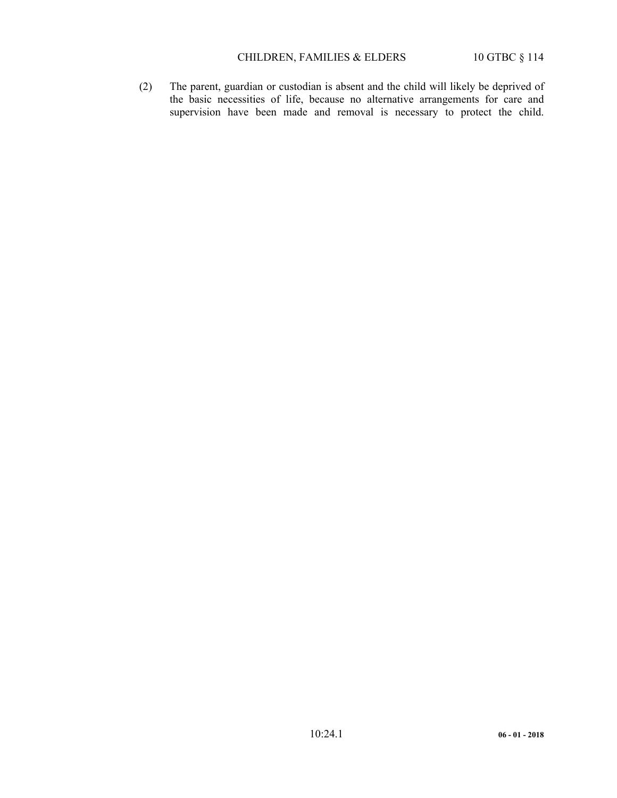# CHILDREN, FAMILIES & ELDERS 10 GTBC § 114

 (2) The parent, guardian or custodian is absent and the child will likely be deprived of the basic necessities of life, because no alternative arrangements for care and supervision have been made and removal is necessary to protect the child.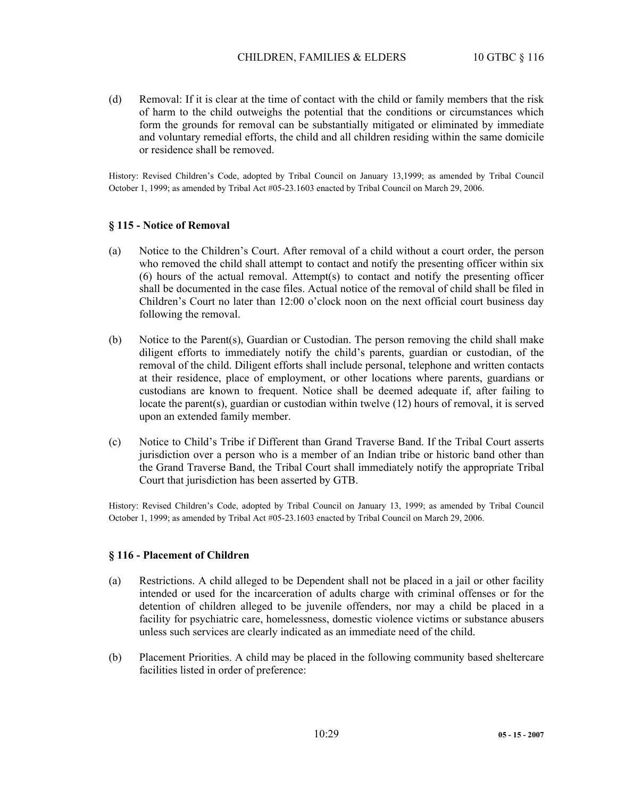(d) Removal: If it is clear at the time of contact with the child or family members that the risk of harm to the child outweighs the potential that the conditions or circumstances which form the grounds for removal can be substantially mitigated or eliminated by immediate and voluntary remedial efforts, the child and all children residing within the same domicile or residence shall be removed.

History: Revised Children's Code, adopted by Tribal Council on January 13,1999; as amended by Tribal Council October 1, 1999; as amended by Tribal Act #05-23.1603 enacted by Tribal Council on March 29, 2006.

#### **§ 115 - Notice of Removal**

- (a) Notice to the Children's Court. After removal of a child without a court order, the person who removed the child shall attempt to contact and notify the presenting officer within six (6) hours of the actual removal. Attempt(s) to contact and notify the presenting officer shall be documented in the case files. Actual notice of the removal of child shall be filed in Children's Court no later than 12:00 o'clock noon on the next official court business day following the removal.
- (b) Notice to the Parent(s), Guardian or Custodian. The person removing the child shall make diligent efforts to immediately notify the child's parents, guardian or custodian, of the removal of the child. Diligent efforts shall include personal, telephone and written contacts at their residence, place of employment, or other locations where parents, guardians or custodians are known to frequent. Notice shall be deemed adequate if, after failing to locate the parent(s), guardian or custodian within twelve (12) hours of removal, it is served upon an extended family member.
- (c) Notice to Child's Tribe if Different than Grand Traverse Band. If the Tribal Court asserts jurisdiction over a person who is a member of an Indian tribe or historic band other than the Grand Traverse Band, the Tribal Court shall immediately notify the appropriate Tribal Court that jurisdiction has been asserted by GTB.

History: Revised Children's Code, adopted by Tribal Council on January 13, 1999; as amended by Tribal Council October 1, 1999; as amended by Tribal Act #05-23.1603 enacted by Tribal Council on March 29, 2006.

#### **§ 116 - Placement of Children**

- (a) Restrictions. A child alleged to be Dependent shall not be placed in a jail or other facility intended or used for the incarceration of adults charge with criminal offenses or for the detention of children alleged to be juvenile offenders, nor may a child be placed in a facility for psychiatric care, homelessness, domestic violence victims or substance abusers unless such services are clearly indicated as an immediate need of the child.
- (b) Placement Priorities. A child may be placed in the following community based sheltercare facilities listed in order of preference: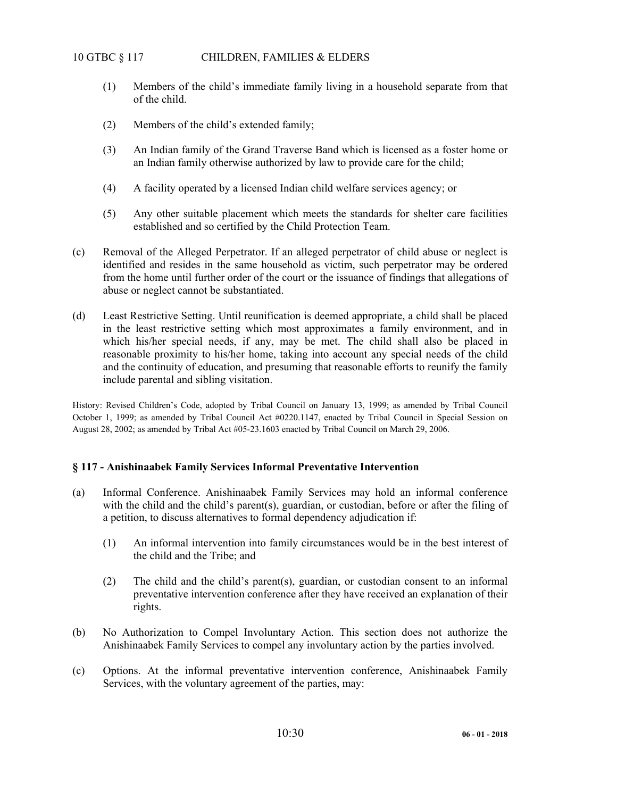- (1) Members of the child's immediate family living in a household separate from that of the child.
- (2) Members of the child's extended family;
- (3) An Indian family of the Grand Traverse Band which is licensed as a foster home or an Indian family otherwise authorized by law to provide care for the child;
- (4) A facility operated by a licensed Indian child welfare services agency; or
- (5) Any other suitable placement which meets the standards for shelter care facilities established and so certified by the Child Protection Team.
- (c) Removal of the Alleged Perpetrator. If an alleged perpetrator of child abuse or neglect is identified and resides in the same household as victim, such perpetrator may be ordered from the home until further order of the court or the issuance of findings that allegations of abuse or neglect cannot be substantiated.
- (d) Least Restrictive Setting. Until reunification is deemed appropriate, a child shall be placed in the least restrictive setting which most approximates a family environment, and in which his/her special needs, if any, may be met. The child shall also be placed in reasonable proximity to his/her home, taking into account any special needs of the child and the continuity of education, and presuming that reasonable efforts to reunify the family include parental and sibling visitation.

History: Revised Children's Code, adopted by Tribal Council on January 13, 1999; as amended by Tribal Council October 1, 1999; as amended by Tribal Council Act #0220.1147, enacted by Tribal Council in Special Session on August 28, 2002; as amended by Tribal Act #05-23.1603 enacted by Tribal Council on March 29, 2006.

#### **§ 117 - Anishinaabek Family Services Informal Preventative Intervention**

- (a) Informal Conference. Anishinaabek Family Services may hold an informal conference with the child and the child's parent(s), guardian, or custodian, before or after the filing of a petition, to discuss alternatives to formal dependency adjudication if:
	- (1) An informal intervention into family circumstances would be in the best interest of the child and the Tribe; and
	- (2) The child and the child's parent(s), guardian, or custodian consent to an informal preventative intervention conference after they have received an explanation of their rights.
- (b) No Authorization to Compel Involuntary Action. This section does not authorize the Anishinaabek Family Services to compel any involuntary action by the parties involved.
- (c) Options. At the informal preventative intervention conference, Anishinaabek Family Services, with the voluntary agreement of the parties, may: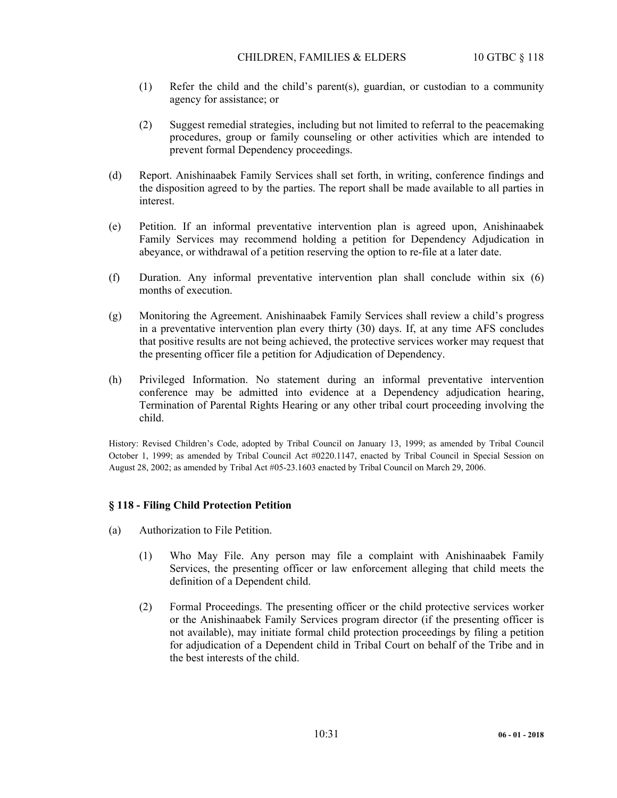### CHILDREN, FAMILIES & ELDERS 10 GTBC § 118

- (1) Refer the child and the child's parent(s), guardian, or custodian to a community agency for assistance; or
- (2) Suggest remedial strategies, including but not limited to referral to the peacemaking procedures, group or family counseling or other activities which are intended to prevent formal Dependency proceedings.
- (d) Report. Anishinaabek Family Services shall set forth, in writing, conference findings and the disposition agreed to by the parties. The report shall be made available to all parties in interest.
- (e) Petition. If an informal preventative intervention plan is agreed upon, Anishinaabek Family Services may recommend holding a petition for Dependency Adjudication in abeyance, or withdrawal of a petition reserving the option to re-file at a later date.
- (f) Duration. Any informal preventative intervention plan shall conclude within six (6) months of execution.
- (g) Monitoring the Agreement. Anishinaabek Family Services shall review a child's progress in a preventative intervention plan every thirty (30) days. If, at any time AFS concludes that positive results are not being achieved, the protective services worker may request that the presenting officer file a petition for Adjudication of Dependency.
- (h) Privileged Information. No statement during an informal preventative intervention conference may be admitted into evidence at a Dependency adjudication hearing, Termination of Parental Rights Hearing or any other tribal court proceeding involving the child.

History: Revised Children's Code, adopted by Tribal Council on January 13, 1999; as amended by Tribal Council October 1, 1999; as amended by Tribal Council Act #0220.1147, enacted by Tribal Council in Special Session on August 28, 2002; as amended by Tribal Act #05-23.1603 enacted by Tribal Council on March 29, 2006.

## **§ 118 - Filing Child Protection Petition**

- (a) Authorization to File Petition.
	- (1) Who May File. Any person may file a complaint with Anishinaabek Family Services, the presenting officer or law enforcement alleging that child meets the definition of a Dependent child.
	- (2) Formal Proceedings. The presenting officer or the child protective services worker or the Anishinaabek Family Services program director (if the presenting officer is not available), may initiate formal child protection proceedings by filing a petition for adjudication of a Dependent child in Tribal Court on behalf of the Tribe and in the best interests of the child.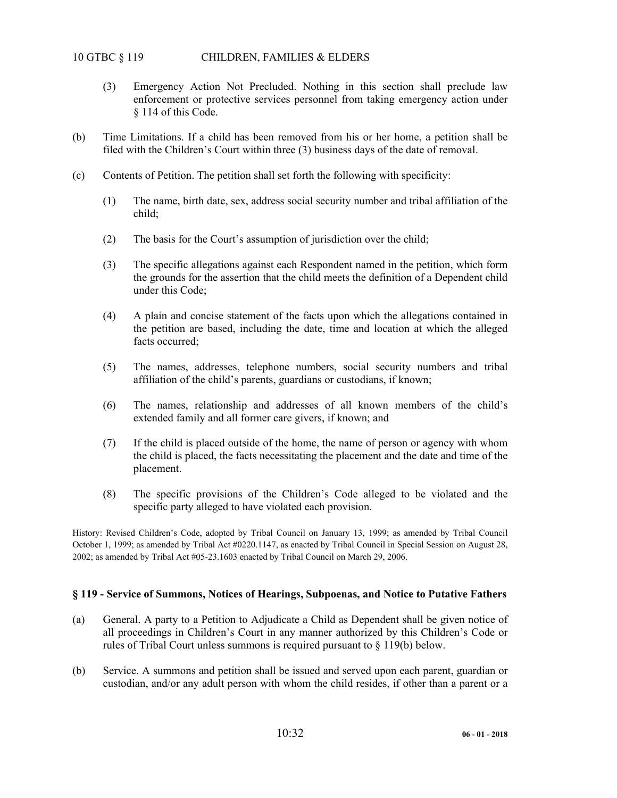- (3) Emergency Action Not Precluded. Nothing in this section shall preclude law enforcement or protective services personnel from taking emergency action under § 114 of this Code.
- (b) Time Limitations. If a child has been removed from his or her home, a petition shall be filed with the Children's Court within three (3) business days of the date of removal.
- (c) Contents of Petition. The petition shall set forth the following with specificity:
	- (1) The name, birth date, sex, address social security number and tribal affiliation of the child;
	- (2) The basis for the Court's assumption of jurisdiction over the child;
	- (3) The specific allegations against each Respondent named in the petition, which form the grounds for the assertion that the child meets the definition of a Dependent child under this Code;
	- (4) A plain and concise statement of the facts upon which the allegations contained in the petition are based, including the date, time and location at which the alleged facts occurred;
	- (5) The names, addresses, telephone numbers, social security numbers and tribal affiliation of the child's parents, guardians or custodians, if known;
	- (6) The names, relationship and addresses of all known members of the child's extended family and all former care givers, if known; and
	- (7) If the child is placed outside of the home, the name of person or agency with whom the child is placed, the facts necessitating the placement and the date and time of the placement.
	- (8) The specific provisions of the Children's Code alleged to be violated and the specific party alleged to have violated each provision.

History: Revised Children's Code, adopted by Tribal Council on January 13, 1999; as amended by Tribal Council October 1, 1999; as amended by Tribal Act #0220.1147, as enacted by Tribal Council in Special Session on August 28, 2002; as amended by Tribal Act #05-23.1603 enacted by Tribal Council on March 29, 2006.

#### **§ 119 - Service of Summons, Notices of Hearings, Subpoenas, and Notice to Putative Fathers**

- (a) General. A party to a Petition to Adjudicate a Child as Dependent shall be given notice of all proceedings in Children's Court in any manner authorized by this Children's Code or rules of Tribal Court unless summons is required pursuant to § 119(b) below.
- (b) Service. A summons and petition shall be issued and served upon each parent, guardian or custodian, and/or any adult person with whom the child resides, if other than a parent or a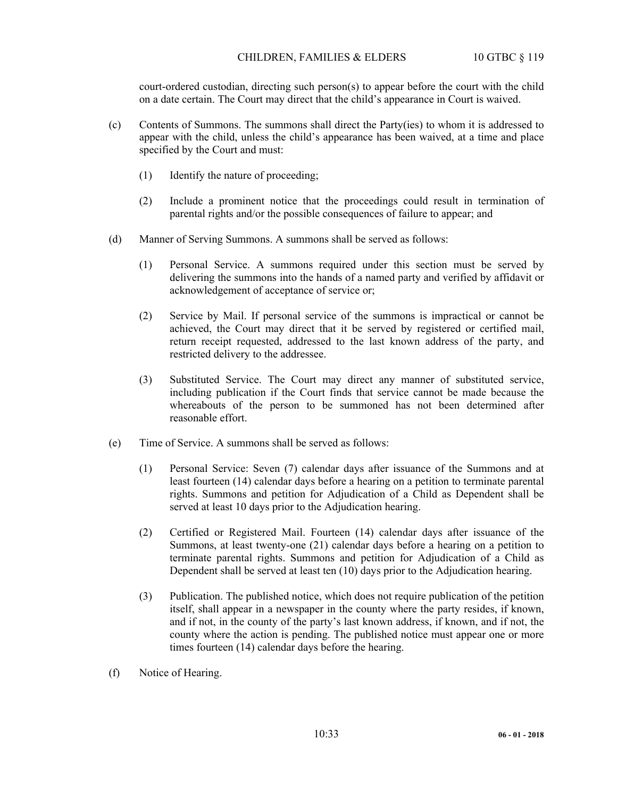court-ordered custodian, directing such person(s) to appear before the court with the child on a date certain. The Court may direct that the child's appearance in Court is waived.

- (c) Contents of Summons. The summons shall direct the Party(ies) to whom it is addressed to appear with the child, unless the child's appearance has been waived, at a time and place specified by the Court and must:
	- (1) Identify the nature of proceeding;
	- (2) Include a prominent notice that the proceedings could result in termination of parental rights and/or the possible consequences of failure to appear; and
- (d) Manner of Serving Summons. A summons shall be served as follows:
	- (1) Personal Service. A summons required under this section must be served by delivering the summons into the hands of a named party and verified by affidavit or acknowledgement of acceptance of service or;
	- (2) Service by Mail. If personal service of the summons is impractical or cannot be achieved, the Court may direct that it be served by registered or certified mail, return receipt requested, addressed to the last known address of the party, and restricted delivery to the addressee.
	- (3) Substituted Service. The Court may direct any manner of substituted service, including publication if the Court finds that service cannot be made because the whereabouts of the person to be summoned has not been determined after reasonable effort.
- (e) Time of Service. A summons shall be served as follows:
	- (1) Personal Service: Seven (7) calendar days after issuance of the Summons and at least fourteen (14) calendar days before a hearing on a petition to terminate parental rights. Summons and petition for Adjudication of a Child as Dependent shall be served at least 10 days prior to the Adjudication hearing.
	- (2) Certified or Registered Mail. Fourteen (14) calendar days after issuance of the Summons, at least twenty-one (21) calendar days before a hearing on a petition to terminate parental rights. Summons and petition for Adjudication of a Child as Dependent shall be served at least ten (10) days prior to the Adjudication hearing.
	- (3) Publication. The published notice, which does not require publication of the petition itself, shall appear in a newspaper in the county where the party resides, if known, and if not, in the county of the party's last known address, if known, and if not, the county where the action is pending. The published notice must appear one or more times fourteen (14) calendar days before the hearing.
- (f) Notice of Hearing.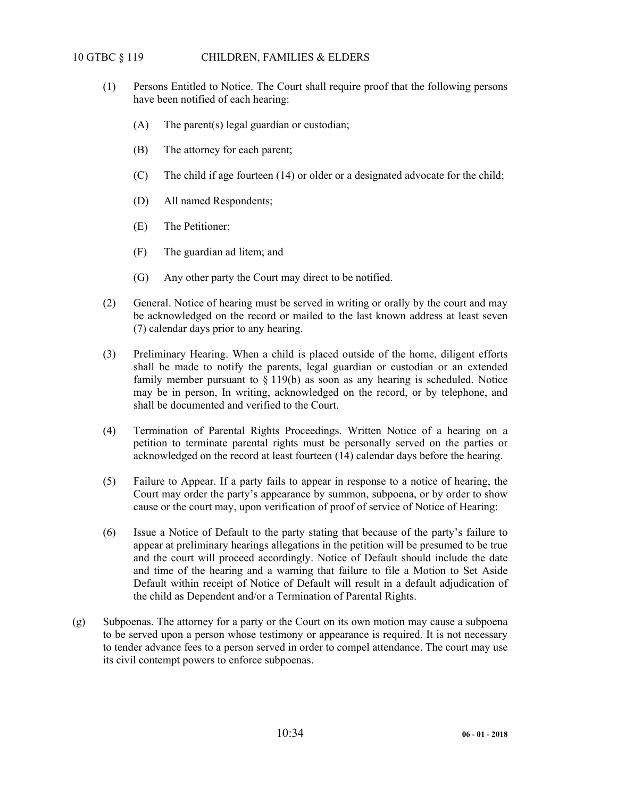# 10 GTBC § 119 CHILDREN, FAMILIES & ELDERS

- (1) Persons Entitled to Notice. The Court shall require proof that the following persons have been notified of each hearing:
	- (A) The parent(s) legal guardian or custodian;
	- (B) The attorney for each parent;
	- (C) The child if age fourteen (14) or older or a designated advocate for the child;
	- (D) All named Respondents;
	- (E) The Petitioner;
	- (F) The guardian ad litem; and
	- (G) Any other party the Court may direct to be notified.
- (2) General. Notice of hearing must be served in writing or orally by the court and may be acknowledged on the record or mailed to the last known address at least seven (7) calendar days prior to any hearing.
- (3) Preliminary Hearing. When a child is placed outside of the home, diligent efforts shall be made to notify the parents, legal guardian or custodian or an extended family member pursuant to  $\S 119(b)$  as soon as any hearing is scheduled. Notice may be in person, In writing, acknowledged on the record, or by telephone, and shall be documented and verified to the Court.
- (4) Termination of Parental Rights Proceedings. Written Notice of a hearing on a petition to terminate parental rights must be personally served on the parties or acknowledged on the record at least fourteen (14) calendar days before the hearing.
- (5) Failure to Appear. If a party fails to appear in response to a notice of hearing, the Court may order the party's appearance by summon, subpoena, or by order to show cause or the court may, upon verification of proof of service of Notice of Hearing:
- (6) Issue a Notice of Default to the party stating that because of the party's failure to appear at preliminary hearings allegations in the petition will be presumed to be true and the court will proceed accordingly. Notice of Default should include the date and time of the hearing and a warning that failure to file a Motion to Set Aside Default within receipt of Notice of Default will result in a default adjudication of the child as Dependent and/or a Termination of Parental Rights.
- (g) Subpoenas. The attorney for a party or the Court on its own motion may cause a subpoena to be served upon a person whose testimony or appearance is required. It is not necessary to tender advance fees to a person served in order to compel attendance. The court may use its civil contempt powers to enforce subpoenas.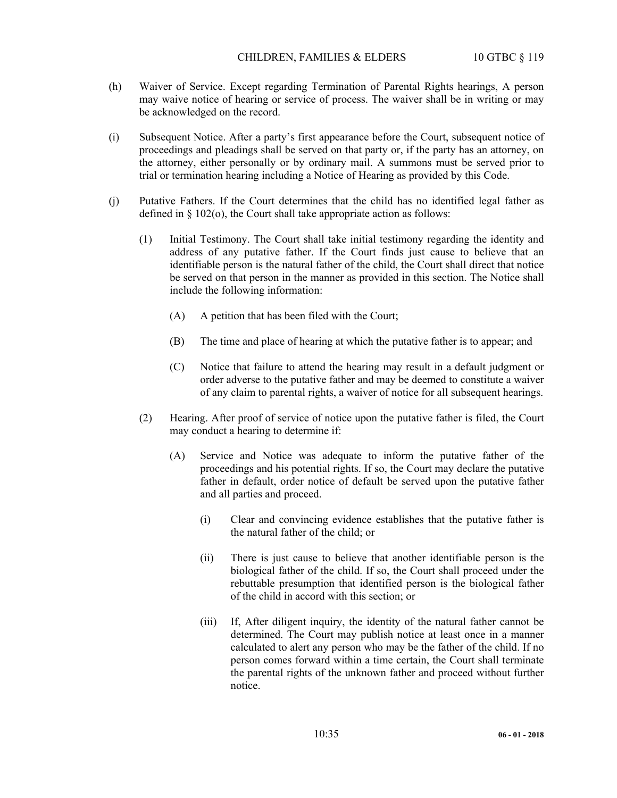- (h) Waiver of Service. Except regarding Termination of Parental Rights hearings, A person may waive notice of hearing or service of process. The waiver shall be in writing or may be acknowledged on the record.
- (i) Subsequent Notice. After a party's first appearance before the Court, subsequent notice of proceedings and pleadings shall be served on that party or, if the party has an attorney, on the attorney, either personally or by ordinary mail. A summons must be served prior to trial or termination hearing including a Notice of Hearing as provided by this Code.
- (j) Putative Fathers. If the Court determines that the child has no identified legal father as defined in  $\S$  102(o), the Court shall take appropriate action as follows:
	- (1) Initial Testimony. The Court shall take initial testimony regarding the identity and address of any putative father. If the Court finds just cause to believe that an identifiable person is the natural father of the child, the Court shall direct that notice be served on that person in the manner as provided in this section. The Notice shall include the following information:
		- (A) A petition that has been filed with the Court;
		- (B) The time and place of hearing at which the putative father is to appear; and
		- (C) Notice that failure to attend the hearing may result in a default judgment or order adverse to the putative father and may be deemed to constitute a waiver of any claim to parental rights, a waiver of notice for all subsequent hearings.
	- (2) Hearing. After proof of service of notice upon the putative father is filed, the Court may conduct a hearing to determine if:
		- (A) Service and Notice was adequate to inform the putative father of the proceedings and his potential rights. If so, the Court may declare the putative father in default, order notice of default be served upon the putative father and all parties and proceed.
			- (i) Clear and convincing evidence establishes that the putative father is the natural father of the child; or
			- (ii) There is just cause to believe that another identifiable person is the biological father of the child. If so, the Court shall proceed under the rebuttable presumption that identified person is the biological father of the child in accord with this section; or
			- (iii) If, After diligent inquiry, the identity of the natural father cannot be determined. The Court may publish notice at least once in a manner calculated to alert any person who may be the father of the child. If no person comes forward within a time certain, the Court shall terminate the parental rights of the unknown father and proceed without further notice.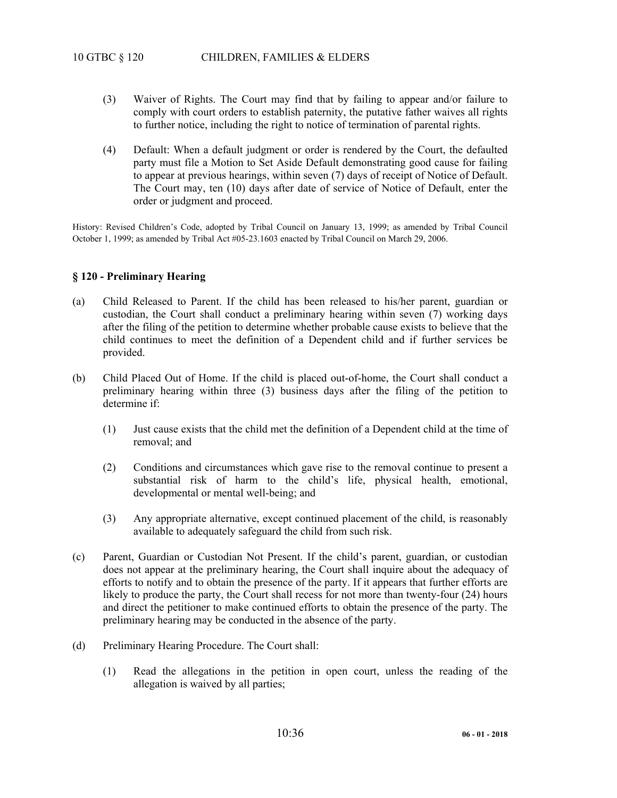- (3) Waiver of Rights. The Court may find that by failing to appear and/or failure to comply with court orders to establish paternity, the putative father waives all rights to further notice, including the right to notice of termination of parental rights.
- (4) Default: When a default judgment or order is rendered by the Court, the defaulted party must file a Motion to Set Aside Default demonstrating good cause for failing to appear at previous hearings, within seven (7) days of receipt of Notice of Default. The Court may, ten (10) days after date of service of Notice of Default, enter the order or judgment and proceed.

History: Revised Children's Code, adopted by Tribal Council on January 13, 1999; as amended by Tribal Council October 1, 1999; as amended by Tribal Act #05-23.1603 enacted by Tribal Council on March 29, 2006.

## **§ 120 - Preliminary Hearing**

- (a) Child Released to Parent. If the child has been released to his/her parent, guardian or custodian, the Court shall conduct a preliminary hearing within seven (7) working days after the filing of the petition to determine whether probable cause exists to believe that the child continues to meet the definition of a Dependent child and if further services be provided.
- (b) Child Placed Out of Home. If the child is placed out-of-home, the Court shall conduct a preliminary hearing within three (3) business days after the filing of the petition to determine if:
	- (1) Just cause exists that the child met the definition of a Dependent child at the time of removal; and
	- (2) Conditions and circumstances which gave rise to the removal continue to present a substantial risk of harm to the child's life, physical health, emotional, developmental or mental well-being; and
	- (3) Any appropriate alternative, except continued placement of the child, is reasonably available to adequately safeguard the child from such risk.
- (c) Parent, Guardian or Custodian Not Present. If the child's parent, guardian, or custodian does not appear at the preliminary hearing, the Court shall inquire about the adequacy of efforts to notify and to obtain the presence of the party. If it appears that further efforts are likely to produce the party, the Court shall recess for not more than twenty-four (24) hours and direct the petitioner to make continued efforts to obtain the presence of the party. The preliminary hearing may be conducted in the absence of the party.
- (d) Preliminary Hearing Procedure. The Court shall:
	- (1) Read the allegations in the petition in open court, unless the reading of the allegation is waived by all parties;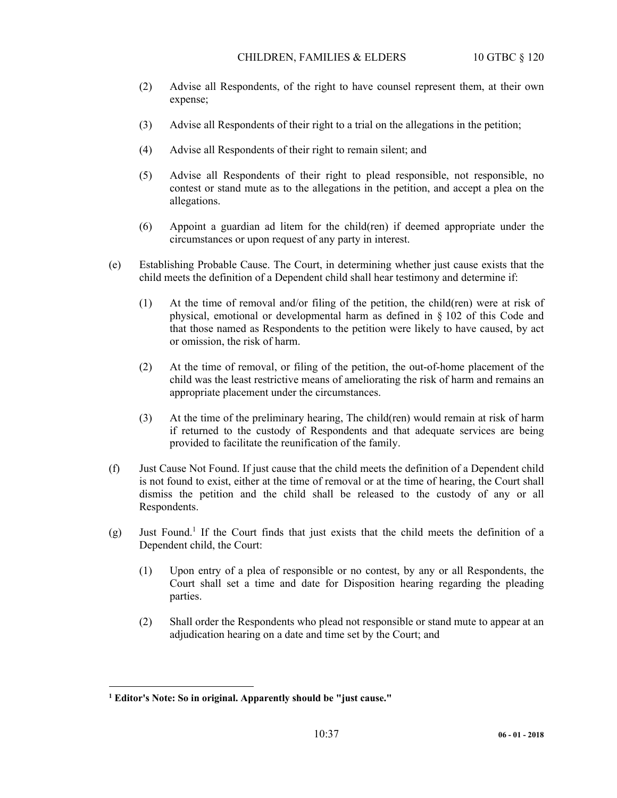- (2) Advise all Respondents, of the right to have counsel represent them, at their own expense;
- (3) Advise all Respondents of their right to a trial on the allegations in the petition;
- (4) Advise all Respondents of their right to remain silent; and
- (5) Advise all Respondents of their right to plead responsible, not responsible, no contest or stand mute as to the allegations in the petition, and accept a plea on the allegations.
- (6) Appoint a guardian ad litem for the child(ren) if deemed appropriate under the circumstances or upon request of any party in interest.
- (e) Establishing Probable Cause. The Court, in determining whether just cause exists that the child meets the definition of a Dependent child shall hear testimony and determine if:
	- (1) At the time of removal and/or filing of the petition, the child(ren) were at risk of physical, emotional or developmental harm as defined in § 102 of this Code and that those named as Respondents to the petition were likely to have caused, by act or omission, the risk of harm.
	- (2) At the time of removal, or filing of the petition, the out-of-home placement of the child was the least restrictive means of ameliorating the risk of harm and remains an appropriate placement under the circumstances.
	- (3) At the time of the preliminary hearing, The child(ren) would remain at risk of harm if returned to the custody of Respondents and that adequate services are being provided to facilitate the reunification of the family.
- (f) Just Cause Not Found. If just cause that the child meets the definition of a Dependent child is not found to exist, either at the time of removal or at the time of hearing, the Court shall dismiss the petition and the child shall be released to the custody of any or all Respondents.
- $(g)$  Just Found.<sup>1</sup> If the Court finds that just exists that the child meets the definition of a Dependent child, the Court:
	- (1) Upon entry of a plea of responsible or no contest, by any or all Respondents, the Court shall set a time and date for Disposition hearing regarding the pleading parties.
	- (2) Shall order the Respondents who plead not responsible or stand mute to appear at an adjudication hearing on a date and time set by the Court; and

1

**<sup>1</sup> Editor's Note: So in original. Apparently should be "just cause."**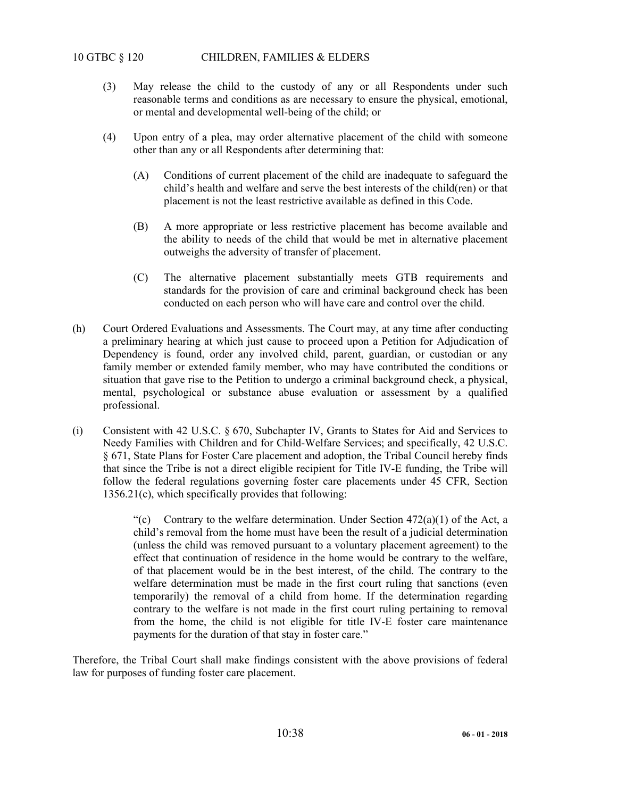# 10 GTBC § 120 CHILDREN, FAMILIES & ELDERS

- (3) May release the child to the custody of any or all Respondents under such reasonable terms and conditions as are necessary to ensure the physical, emotional, or mental and developmental well-being of the child; or
- (4) Upon entry of a plea, may order alternative placement of the child with someone other than any or all Respondents after determining that:
	- (A) Conditions of current placement of the child are inadequate to safeguard the child's health and welfare and serve the best interests of the child(ren) or that placement is not the least restrictive available as defined in this Code.
	- (B) A more appropriate or less restrictive placement has become available and the ability to needs of the child that would be met in alternative placement outweighs the adversity of transfer of placement.
	- (C) The alternative placement substantially meets GTB requirements and standards for the provision of care and criminal background check has been conducted on each person who will have care and control over the child.
- (h) Court Ordered Evaluations and Assessments. The Court may, at any time after conducting a preliminary hearing at which just cause to proceed upon a Petition for Adjudication of Dependency is found, order any involved child, parent, guardian, or custodian or any family member or extended family member, who may have contributed the conditions or situation that gave rise to the Petition to undergo a criminal background check, a physical, mental, psychological or substance abuse evaluation or assessment by a qualified professional.
- (i) Consistent with 42 U.S.C. § 670, Subchapter IV, Grants to States for Aid and Services to Needy Families with Children and for Child-Welfare Services; and specifically, 42 U.S.C. § 671, State Plans for Foster Care placement and adoption, the Tribal Council hereby finds that since the Tribe is not a direct eligible recipient for Title IV-E funding, the Tribe will follow the federal regulations governing foster care placements under 45 CFR, Section 1356.21(c), which specifically provides that following:

"(c) Contrary to the welfare determination. Under Section  $472(a)(1)$  of the Act, a child's removal from the home must have been the result of a judicial determination (unless the child was removed pursuant to a voluntary placement agreement) to the effect that continuation of residence in the home would be contrary to the welfare, of that placement would be in the best interest, of the child. The contrary to the welfare determination must be made in the first court ruling that sanctions (even temporarily) the removal of a child from home. If the determination regarding contrary to the welfare is not made in the first court ruling pertaining to removal from the home, the child is not eligible for title IV-E foster care maintenance payments for the duration of that stay in foster care."

Therefore, the Tribal Court shall make findings consistent with the above provisions of federal law for purposes of funding foster care placement.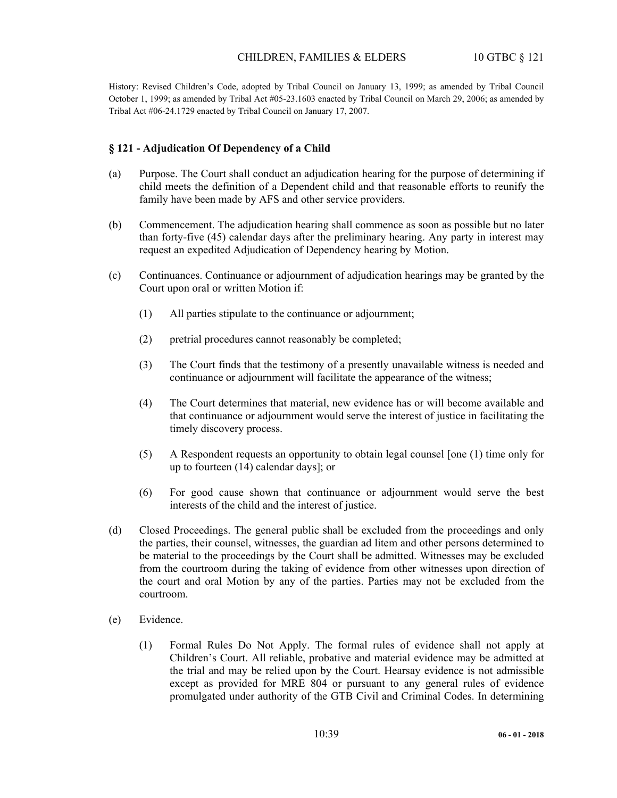History: Revised Children's Code, adopted by Tribal Council on January 13, 1999; as amended by Tribal Council October 1, 1999; as amended by Tribal Act #05-23.1603 enacted by Tribal Council on March 29, 2006; as amended by Tribal Act #06-24.1729 enacted by Tribal Council on January 17, 2007.

## **§ 121 - Adjudication Of Dependency of a Child**

- (a) Purpose. The Court shall conduct an adjudication hearing for the purpose of determining if child meets the definition of a Dependent child and that reasonable efforts to reunify the family have been made by AFS and other service providers.
- (b) Commencement. The adjudication hearing shall commence as soon as possible but no later than forty-five (45) calendar days after the preliminary hearing. Any party in interest may request an expedited Adjudication of Dependency hearing by Motion.
- (c) Continuances. Continuance or adjournment of adjudication hearings may be granted by the Court upon oral or written Motion if:
	- (1) All parties stipulate to the continuance or adjournment;
	- (2) pretrial procedures cannot reasonably be completed;
	- (3) The Court finds that the testimony of a presently unavailable witness is needed and continuance or adjournment will facilitate the appearance of the witness;
	- (4) The Court determines that material, new evidence has or will become available and that continuance or adjournment would serve the interest of justice in facilitating the timely discovery process.
	- (5) A Respondent requests an opportunity to obtain legal counsel [one (1) time only for up to fourteen (14) calendar days]; or
	- (6) For good cause shown that continuance or adjournment would serve the best interests of the child and the interest of justice.
- (d) Closed Proceedings. The general public shall be excluded from the proceedings and only the parties, their counsel, witnesses, the guardian ad litem and other persons determined to be material to the proceedings by the Court shall be admitted. Witnesses may be excluded from the courtroom during the taking of evidence from other witnesses upon direction of the court and oral Motion by any of the parties. Parties may not be excluded from the courtroom.
- (e) Evidence.
	- (1) Formal Rules Do Not Apply. The formal rules of evidence shall not apply at Children's Court. All reliable, probative and material evidence may be admitted at the trial and may be relied upon by the Court. Hearsay evidence is not admissible except as provided for MRE 804 or pursuant to any general rules of evidence promulgated under authority of the GTB Civil and Criminal Codes. In determining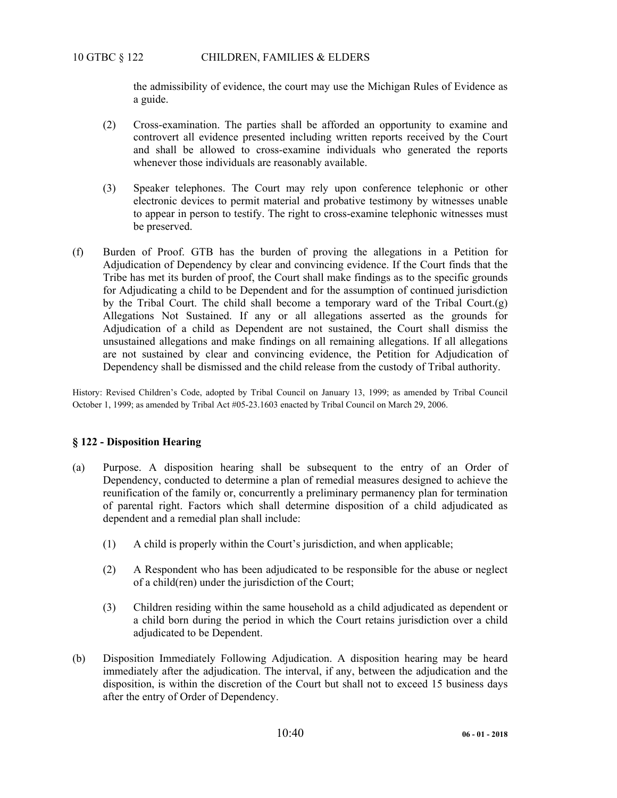the admissibility of evidence, the court may use the Michigan Rules of Evidence as a guide.

- (2) Cross-examination. The parties shall be afforded an opportunity to examine and controvert all evidence presented including written reports received by the Court and shall be allowed to cross-examine individuals who generated the reports whenever those individuals are reasonably available.
- (3) Speaker telephones. The Court may rely upon conference telephonic or other electronic devices to permit material and probative testimony by witnesses unable to appear in person to testify. The right to cross-examine telephonic witnesses must be preserved.
- (f) Burden of Proof. GTB has the burden of proving the allegations in a Petition for Adjudication of Dependency by clear and convincing evidence. If the Court finds that the Tribe has met its burden of proof, the Court shall make findings as to the specific grounds for Adjudicating a child to be Dependent and for the assumption of continued jurisdiction by the Tribal Court. The child shall become a temporary ward of the Tribal Court.(g) Allegations Not Sustained. If any or all allegations asserted as the grounds for Adjudication of a child as Dependent are not sustained, the Court shall dismiss the unsustained allegations and make findings on all remaining allegations. If all allegations are not sustained by clear and convincing evidence, the Petition for Adjudication of Dependency shall be dismissed and the child release from the custody of Tribal authority.

History: Revised Children's Code, adopted by Tribal Council on January 13, 1999; as amended by Tribal Council October 1, 1999; as amended by Tribal Act #05-23.1603 enacted by Tribal Council on March 29, 2006.

### **§ 122 - Disposition Hearing**

- (a) Purpose. A disposition hearing shall be subsequent to the entry of an Order of Dependency, conducted to determine a plan of remedial measures designed to achieve the reunification of the family or, concurrently a preliminary permanency plan for termination of parental right. Factors which shall determine disposition of a child adjudicated as dependent and a remedial plan shall include:
	- (1) A child is properly within the Court's jurisdiction, and when applicable;
	- (2) A Respondent who has been adjudicated to be responsible for the abuse or neglect of a child(ren) under the jurisdiction of the Court;
	- (3) Children residing within the same household as a child adjudicated as dependent or a child born during the period in which the Court retains jurisdiction over a child adjudicated to be Dependent.
- (b) Disposition Immediately Following Adjudication. A disposition hearing may be heard immediately after the adjudication. The interval, if any, between the adjudication and the disposition, is within the discretion of the Court but shall not to exceed 15 business days after the entry of Order of Dependency.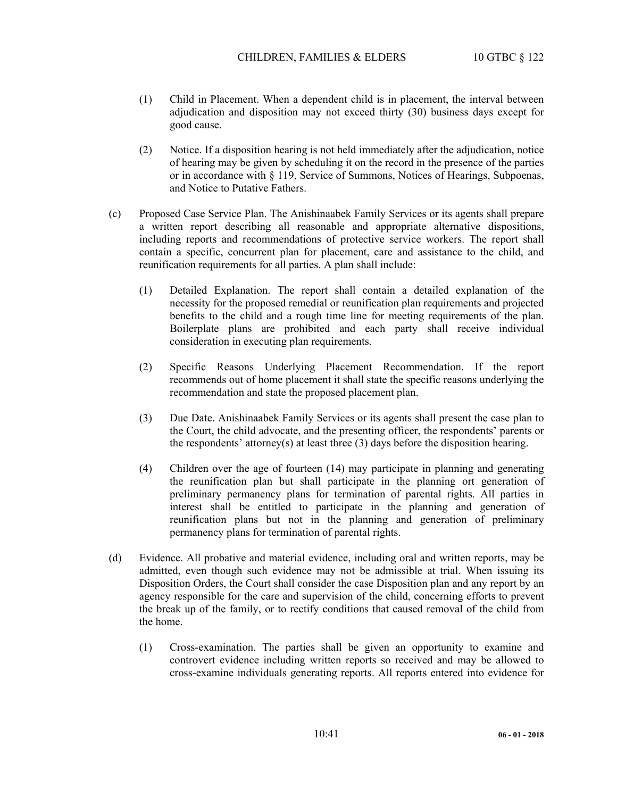- (1) Child in Placement. When a dependent child is in placement, the interval between adjudication and disposition may not exceed thirty (30) business days except for good cause.
- (2) Notice. If a disposition hearing is not held immediately after the adjudication, notice of hearing may be given by scheduling it on the record in the presence of the parties or in accordance with § 119, Service of Summons, Notices of Hearings, Subpoenas, and Notice to Putative Fathers.
- (c) Proposed Case Service Plan. The Anishinaabek Family Services or its agents shall prepare a written report describing all reasonable and appropriate alternative dispositions, including reports and recommendations of protective service workers. The report shall contain a specific, concurrent plan for placement, care and assistance to the child, and reunification requirements for all parties. A plan shall include:
	- (1) Detailed Explanation. The report shall contain a detailed explanation of the necessity for the proposed remedial or reunification plan requirements and projected benefits to the child and a rough time line for meeting requirements of the plan. Boilerplate plans are prohibited and each party shall receive individual consideration in executing plan requirements.
	- (2) Specific Reasons Underlying Placement Recommendation. If the report recommends out of home placement it shall state the specific reasons underlying the recommendation and state the proposed placement plan.
	- (3) Due Date. Anishinaabek Family Services or its agents shall present the case plan to the Court, the child advocate, and the presenting officer, the respondents' parents or the respondents' attorney(s) at least three (3) days before the disposition hearing.
	- (4) Children over the age of fourteen (14) may participate in planning and generating the reunification plan but shall participate in the planning ort generation of preliminary permanency plans for termination of parental rights. All parties in interest shall be entitled to participate in the planning and generation of reunification plans but not in the planning and generation of preliminary permanency plans for termination of parental rights.
- (d) Evidence. All probative and material evidence, including oral and written reports, may be admitted, even though such evidence may not be admissible at trial. When issuing its Disposition Orders, the Court shall consider the case Disposition plan and any report by an agency responsible for the care and supervision of the child, concerning efforts to prevent the break up of the family, or to rectify conditions that caused removal of the child from the home.
	- (1) Cross-examination. The parties shall be given an opportunity to examine and controvert evidence including written reports so received and may be allowed to cross-examine individuals generating reports. All reports entered into evidence for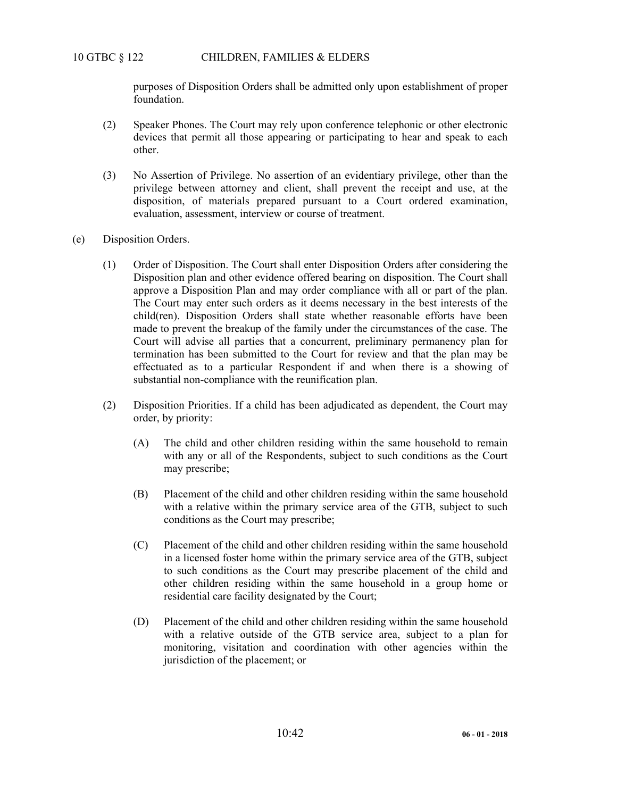purposes of Disposition Orders shall be admitted only upon establishment of proper foundation.

- (2) Speaker Phones. The Court may rely upon conference telephonic or other electronic devices that permit all those appearing or participating to hear and speak to each other.
- (3) No Assertion of Privilege. No assertion of an evidentiary privilege, other than the privilege between attorney and client, shall prevent the receipt and use, at the disposition, of materials prepared pursuant to a Court ordered examination, evaluation, assessment, interview or course of treatment.
- (e) Disposition Orders.
	- (1) Order of Disposition. The Court shall enter Disposition Orders after considering the Disposition plan and other evidence offered bearing on disposition. The Court shall approve a Disposition Plan and may order compliance with all or part of the plan. The Court may enter such orders as it deems necessary in the best interests of the child(ren). Disposition Orders shall state whether reasonable efforts have been made to prevent the breakup of the family under the circumstances of the case. The Court will advise all parties that a concurrent, preliminary permanency plan for termination has been submitted to the Court for review and that the plan may be effectuated as to a particular Respondent if and when there is a showing of substantial non-compliance with the reunification plan.
	- (2) Disposition Priorities. If a child has been adjudicated as dependent, the Court may order, by priority:
		- (A) The child and other children residing within the same household to remain with any or all of the Respondents, subject to such conditions as the Court may prescribe;
		- (B) Placement of the child and other children residing within the same household with a relative within the primary service area of the GTB, subject to such conditions as the Court may prescribe;
		- (C) Placement of the child and other children residing within the same household in a licensed foster home within the primary service area of the GTB, subject to such conditions as the Court may prescribe placement of the child and other children residing within the same household in a group home or residential care facility designated by the Court;
		- (D) Placement of the child and other children residing within the same household with a relative outside of the GTB service area, subject to a plan for monitoring, visitation and coordination with other agencies within the jurisdiction of the placement; or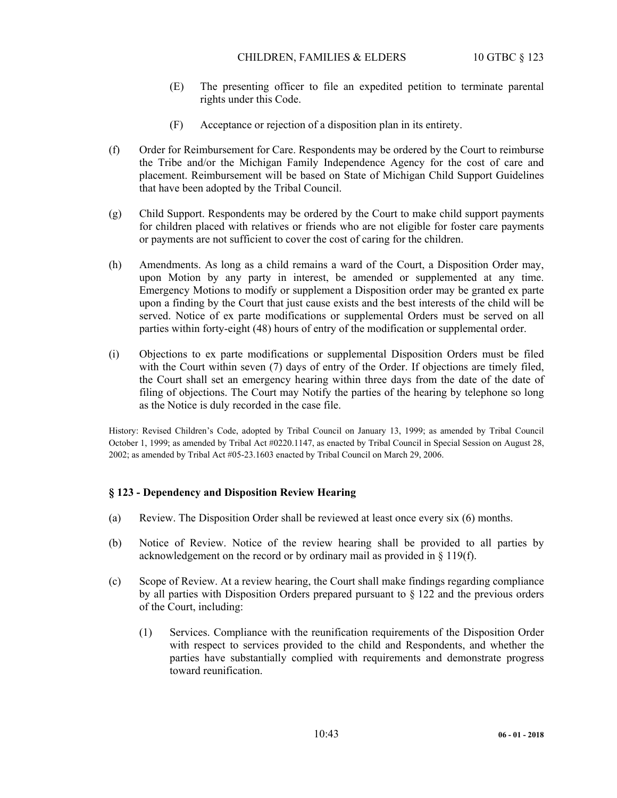- (E) The presenting officer to file an expedited petition to terminate parental rights under this Code.
- (F) Acceptance or rejection of a disposition plan in its entirety.
- (f) Order for Reimbursement for Care. Respondents may be ordered by the Court to reimburse the Tribe and/or the Michigan Family Independence Agency for the cost of care and placement. Reimbursement will be based on State of Michigan Child Support Guidelines that have been adopted by the Tribal Council.
- (g) Child Support. Respondents may be ordered by the Court to make child support payments for children placed with relatives or friends who are not eligible for foster care payments or payments are not sufficient to cover the cost of caring for the children.
- (h) Amendments. As long as a child remains a ward of the Court, a Disposition Order may, upon Motion by any party in interest, be amended or supplemented at any time. Emergency Motions to modify or supplement a Disposition order may be granted ex parte upon a finding by the Court that just cause exists and the best interests of the child will be served. Notice of ex parte modifications or supplemental Orders must be served on all parties within forty-eight (48) hours of entry of the modification or supplemental order.
- (i) Objections to ex parte modifications or supplemental Disposition Orders must be filed with the Court within seven (7) days of entry of the Order. If objections are timely filed, the Court shall set an emergency hearing within three days from the date of the date of filing of objections. The Court may Notify the parties of the hearing by telephone so long as the Notice is duly recorded in the case file.

History: Revised Children's Code, adopted by Tribal Council on January 13, 1999; as amended by Tribal Council October 1, 1999; as amended by Tribal Act #0220.1147, as enacted by Tribal Council in Special Session on August 28, 2002; as amended by Tribal Act #05-23.1603 enacted by Tribal Council on March 29, 2006.

### **§ 123 - Dependency and Disposition Review Hearing**

- (a) Review. The Disposition Order shall be reviewed at least once every six (6) months.
- (b) Notice of Review. Notice of the review hearing shall be provided to all parties by acknowledgement on the record or by ordinary mail as provided in § 119(f).
- (c) Scope of Review. At a review hearing, the Court shall make findings regarding compliance by all parties with Disposition Orders prepared pursuant to § 122 and the previous orders of the Court, including:
	- (1) Services. Compliance with the reunification requirements of the Disposition Order with respect to services provided to the child and Respondents, and whether the parties have substantially complied with requirements and demonstrate progress toward reunification.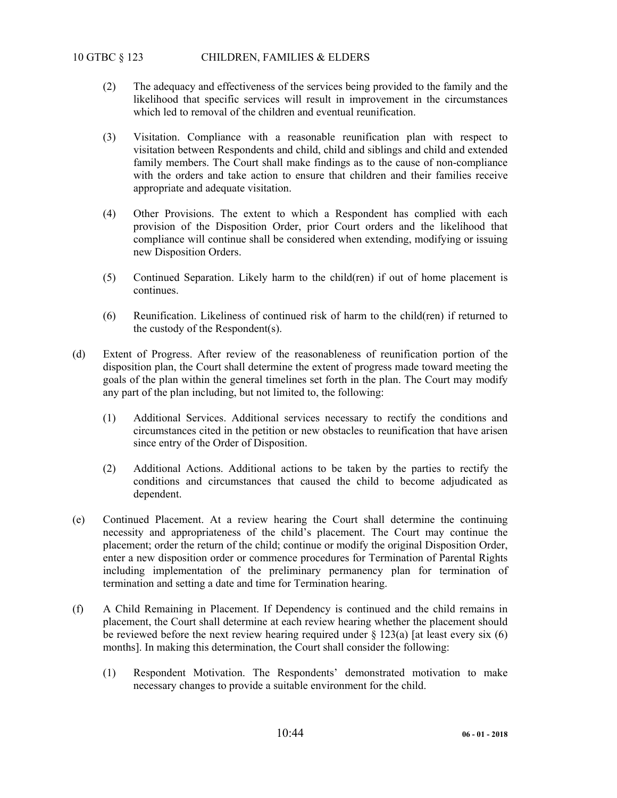# 10 GTBC § 123 CHILDREN, FAMILIES & ELDERS

- (2) The adequacy and effectiveness of the services being provided to the family and the likelihood that specific services will result in improvement in the circumstances which led to removal of the children and eventual reunification.
- (3) Visitation. Compliance with a reasonable reunification plan with respect to visitation between Respondents and child, child and siblings and child and extended family members. The Court shall make findings as to the cause of non-compliance with the orders and take action to ensure that children and their families receive appropriate and adequate visitation.
- (4) Other Provisions. The extent to which a Respondent has complied with each provision of the Disposition Order, prior Court orders and the likelihood that compliance will continue shall be considered when extending, modifying or issuing new Disposition Orders.
- (5) Continued Separation. Likely harm to the child(ren) if out of home placement is continues.
- (6) Reunification. Likeliness of continued risk of harm to the child(ren) if returned to the custody of the Respondent(s).
- (d) Extent of Progress. After review of the reasonableness of reunification portion of the disposition plan, the Court shall determine the extent of progress made toward meeting the goals of the plan within the general timelines set forth in the plan. The Court may modify any part of the plan including, but not limited to, the following:
	- (1) Additional Services. Additional services necessary to rectify the conditions and circumstances cited in the petition or new obstacles to reunification that have arisen since entry of the Order of Disposition.
	- (2) Additional Actions. Additional actions to be taken by the parties to rectify the conditions and circumstances that caused the child to become adjudicated as dependent.
- (e) Continued Placement. At a review hearing the Court shall determine the continuing necessity and appropriateness of the child's placement. The Court may continue the placement; order the return of the child; continue or modify the original Disposition Order, enter a new disposition order or commence procedures for Termination of Parental Rights including implementation of the preliminary permanency plan for termination of termination and setting a date and time for Termination hearing.
- (f) A Child Remaining in Placement. If Dependency is continued and the child remains in placement, the Court shall determine at each review hearing whether the placement should be reviewed before the next review hearing required under  $\S 123(a)$  [at least every six (6) months]. In making this determination, the Court shall consider the following:
	- (1) Respondent Motivation. The Respondents' demonstrated motivation to make necessary changes to provide a suitable environment for the child.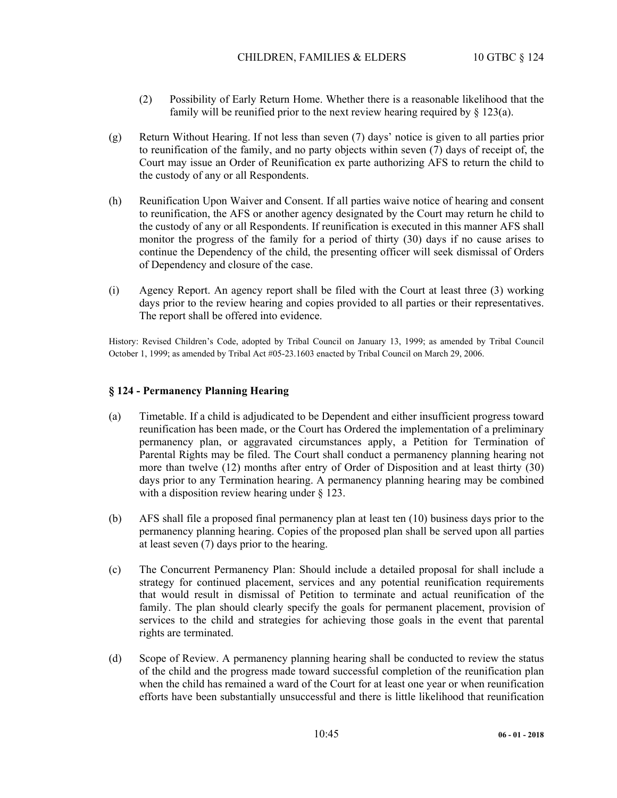- (2) Possibility of Early Return Home. Whether there is a reasonable likelihood that the family will be reunified prior to the next review hearing required by  $\S$  123(a).
- (g) Return Without Hearing. If not less than seven (7) days' notice is given to all parties prior to reunification of the family, and no party objects within seven (7) days of receipt of, the Court may issue an Order of Reunification ex parte authorizing AFS to return the child to the custody of any or all Respondents.
- (h) Reunification Upon Waiver and Consent. If all parties waive notice of hearing and consent to reunification, the AFS or another agency designated by the Court may return he child to the custody of any or all Respondents. If reunification is executed in this manner AFS shall monitor the progress of the family for a period of thirty (30) days if no cause arises to continue the Dependency of the child, the presenting officer will seek dismissal of Orders of Dependency and closure of the case.
- (i) Agency Report. An agency report shall be filed with the Court at least three (3) working days prior to the review hearing and copies provided to all parties or their representatives. The report shall be offered into evidence.

History: Revised Children's Code, adopted by Tribal Council on January 13, 1999; as amended by Tribal Council October 1, 1999; as amended by Tribal Act #05-23.1603 enacted by Tribal Council on March 29, 2006.

### **§ 124 - Permanency Planning Hearing**

- (a) Timetable. If a child is adjudicated to be Dependent and either insufficient progress toward reunification has been made, or the Court has Ordered the implementation of a preliminary permanency plan, or aggravated circumstances apply, a Petition for Termination of Parental Rights may be filed. The Court shall conduct a permanency planning hearing not more than twelve (12) months after entry of Order of Disposition and at least thirty (30) days prior to any Termination hearing. A permanency planning hearing may be combined with a disposition review hearing under § 123.
- (b) AFS shall file a proposed final permanency plan at least ten (10) business days prior to the permanency planning hearing. Copies of the proposed plan shall be served upon all parties at least seven (7) days prior to the hearing.
- (c) The Concurrent Permanency Plan: Should include a detailed proposal for shall include a strategy for continued placement, services and any potential reunification requirements that would result in dismissal of Petition to terminate and actual reunification of the family. The plan should clearly specify the goals for permanent placement, provision of services to the child and strategies for achieving those goals in the event that parental rights are terminated.
- (d) Scope of Review. A permanency planning hearing shall be conducted to review the status of the child and the progress made toward successful completion of the reunification plan when the child has remained a ward of the Court for at least one year or when reunification efforts have been substantially unsuccessful and there is little likelihood that reunification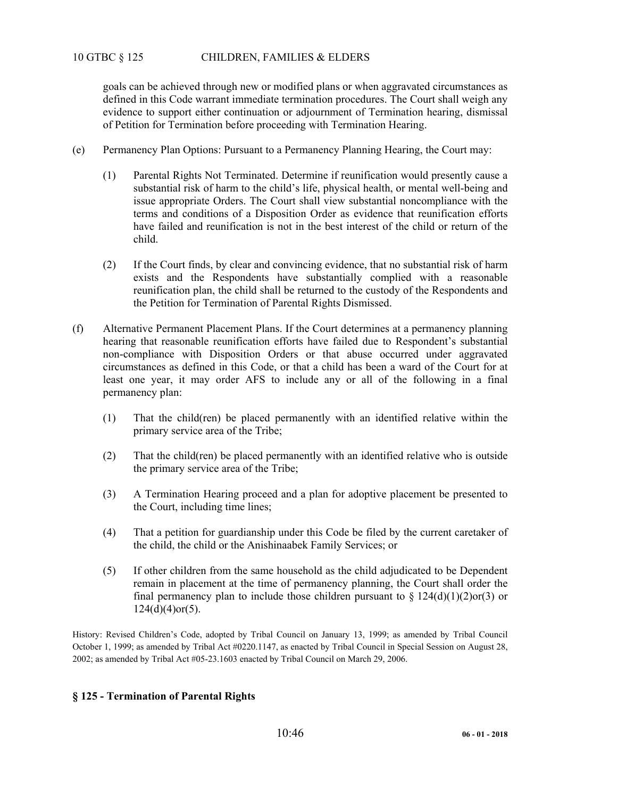goals can be achieved through new or modified plans or when aggravated circumstances as defined in this Code warrant immediate termination procedures. The Court shall weigh any evidence to support either continuation or adjournment of Termination hearing, dismissal of Petition for Termination before proceeding with Termination Hearing.

- (e) Permanency Plan Options: Pursuant to a Permanency Planning Hearing, the Court may:
	- (1) Parental Rights Not Terminated. Determine if reunification would presently cause a substantial risk of harm to the child's life, physical health, or mental well-being and issue appropriate Orders. The Court shall view substantial noncompliance with the terms and conditions of a Disposition Order as evidence that reunification efforts have failed and reunification is not in the best interest of the child or return of the child.
	- (2) If the Court finds, by clear and convincing evidence, that no substantial risk of harm exists and the Respondents have substantially complied with a reasonable reunification plan, the child shall be returned to the custody of the Respondents and the Petition for Termination of Parental Rights Dismissed.
- (f) Alternative Permanent Placement Plans. If the Court determines at a permanency planning hearing that reasonable reunification efforts have failed due to Respondent's substantial non-compliance with Disposition Orders or that abuse occurred under aggravated circumstances as defined in this Code, or that a child has been a ward of the Court for at least one year, it may order AFS to include any or all of the following in a final permanency plan:
	- (1) That the child(ren) be placed permanently with an identified relative within the primary service area of the Tribe;
	- (2) That the child(ren) be placed permanently with an identified relative who is outside the primary service area of the Tribe;
	- (3) A Termination Hearing proceed and a plan for adoptive placement be presented to the Court, including time lines;
	- (4) That a petition for guardianship under this Code be filed by the current caretaker of the child, the child or the Anishinaabek Family Services; or
	- (5) If other children from the same household as the child adjudicated to be Dependent remain in placement at the time of permanency planning, the Court shall order the final permanency plan to include those children pursuant to  $\S 124(d)(1)(2)$ or(3) or 124(d)(4)or(5).

History: Revised Children's Code, adopted by Tribal Council on January 13, 1999; as amended by Tribal Council October 1, 1999; as amended by Tribal Act #0220.1147, as enacted by Tribal Council in Special Session on August 28, 2002; as amended by Tribal Act #05-23.1603 enacted by Tribal Council on March 29, 2006.

# **§ 125 - Termination of Parental Rights**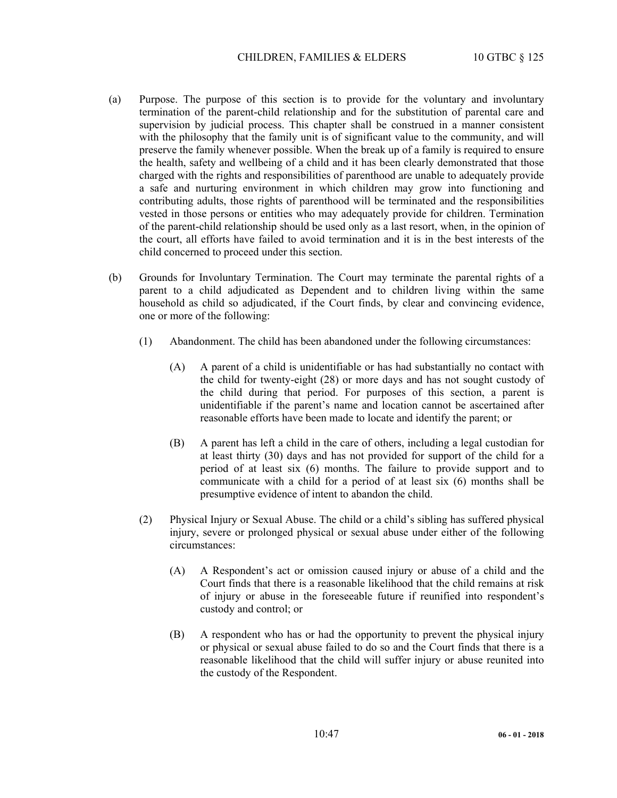- (a) Purpose. The purpose of this section is to provide for the voluntary and involuntary termination of the parent-child relationship and for the substitution of parental care and supervision by judicial process. This chapter shall be construed in a manner consistent with the philosophy that the family unit is of significant value to the community, and will preserve the family whenever possible. When the break up of a family is required to ensure the health, safety and wellbeing of a child and it has been clearly demonstrated that those charged with the rights and responsibilities of parenthood are unable to adequately provide a safe and nurturing environment in which children may grow into functioning and contributing adults, those rights of parenthood will be terminated and the responsibilities vested in those persons or entities who may adequately provide for children. Termination of the parent-child relationship should be used only as a last resort, when, in the opinion of the court, all efforts have failed to avoid termination and it is in the best interests of the child concerned to proceed under this section.
- (b) Grounds for Involuntary Termination. The Court may terminate the parental rights of a parent to a child adjudicated as Dependent and to children living within the same household as child so adjudicated, if the Court finds, by clear and convincing evidence, one or more of the following:
	- (1) Abandonment. The child has been abandoned under the following circumstances:
		- (A) A parent of a child is unidentifiable or has had substantially no contact with the child for twenty-eight (28) or more days and has not sought custody of the child during that period. For purposes of this section, a parent is unidentifiable if the parent's name and location cannot be ascertained after reasonable efforts have been made to locate and identify the parent; or
		- (B) A parent has left a child in the care of others, including a legal custodian for at least thirty (30) days and has not provided for support of the child for a period of at least six (6) months. The failure to provide support and to communicate with a child for a period of at least six (6) months shall be presumptive evidence of intent to abandon the child.
	- (2) Physical Injury or Sexual Abuse. The child or a child's sibling has suffered physical injury, severe or prolonged physical or sexual abuse under either of the following circumstances:
		- (A) A Respondent's act or omission caused injury or abuse of a child and the Court finds that there is a reasonable likelihood that the child remains at risk of injury or abuse in the foreseeable future if reunified into respondent's custody and control; or
		- (B) A respondent who has or had the opportunity to prevent the physical injury or physical or sexual abuse failed to do so and the Court finds that there is a reasonable likelihood that the child will suffer injury or abuse reunited into the custody of the Respondent.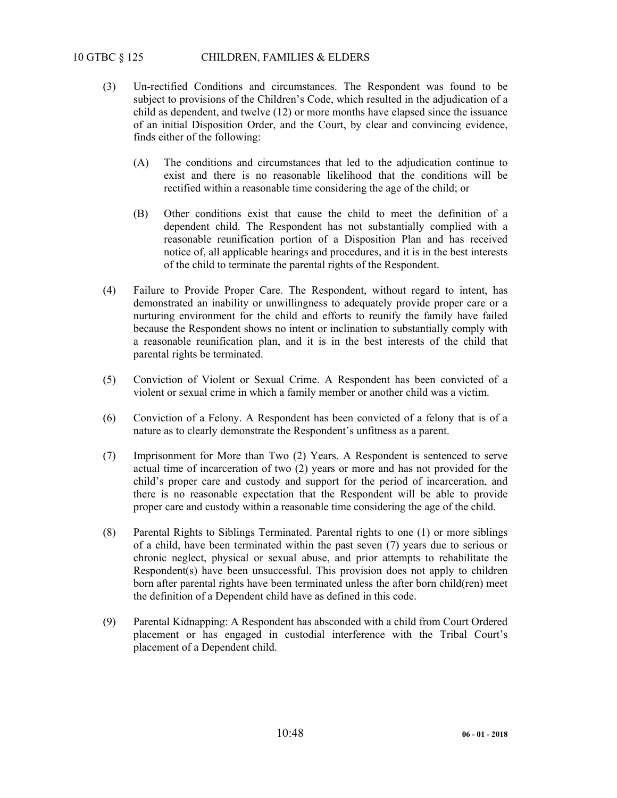# 10 GTBC § 125 CHILDREN, FAMILIES & ELDERS

- (3) Un-rectified Conditions and circumstances. The Respondent was found to be subject to provisions of the Children's Code, which resulted in the adjudication of a child as dependent, and twelve (12) or more months have elapsed since the issuance of an initial Disposition Order, and the Court, by clear and convincing evidence, finds either of the following:
	- (A) The conditions and circumstances that led to the adjudication continue to exist and there is no reasonable likelihood that the conditions will be rectified within a reasonable time considering the age of the child; or
	- (B) Other conditions exist that cause the child to meet the definition of a dependent child. The Respondent has not substantially complied with a reasonable reunification portion of a Disposition Plan and has received notice of, all applicable hearings and procedures, and it is in the best interests of the child to terminate the parental rights of the Respondent.
- (4) Failure to Provide Proper Care. The Respondent, without regard to intent, has demonstrated an inability or unwillingness to adequately provide proper care or a nurturing environment for the child and efforts to reunify the family have failed because the Respondent shows no intent or inclination to substantially comply with a reasonable reunification plan, and it is in the best interests of the child that parental rights be terminated.
- (5) Conviction of Violent or Sexual Crime. A Respondent has been convicted of a violent or sexual crime in which a family member or another child was a victim.
- (6) Conviction of a Felony. A Respondent has been convicted of a felony that is of a nature as to clearly demonstrate the Respondent's unfitness as a parent.
- (7) Imprisonment for More than Two (2) Years. A Respondent is sentenced to serve actual time of incarceration of two (2) years or more and has not provided for the child's proper care and custody and support for the period of incarceration, and there is no reasonable expectation that the Respondent will be able to provide proper care and custody within a reasonable time considering the age of the child.
- (8) Parental Rights to Siblings Terminated. Parental rights to one (1) or more siblings of a child, have been terminated within the past seven (7) years due to serious or chronic neglect, physical or sexual abuse, and prior attempts to rehabilitate the Respondent(s) have been unsuccessful. This provision does not apply to children born after parental rights have been terminated unless the after born child(ren) meet the definition of a Dependent child have as defined in this code.
- (9) Parental Kidnapping: A Respondent has absconded with a child from Court Ordered placement or has engaged in custodial interference with the Tribal Court's placement of a Dependent child.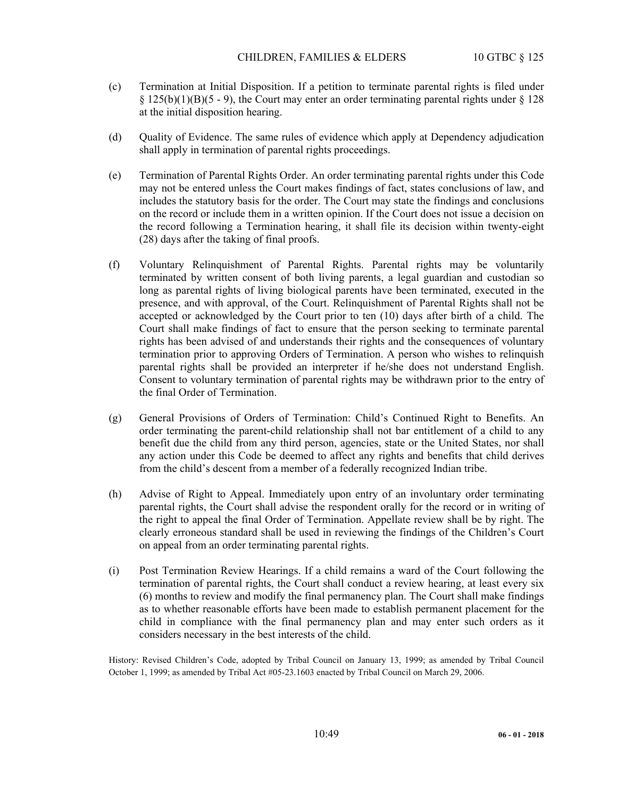- (c) Termination at Initial Disposition. If a petition to terminate parental rights is filed under  $\S 125(b)(1)(B)(5 - 9)$ , the Court may enter an order terminating parental rights under  $\S 128$ at the initial disposition hearing.
- (d) Quality of Evidence. The same rules of evidence which apply at Dependency adjudication shall apply in termination of parental rights proceedings.
- (e) Termination of Parental Rights Order. An order terminating parental rights under this Code may not be entered unless the Court makes findings of fact, states conclusions of law, and includes the statutory basis for the order. The Court may state the findings and conclusions on the record or include them in a written opinion. If the Court does not issue a decision on the record following a Termination hearing, it shall file its decision within twenty-eight (28) days after the taking of final proofs.
- (f) Voluntary Relinquishment of Parental Rights. Parental rights may be voluntarily terminated by written consent of both living parents, a legal guardian and custodian so long as parental rights of living biological parents have been terminated, executed in the presence, and with approval, of the Court. Relinquishment of Parental Rights shall not be accepted or acknowledged by the Court prior to ten (10) days after birth of a child. The Court shall make findings of fact to ensure that the person seeking to terminate parental rights has been advised of and understands their rights and the consequences of voluntary termination prior to approving Orders of Termination. A person who wishes to relinquish parental rights shall be provided an interpreter if he/she does not understand English. Consent to voluntary termination of parental rights may be withdrawn prior to the entry of the final Order of Termination.
- (g) General Provisions of Orders of Termination: Child's Continued Right to Benefits. An order terminating the parent-child relationship shall not bar entitlement of a child to any benefit due the child from any third person, agencies, state or the United States, nor shall any action under this Code be deemed to affect any rights and benefits that child derives from the child's descent from a member of a federally recognized Indian tribe.
- (h) Advise of Right to Appeal. Immediately upon entry of an involuntary order terminating parental rights, the Court shall advise the respondent orally for the record or in writing of the right to appeal the final Order of Termination. Appellate review shall be by right. The clearly erroneous standard shall be used in reviewing the findings of the Children's Court on appeal from an order terminating parental rights.
- (i) Post Termination Review Hearings. If a child remains a ward of the Court following the termination of parental rights, the Court shall conduct a review hearing, at least every six (6) months to review and modify the final permanency plan. The Court shall make findings as to whether reasonable efforts have been made to establish permanent placement for the child in compliance with the final permanency plan and may enter such orders as it considers necessary in the best interests of the child.

History: Revised Children's Code, adopted by Tribal Council on January 13, 1999; as amended by Tribal Council October 1, 1999; as amended by Tribal Act #05-23.1603 enacted by Tribal Council on March 29, 2006.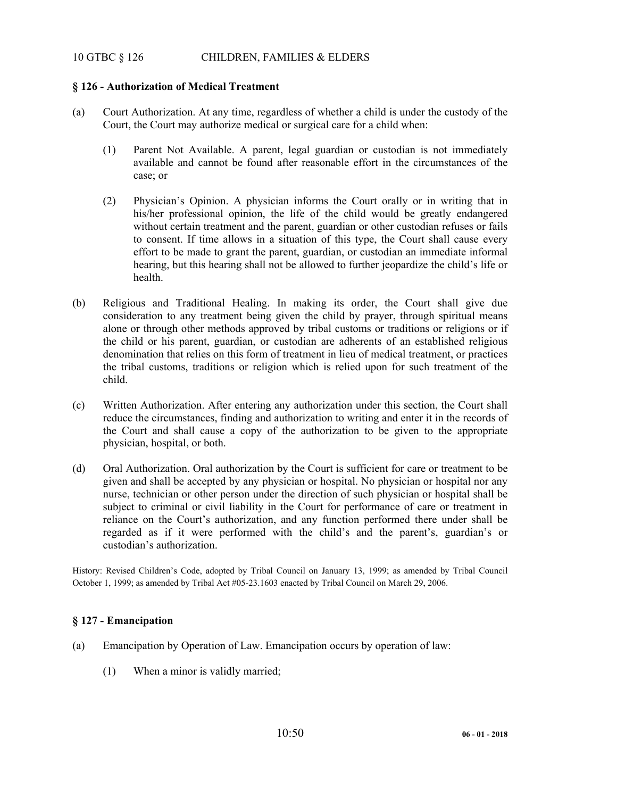# 10 GTBC § 126 CHILDREN, FAMILIES & ELDERS

## **§ 126 - Authorization of Medical Treatment**

- (a) Court Authorization. At any time, regardless of whether a child is under the custody of the Court, the Court may authorize medical or surgical care for a child when:
	- (1) Parent Not Available. A parent, legal guardian or custodian is not immediately available and cannot be found after reasonable effort in the circumstances of the case; or
	- (2) Physician's Opinion. A physician informs the Court orally or in writing that in his/her professional opinion, the life of the child would be greatly endangered without certain treatment and the parent, guardian or other custodian refuses or fails to consent. If time allows in a situation of this type, the Court shall cause every effort to be made to grant the parent, guardian, or custodian an immediate informal hearing, but this hearing shall not be allowed to further jeopardize the child's life or health.
- (b) Religious and Traditional Healing. In making its order, the Court shall give due consideration to any treatment being given the child by prayer, through spiritual means alone or through other methods approved by tribal customs or traditions or religions or if the child or his parent, guardian, or custodian are adherents of an established religious denomination that relies on this form of treatment in lieu of medical treatment, or practices the tribal customs, traditions or religion which is relied upon for such treatment of the child.
- (c) Written Authorization. After entering any authorization under this section, the Court shall reduce the circumstances, finding and authorization to writing and enter it in the records of the Court and shall cause a copy of the authorization to be given to the appropriate physician, hospital, or both.
- (d) Oral Authorization. Oral authorization by the Court is sufficient for care or treatment to be given and shall be accepted by any physician or hospital. No physician or hospital nor any nurse, technician or other person under the direction of such physician or hospital shall be subject to criminal or civil liability in the Court for performance of care or treatment in reliance on the Court's authorization, and any function performed there under shall be regarded as if it were performed with the child's and the parent's, guardian's or custodian's authorization.

History: Revised Children's Code, adopted by Tribal Council on January 13, 1999; as amended by Tribal Council October 1, 1999; as amended by Tribal Act #05-23.1603 enacted by Tribal Council on March 29, 2006.

# **§ 127 - Emancipation**

- (a) Emancipation by Operation of Law. Emancipation occurs by operation of law:
	- (1) When a minor is validly married;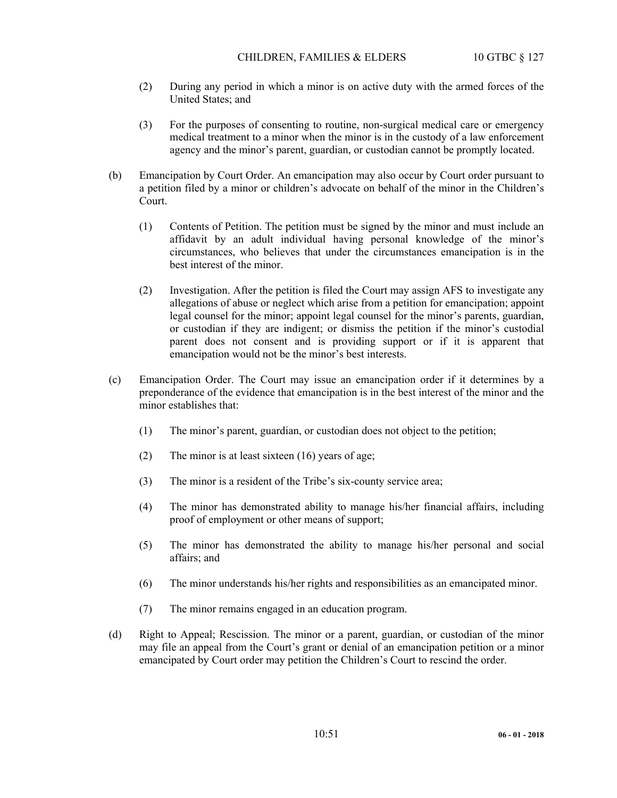### CHILDREN, FAMILIES & ELDERS 10 GTBC § 127

- (2) During any period in which a minor is on active duty with the armed forces of the United States; and
- (3) For the purposes of consenting to routine, non-surgical medical care or emergency medical treatment to a minor when the minor is in the custody of a law enforcement agency and the minor's parent, guardian, or custodian cannot be promptly located.
- (b) Emancipation by Court Order. An emancipation may also occur by Court order pursuant to a petition filed by a minor or children's advocate on behalf of the minor in the Children's Court.
	- (1) Contents of Petition. The petition must be signed by the minor and must include an affidavit by an adult individual having personal knowledge of the minor's circumstances, who believes that under the circumstances emancipation is in the best interest of the minor.
	- (2) Investigation. After the petition is filed the Court may assign AFS to investigate any allegations of abuse or neglect which arise from a petition for emancipation; appoint legal counsel for the minor; appoint legal counsel for the minor's parents, guardian, or custodian if they are indigent; or dismiss the petition if the minor's custodial parent does not consent and is providing support or if it is apparent that emancipation would not be the minor's best interests.
- (c) Emancipation Order. The Court may issue an emancipation order if it determines by a preponderance of the evidence that emancipation is in the best interest of the minor and the minor establishes that:
	- (1) The minor's parent, guardian, or custodian does not object to the petition;
	- (2) The minor is at least sixteen (16) years of age;
	- (3) The minor is a resident of the Tribe's six-county service area;
	- (4) The minor has demonstrated ability to manage his/her financial affairs, including proof of employment or other means of support;
	- (5) The minor has demonstrated the ability to manage his/her personal and social affairs; and
	- (6) The minor understands his/her rights and responsibilities as an emancipated minor.
	- (7) The minor remains engaged in an education program.
- (d) Right to Appeal; Rescission. The minor or a parent, guardian, or custodian of the minor may file an appeal from the Court's grant or denial of an emancipation petition or a minor emancipated by Court order may petition the Children's Court to rescind the order.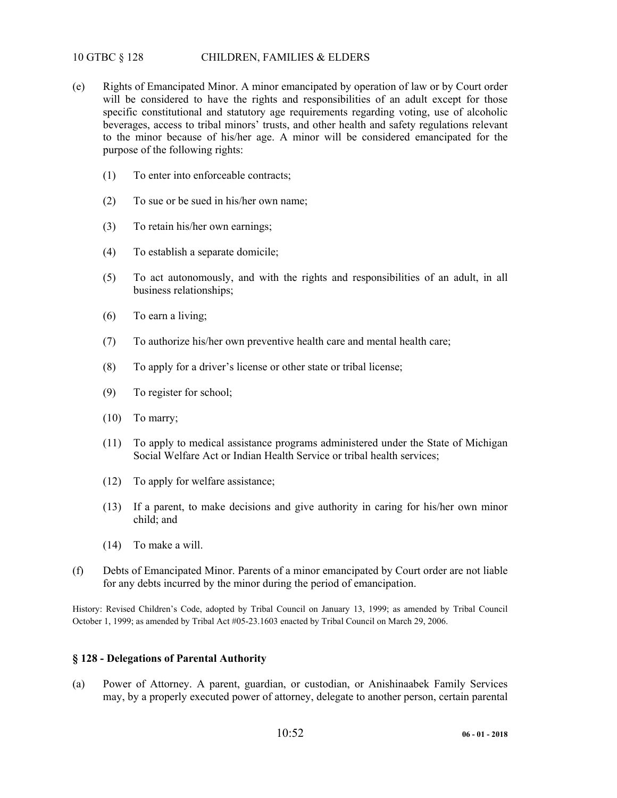# 10 GTBC § 128 CHILDREN, FAMILIES & ELDERS

- (e) Rights of Emancipated Minor. A minor emancipated by operation of law or by Court order will be considered to have the rights and responsibilities of an adult except for those specific constitutional and statutory age requirements regarding voting, use of alcoholic beverages, access to tribal minors' trusts, and other health and safety regulations relevant to the minor because of his/her age. A minor will be considered emancipated for the purpose of the following rights:
	- (1) To enter into enforceable contracts;
	- (2) To sue or be sued in his/her own name;
	- (3) To retain his/her own earnings;
	- (4) To establish a separate domicile;
	- (5) To act autonomously, and with the rights and responsibilities of an adult, in all business relationships;
	- (6) To earn a living;
	- (7) To authorize his/her own preventive health care and mental health care;
	- (8) To apply for a driver's license or other state or tribal license;
	- (9) To register for school;
	- (10) To marry;
	- (11) To apply to medical assistance programs administered under the State of Michigan Social Welfare Act or Indian Health Service or tribal health services;
	- (12) To apply for welfare assistance;
	- (13) If a parent, to make decisions and give authority in caring for his/her own minor child; and
	- (14) To make a will.
- (f) Debts of Emancipated Minor. Parents of a minor emancipated by Court order are not liable for any debts incurred by the minor during the period of emancipation.

History: Revised Children's Code, adopted by Tribal Council on January 13, 1999; as amended by Tribal Council October 1, 1999; as amended by Tribal Act #05-23.1603 enacted by Tribal Council on March 29, 2006.

### **§ 128 - Delegations of Parental Authority**

(a) Power of Attorney. A parent, guardian, or custodian, or Anishinaabek Family Services may, by a properly executed power of attorney, delegate to another person, certain parental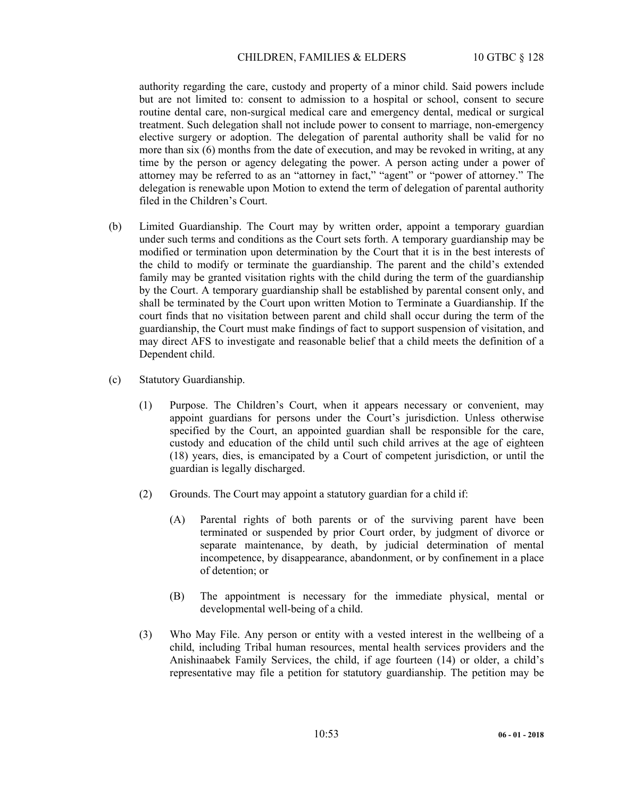### CHILDREN, FAMILIES & ELDERS 10 GTBC § 128

authority regarding the care, custody and property of a minor child. Said powers include but are not limited to: consent to admission to a hospital or school, consent to secure routine dental care, non-surgical medical care and emergency dental, medical or surgical treatment. Such delegation shall not include power to consent to marriage, non-emergency elective surgery or adoption. The delegation of parental authority shall be valid for no more than six (6) months from the date of execution, and may be revoked in writing, at any time by the person or agency delegating the power. A person acting under a power of attorney may be referred to as an "attorney in fact," "agent" or "power of attorney." The delegation is renewable upon Motion to extend the term of delegation of parental authority filed in the Children's Court.

- (b) Limited Guardianship. The Court may by written order, appoint a temporary guardian under such terms and conditions as the Court sets forth. A temporary guardianship may be modified or termination upon determination by the Court that it is in the best interests of the child to modify or terminate the guardianship. The parent and the child's extended family may be granted visitation rights with the child during the term of the guardianship by the Court. A temporary guardianship shall be established by parental consent only, and shall be terminated by the Court upon written Motion to Terminate a Guardianship. If the court finds that no visitation between parent and child shall occur during the term of the guardianship, the Court must make findings of fact to support suspension of visitation, and may direct AFS to investigate and reasonable belief that a child meets the definition of a Dependent child.
- (c) Statutory Guardianship.
	- (1) Purpose. The Children's Court, when it appears necessary or convenient, may appoint guardians for persons under the Court's jurisdiction. Unless otherwise specified by the Court, an appointed guardian shall be responsible for the care, custody and education of the child until such child arrives at the age of eighteen (18) years, dies, is emancipated by a Court of competent jurisdiction, or until the guardian is legally discharged.
	- (2) Grounds. The Court may appoint a statutory guardian for a child if:
		- (A) Parental rights of both parents or of the surviving parent have been terminated or suspended by prior Court order, by judgment of divorce or separate maintenance, by death, by judicial determination of mental incompetence, by disappearance, abandonment, or by confinement in a place of detention; or
		- (B) The appointment is necessary for the immediate physical, mental or developmental well-being of a child.
	- (3) Who May File. Any person or entity with a vested interest in the wellbeing of a child, including Tribal human resources, mental health services providers and the Anishinaabek Family Services, the child, if age fourteen (14) or older, a child's representative may file a petition for statutory guardianship. The petition may be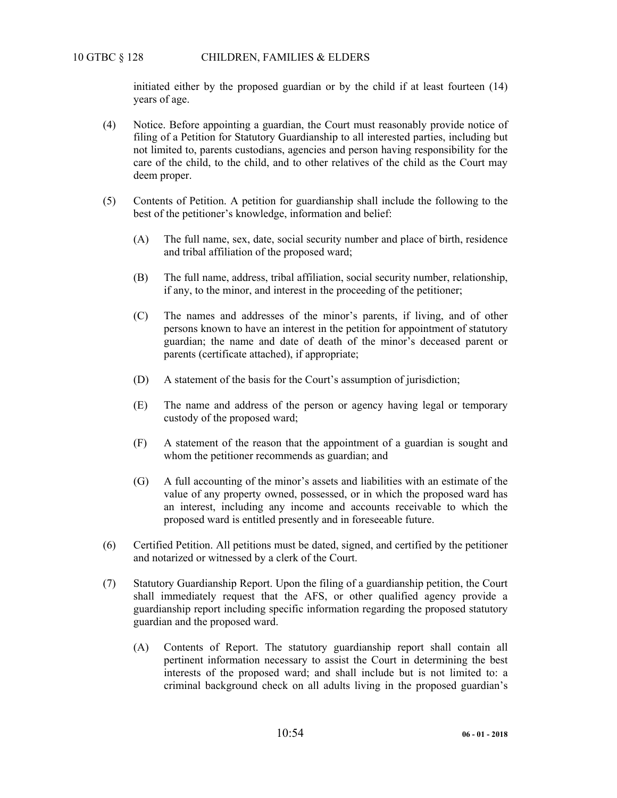initiated either by the proposed guardian or by the child if at least fourteen (14) years of age.

- (4) Notice. Before appointing a guardian, the Court must reasonably provide notice of filing of a Petition for Statutory Guardianship to all interested parties, including but not limited to, parents custodians, agencies and person having responsibility for the care of the child, to the child, and to other relatives of the child as the Court may deem proper.
- (5) Contents of Petition. A petition for guardianship shall include the following to the best of the petitioner's knowledge, information and belief:
	- (A) The full name, sex, date, social security number and place of birth, residence and tribal affiliation of the proposed ward;
	- (B) The full name, address, tribal affiliation, social security number, relationship, if any, to the minor, and interest in the proceeding of the petitioner;
	- (C) The names and addresses of the minor's parents, if living, and of other persons known to have an interest in the petition for appointment of statutory guardian; the name and date of death of the minor's deceased parent or parents (certificate attached), if appropriate;
	- (D) A statement of the basis for the Court's assumption of jurisdiction;
	- (E) The name and address of the person or agency having legal or temporary custody of the proposed ward;
	- (F) A statement of the reason that the appointment of a guardian is sought and whom the petitioner recommends as guardian; and
	- (G) A full accounting of the minor's assets and liabilities with an estimate of the value of any property owned, possessed, or in which the proposed ward has an interest, including any income and accounts receivable to which the proposed ward is entitled presently and in foreseeable future.
- (6) Certified Petition. All petitions must be dated, signed, and certified by the petitioner and notarized or witnessed by a clerk of the Court.
- (7) Statutory Guardianship Report. Upon the filing of a guardianship petition, the Court shall immediately request that the AFS, or other qualified agency provide a guardianship report including specific information regarding the proposed statutory guardian and the proposed ward.
	- (A) Contents of Report. The statutory guardianship report shall contain all pertinent information necessary to assist the Court in determining the best interests of the proposed ward; and shall include but is not limited to: a criminal background check on all adults living in the proposed guardian's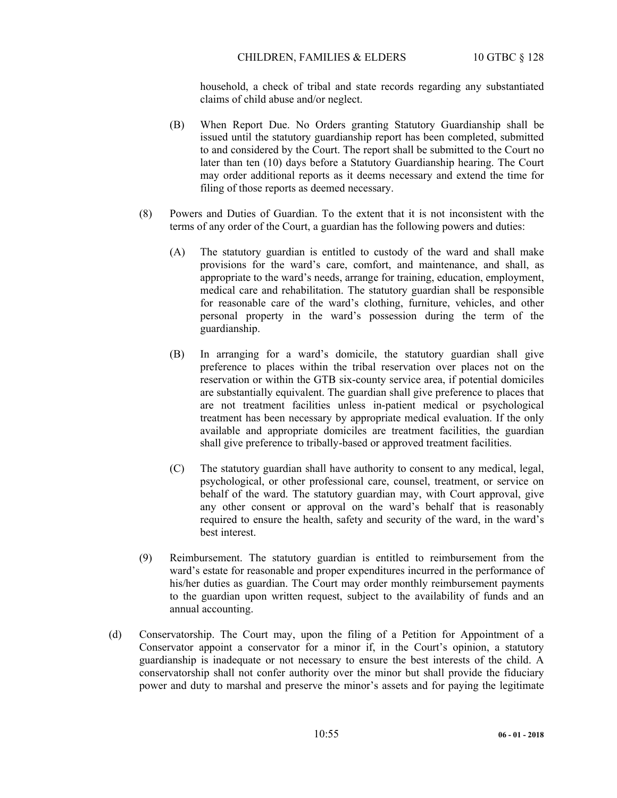### CHILDREN, FAMILIES & ELDERS 10 GTBC § 128

household, a check of tribal and state records regarding any substantiated claims of child abuse and/or neglect.

- (B) When Report Due. No Orders granting Statutory Guardianship shall be issued until the statutory guardianship report has been completed, submitted to and considered by the Court. The report shall be submitted to the Court no later than ten (10) days before a Statutory Guardianship hearing. The Court may order additional reports as it deems necessary and extend the time for filing of those reports as deemed necessary.
- (8) Powers and Duties of Guardian. To the extent that it is not inconsistent with the terms of any order of the Court, a guardian has the following powers and duties:
	- (A) The statutory guardian is entitled to custody of the ward and shall make provisions for the ward's care, comfort, and maintenance, and shall, as appropriate to the ward's needs, arrange for training, education, employment, medical care and rehabilitation. The statutory guardian shall be responsible for reasonable care of the ward's clothing, furniture, vehicles, and other personal property in the ward's possession during the term of the guardianship.
	- (B) In arranging for a ward's domicile, the statutory guardian shall give preference to places within the tribal reservation over places not on the reservation or within the GTB six-county service area, if potential domiciles are substantially equivalent. The guardian shall give preference to places that are not treatment facilities unless in-patient medical or psychological treatment has been necessary by appropriate medical evaluation. If the only available and appropriate domiciles are treatment facilities, the guardian shall give preference to tribally-based or approved treatment facilities.
	- (C) The statutory guardian shall have authority to consent to any medical, legal, psychological, or other professional care, counsel, treatment, or service on behalf of the ward. The statutory guardian may, with Court approval, give any other consent or approval on the ward's behalf that is reasonably required to ensure the health, safety and security of the ward, in the ward's best interest.
- (9) Reimbursement. The statutory guardian is entitled to reimbursement from the ward's estate for reasonable and proper expenditures incurred in the performance of his/her duties as guardian. The Court may order monthly reimbursement payments to the guardian upon written request, subject to the availability of funds and an annual accounting.
- (d) Conservatorship. The Court may, upon the filing of a Petition for Appointment of a Conservator appoint a conservator for a minor if, in the Court's opinion, a statutory guardianship is inadequate or not necessary to ensure the best interests of the child. A conservatorship shall not confer authority over the minor but shall provide the fiduciary power and duty to marshal and preserve the minor's assets and for paying the legitimate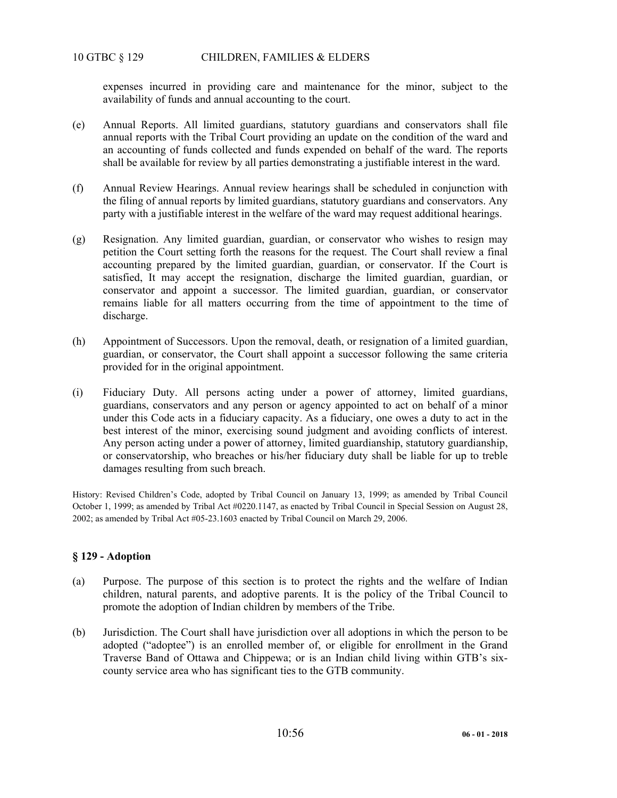# 10 GTBC § 129 CHILDREN, FAMILIES & ELDERS

expenses incurred in providing care and maintenance for the minor, subject to the availability of funds and annual accounting to the court.

- (e) Annual Reports. All limited guardians, statutory guardians and conservators shall file annual reports with the Tribal Court providing an update on the condition of the ward and an accounting of funds collected and funds expended on behalf of the ward. The reports shall be available for review by all parties demonstrating a justifiable interest in the ward.
- (f) Annual Review Hearings. Annual review hearings shall be scheduled in conjunction with the filing of annual reports by limited guardians, statutory guardians and conservators. Any party with a justifiable interest in the welfare of the ward may request additional hearings.
- (g) Resignation. Any limited guardian, guardian, or conservator who wishes to resign may petition the Court setting forth the reasons for the request. The Court shall review a final accounting prepared by the limited guardian, guardian, or conservator. If the Court is satisfied, It may accept the resignation, discharge the limited guardian, guardian, or conservator and appoint a successor. The limited guardian, guardian, or conservator remains liable for all matters occurring from the time of appointment to the time of discharge.
- (h) Appointment of Successors. Upon the removal, death, or resignation of a limited guardian, guardian, or conservator, the Court shall appoint a successor following the same criteria provided for in the original appointment.
- (i) Fiduciary Duty. All persons acting under a power of attorney, limited guardians, guardians, conservators and any person or agency appointed to act on behalf of a minor under this Code acts in a fiduciary capacity. As a fiduciary, one owes a duty to act in the best interest of the minor, exercising sound judgment and avoiding conflicts of interest. Any person acting under a power of attorney, limited guardianship, statutory guardianship, or conservatorship, who breaches or his/her fiduciary duty shall be liable for up to treble damages resulting from such breach.

History: Revised Children's Code, adopted by Tribal Council on January 13, 1999; as amended by Tribal Council October 1, 1999; as amended by Tribal Act #0220.1147, as enacted by Tribal Council in Special Session on August 28, 2002; as amended by Tribal Act #05-23.1603 enacted by Tribal Council on March 29, 2006.

# **§ 129 - Adoption**

- (a) Purpose. The purpose of this section is to protect the rights and the welfare of Indian children, natural parents, and adoptive parents. It is the policy of the Tribal Council to promote the adoption of Indian children by members of the Tribe.
- (b) Jurisdiction. The Court shall have jurisdiction over all adoptions in which the person to be adopted ("adoptee") is an enrolled member of, or eligible for enrollment in the Grand Traverse Band of Ottawa and Chippewa; or is an Indian child living within GTB's sixcounty service area who has significant ties to the GTB community.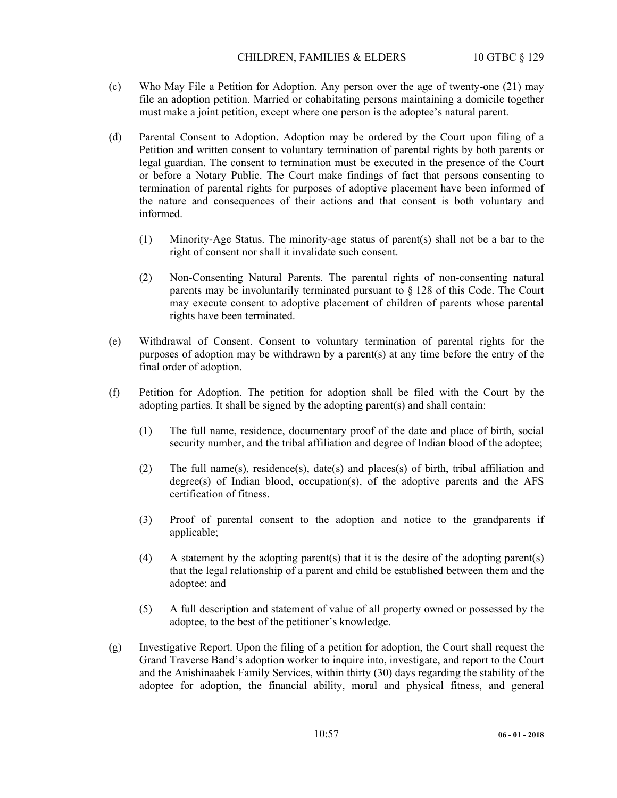- (c) Who May File a Petition for Adoption. Any person over the age of twenty-one (21) may file an adoption petition. Married or cohabitating persons maintaining a domicile together must make a joint petition, except where one person is the adoptee's natural parent.
- (d) Parental Consent to Adoption. Adoption may be ordered by the Court upon filing of a Petition and written consent to voluntary termination of parental rights by both parents or legal guardian. The consent to termination must be executed in the presence of the Court or before a Notary Public. The Court make findings of fact that persons consenting to termination of parental rights for purposes of adoptive placement have been informed of the nature and consequences of their actions and that consent is both voluntary and informed.
	- (1) Minority-Age Status. The minority-age status of parent(s) shall not be a bar to the right of consent nor shall it invalidate such consent.
	- (2) Non-Consenting Natural Parents. The parental rights of non-consenting natural parents may be involuntarily terminated pursuant to § 128 of this Code. The Court may execute consent to adoptive placement of children of parents whose parental rights have been terminated.
- (e) Withdrawal of Consent. Consent to voluntary termination of parental rights for the purposes of adoption may be withdrawn by a parent(s) at any time before the entry of the final order of adoption.
- (f) Petition for Adoption. The petition for adoption shall be filed with the Court by the adopting parties. It shall be signed by the adopting parent(s) and shall contain:
	- (1) The full name, residence, documentary proof of the date and place of birth, social security number, and the tribal affiliation and degree of Indian blood of the adoptee;
	- (2) The full name(s), residence(s), date(s) and places(s) of birth, tribal affiliation and degree(s) of Indian blood, occupation(s), of the adoptive parents and the AFS certification of fitness.
	- (3) Proof of parental consent to the adoption and notice to the grandparents if applicable;
	- (4) A statement by the adopting parent(s) that it is the desire of the adopting parent(s) that the legal relationship of a parent and child be established between them and the adoptee; and
	- (5) A full description and statement of value of all property owned or possessed by the adoptee, to the best of the petitioner's knowledge.
- (g) Investigative Report. Upon the filing of a petition for adoption, the Court shall request the Grand Traverse Band's adoption worker to inquire into, investigate, and report to the Court and the Anishinaabek Family Services, within thirty (30) days regarding the stability of the adoptee for adoption, the financial ability, moral and physical fitness, and general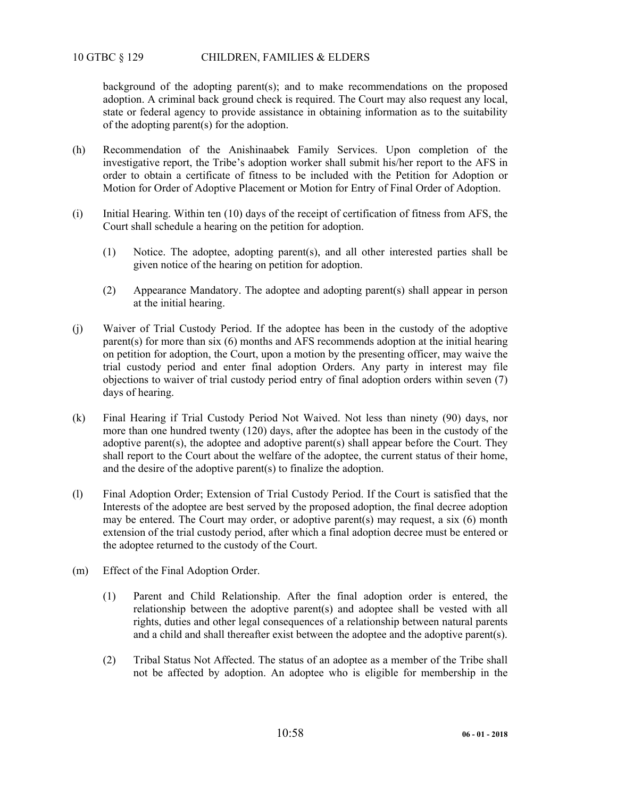background of the adopting parent(s); and to make recommendations on the proposed adoption. A criminal back ground check is required. The Court may also request any local, state or federal agency to provide assistance in obtaining information as to the suitability of the adopting parent(s) for the adoption.

- (h) Recommendation of the Anishinaabek Family Services. Upon completion of the investigative report, the Tribe's adoption worker shall submit his/her report to the AFS in order to obtain a certificate of fitness to be included with the Petition for Adoption or Motion for Order of Adoptive Placement or Motion for Entry of Final Order of Adoption.
- (i) Initial Hearing. Within ten (10) days of the receipt of certification of fitness from AFS, the Court shall schedule a hearing on the petition for adoption.
	- (1) Notice. The adoptee, adopting parent(s), and all other interested parties shall be given notice of the hearing on petition for adoption.
	- (2) Appearance Mandatory. The adoptee and adopting parent(s) shall appear in person at the initial hearing.
- (j) Waiver of Trial Custody Period. If the adoptee has been in the custody of the adoptive parent(s) for more than six (6) months and AFS recommends adoption at the initial hearing on petition for adoption, the Court, upon a motion by the presenting officer, may waive the trial custody period and enter final adoption Orders. Any party in interest may file objections to waiver of trial custody period entry of final adoption orders within seven (7) days of hearing.
- (k) Final Hearing if Trial Custody Period Not Waived. Not less than ninety (90) days, nor more than one hundred twenty (120) days, after the adoptee has been in the custody of the adoptive parent(s), the adoptee and adoptive parent(s) shall appear before the Court. They shall report to the Court about the welfare of the adoptee, the current status of their home, and the desire of the adoptive parent(s) to finalize the adoption.
- (l) Final Adoption Order; Extension of Trial Custody Period. If the Court is satisfied that the Interests of the adoptee are best served by the proposed adoption, the final decree adoption may be entered. The Court may order, or adoptive parent(s) may request, a six (6) month extension of the trial custody period, after which a final adoption decree must be entered or the adoptee returned to the custody of the Court.
- (m) Effect of the Final Adoption Order.
	- (1) Parent and Child Relationship. After the final adoption order is entered, the relationship between the adoptive parent(s) and adoptee shall be vested with all rights, duties and other legal consequences of a relationship between natural parents and a child and shall thereafter exist between the adoptee and the adoptive parent(s).
	- (2) Tribal Status Not Affected. The status of an adoptee as a member of the Tribe shall not be affected by adoption. An adoptee who is eligible for membership in the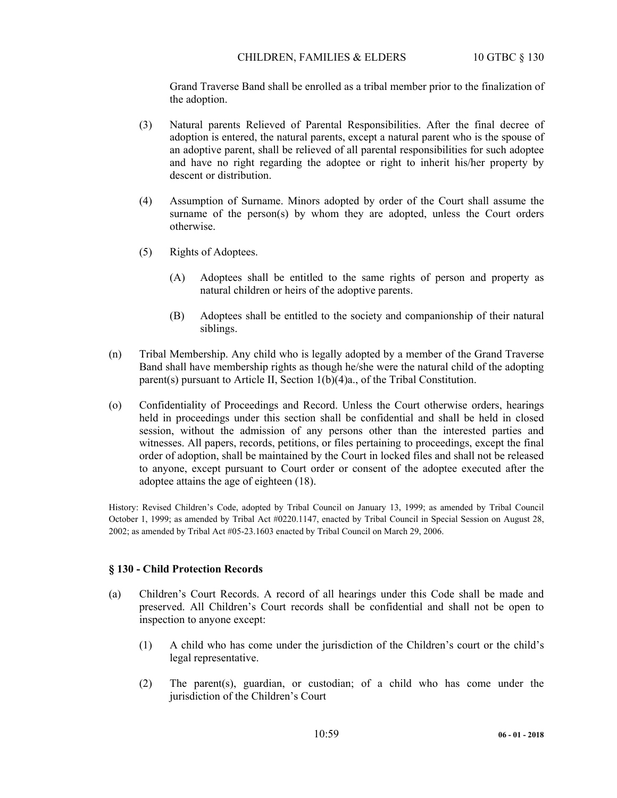Grand Traverse Band shall be enrolled as a tribal member prior to the finalization of the adoption.

- (3) Natural parents Relieved of Parental Responsibilities. After the final decree of adoption is entered, the natural parents, except a natural parent who is the spouse of an adoptive parent, shall be relieved of all parental responsibilities for such adoptee and have no right regarding the adoptee or right to inherit his/her property by descent or distribution.
- (4) Assumption of Surname. Minors adopted by order of the Court shall assume the surname of the person(s) by whom they are adopted, unless the Court orders otherwise.
- (5) Rights of Adoptees.
	- (A) Adoptees shall be entitled to the same rights of person and property as natural children or heirs of the adoptive parents.
	- (B) Adoptees shall be entitled to the society and companionship of their natural siblings.
- (n) Tribal Membership. Any child who is legally adopted by a member of the Grand Traverse Band shall have membership rights as though he/she were the natural child of the adopting parent(s) pursuant to Article II, Section 1(b)(4)a., of the Tribal Constitution.
- (o) Confidentiality of Proceedings and Record. Unless the Court otherwise orders, hearings held in proceedings under this section shall be confidential and shall be held in closed session, without the admission of any persons other than the interested parties and witnesses. All papers, records, petitions, or files pertaining to proceedings, except the final order of adoption, shall be maintained by the Court in locked files and shall not be released to anyone, except pursuant to Court order or consent of the adoptee executed after the adoptee attains the age of eighteen (18).

History: Revised Children's Code, adopted by Tribal Council on January 13, 1999; as amended by Tribal Council October 1, 1999; as amended by Tribal Act #0220.1147, enacted by Tribal Council in Special Session on August 28, 2002; as amended by Tribal Act #05-23.1603 enacted by Tribal Council on March 29, 2006.

### **§ 130 - Child Protection Records**

- (a) Children's Court Records. A record of all hearings under this Code shall be made and preserved. All Children's Court records shall be confidential and shall not be open to inspection to anyone except:
	- (1) A child who has come under the jurisdiction of the Children's court or the child's legal representative.
	- (2) The parent(s), guardian, or custodian; of a child who has come under the jurisdiction of the Children's Court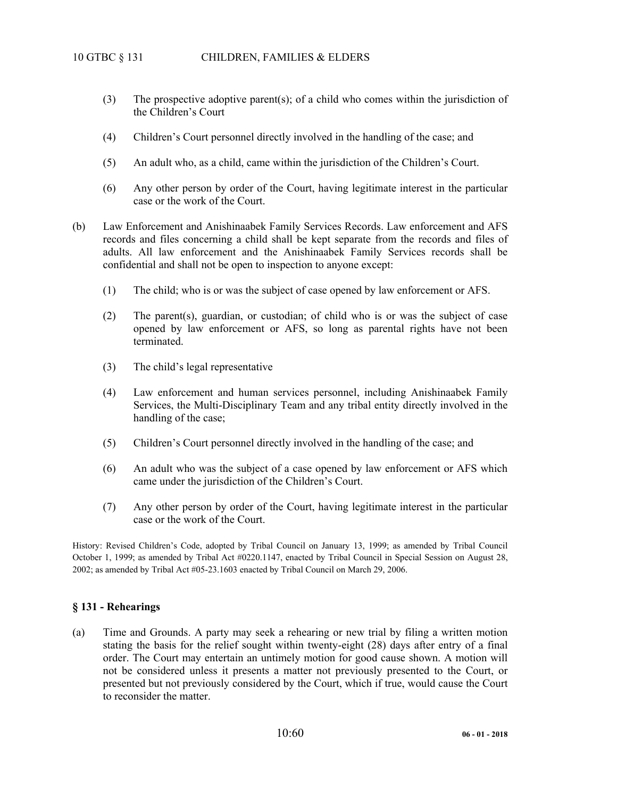- (3) The prospective adoptive parent(s); of a child who comes within the jurisdiction of the Children's Court
- (4) Children's Court personnel directly involved in the handling of the case; and
- (5) An adult who, as a child, came within the jurisdiction of the Children's Court.
- (6) Any other person by order of the Court, having legitimate interest in the particular case or the work of the Court.
- (b) Law Enforcement and Anishinaabek Family Services Records. Law enforcement and AFS records and files concerning a child shall be kept separate from the records and files of adults. All law enforcement and the Anishinaabek Family Services records shall be confidential and shall not be open to inspection to anyone except:
	- (1) The child; who is or was the subject of case opened by law enforcement or AFS.
	- (2) The parent(s), guardian, or custodian; of child who is or was the subject of case opened by law enforcement or AFS, so long as parental rights have not been terminated.
	- (3) The child's legal representative
	- (4) Law enforcement and human services personnel, including Anishinaabek Family Services, the Multi-Disciplinary Team and any tribal entity directly involved in the handling of the case;
	- (5) Children's Court personnel directly involved in the handling of the case; and
	- (6) An adult who was the subject of a case opened by law enforcement or AFS which came under the jurisdiction of the Children's Court.
	- (7) Any other person by order of the Court, having legitimate interest in the particular case or the work of the Court.

History: Revised Children's Code, adopted by Tribal Council on January 13, 1999; as amended by Tribal Council October 1, 1999; as amended by Tribal Act #0220.1147, enacted by Tribal Council in Special Session on August 28, 2002; as amended by Tribal Act #05-23.1603 enacted by Tribal Council on March 29, 2006.

### **§ 131 - Rehearings**

(a) Time and Grounds. A party may seek a rehearing or new trial by filing a written motion stating the basis for the relief sought within twenty-eight (28) days after entry of a final order. The Court may entertain an untimely motion for good cause shown. A motion will not be considered unless it presents a matter not previously presented to the Court, or presented but not previously considered by the Court, which if true, would cause the Court to reconsider the matter.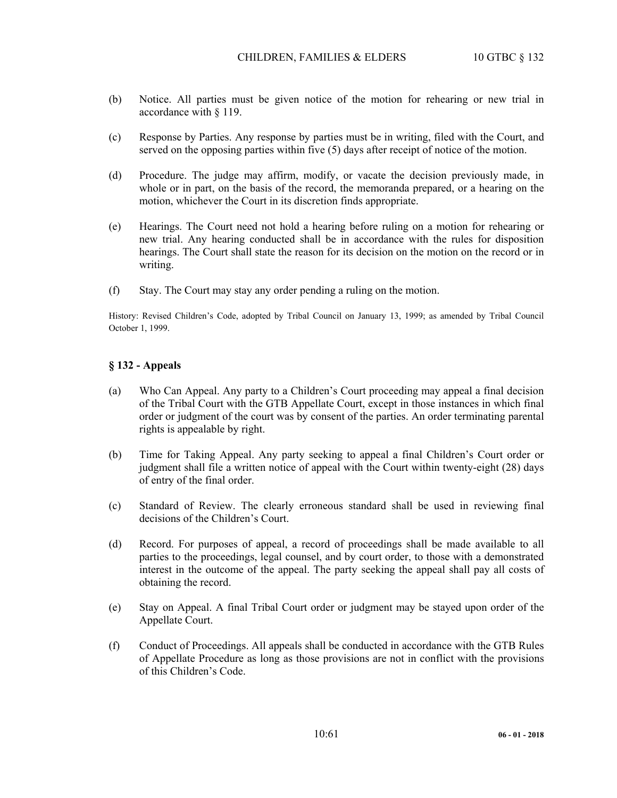- (b) Notice. All parties must be given notice of the motion for rehearing or new trial in accordance with § 119.
- (c) Response by Parties. Any response by parties must be in writing, filed with the Court, and served on the opposing parties within five (5) days after receipt of notice of the motion.
- (d) Procedure. The judge may affirm, modify, or vacate the decision previously made, in whole or in part, on the basis of the record, the memoranda prepared, or a hearing on the motion, whichever the Court in its discretion finds appropriate.
- (e) Hearings. The Court need not hold a hearing before ruling on a motion for rehearing or new trial. Any hearing conducted shall be in accordance with the rules for disposition hearings. The Court shall state the reason for its decision on the motion on the record or in writing.
- (f) Stay. The Court may stay any order pending a ruling on the motion.

History: Revised Children's Code, adopted by Tribal Council on January 13, 1999; as amended by Tribal Council October 1, 1999.

### **§ 132 - Appeals**

- (a) Who Can Appeal. Any party to a Children's Court proceeding may appeal a final decision of the Tribal Court with the GTB Appellate Court, except in those instances in which final order or judgment of the court was by consent of the parties. An order terminating parental rights is appealable by right.
- (b) Time for Taking Appeal. Any party seeking to appeal a final Children's Court order or judgment shall file a written notice of appeal with the Court within twenty-eight (28) days of entry of the final order.
- (c) Standard of Review. The clearly erroneous standard shall be used in reviewing final decisions of the Children's Court.
- (d) Record. For purposes of appeal, a record of proceedings shall be made available to all parties to the proceedings, legal counsel, and by court order, to those with a demonstrated interest in the outcome of the appeal. The party seeking the appeal shall pay all costs of obtaining the record.
- (e) Stay on Appeal. A final Tribal Court order or judgment may be stayed upon order of the Appellate Court.
- (f) Conduct of Proceedings. All appeals shall be conducted in accordance with the GTB Rules of Appellate Procedure as long as those provisions are not in conflict with the provisions of this Children's Code.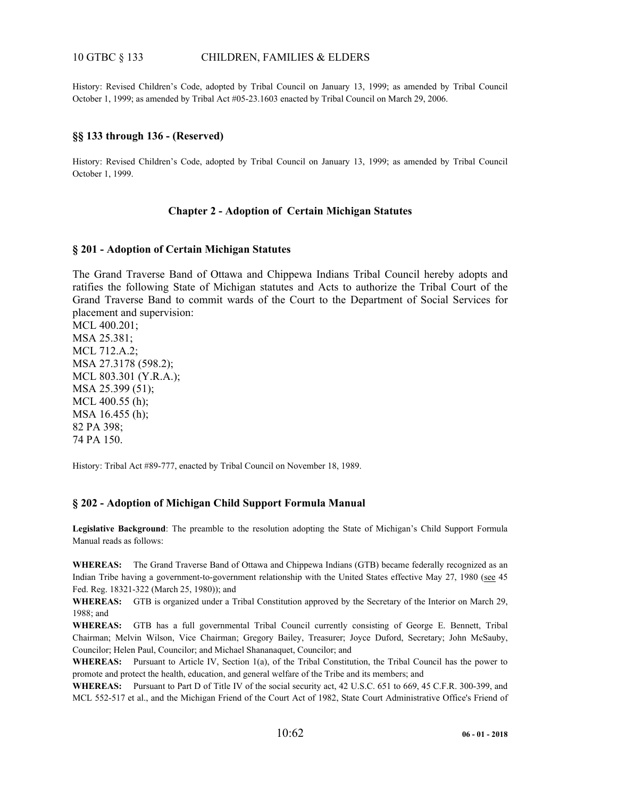## 10 GTBC § 133 CHILDREN, FAMILIES & ELDERS

History: Revised Children's Code, adopted by Tribal Council on January 13, 1999; as amended by Tribal Council October 1, 1999; as amended by Tribal Act #05-23.1603 enacted by Tribal Council on March 29, 2006.

### **§§ 133 through 136 - (Reserved)**

History: Revised Children's Code, adopted by Tribal Council on January 13, 1999; as amended by Tribal Council October 1, 1999.

### **Chapter 2 - Adoption of Certain Michigan Statutes**

#### **§ 201 - Adoption of Certain Michigan Statutes**

The Grand Traverse Band of Ottawa and Chippewa Indians Tribal Council hereby adopts and ratifies the following State of Michigan statutes and Acts to authorize the Tribal Court of the Grand Traverse Band to commit wards of the Court to the Department of Social Services for placement and supervision:

MCL 400.201; MSA 25.381; MCL 712.A.2; MSA 27.3178 (598.2); MCL 803.301 (Y.R.A.); MSA 25.399 (51); MCL 400.55 (h); MSA 16.455 (h); 82 PA 398; 74 PA 150.

History: Tribal Act #89-777, enacted by Tribal Council on November 18, 1989.

### **§ 202 - Adoption of Michigan Child Support Formula Manual**

**Legislative Background**: The preamble to the resolution adopting the State of Michigan's Child Support Formula Manual reads as follows:

**WHEREAS:** The Grand Traverse Band of Ottawa and Chippewa Indians (GTB) became federally recognized as an Indian Tribe having a government-to-government relationship with the United States effective May 27, 1980 (see 45 Fed. Reg. 18321-322 (March 25, 1980)); and

WHEREAS: GTB is organized under a Tribal Constitution approved by the Secretary of the Interior on March 29, 1988; and

**WHEREAS:** GTB has a full governmental Tribal Council currently consisting of George E. Bennett, Tribal Chairman; Melvin Wilson, Vice Chairman; Gregory Bailey, Treasurer; Joyce Duford, Secretary; John McSauby, Councilor; Helen Paul, Councilor; and Michael Shananaquet, Councilor; and

**WHEREAS:** Pursuant to Article IV, Section 1(a), of the Tribal Constitution, the Tribal Council has the power to promote and protect the health, education, and general welfare of the Tribe and its members; and

WHEREAS: Pursuant to Part D of Title IV of the social security act, 42 U.S.C. 651 to 669, 45 C.F.R. 300-399, and MCL 552-517 et al., and the Michigan Friend of the Court Act of 1982, State Court Administrative Office's Friend of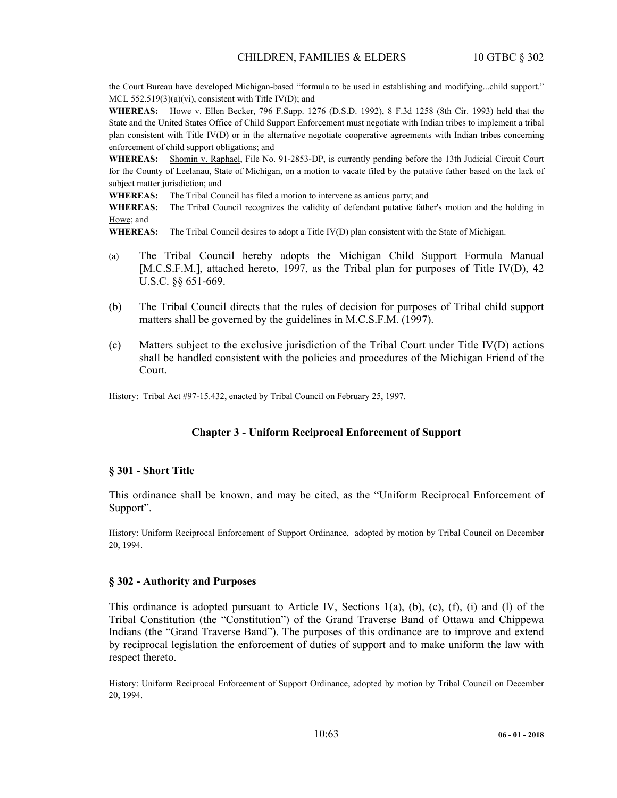the Court Bureau have developed Michigan-based "formula to be used in establishing and modifying...child support." MCL 552.519(3)(a)(vi), consistent with Title IV(D); and

**WHEREAS:** Howe v. Ellen Becker, 796 F.Supp. 1276 (D.S.D. 1992), 8 F.3d 1258 (8th Cir. 1993) held that the State and the United States Office of Child Support Enforcement must negotiate with Indian tribes to implement a tribal plan consistent with Title IV(D) or in the alternative negotiate cooperative agreements with Indian tribes concerning enforcement of child support obligations; and

**WHEREAS:** Shomin v. Raphael, File No. 91-2853-DP, is currently pending before the 13th Judicial Circuit Court for the County of Leelanau, State of Michigan, on a motion to vacate filed by the putative father based on the lack of subject matter jurisdiction; and

**WHEREAS:** The Tribal Council has filed a motion to intervene as amicus party; and

**WHEREAS:** The Tribal Council recognizes the validity of defendant putative father's motion and the holding in Howe; and

**WHEREAS:** The Tribal Council desires to adopt a Title IV(D) plan consistent with the State of Michigan.

- (a) The Tribal Council hereby adopts the Michigan Child Support Formula Manual [M.C.S.F.M.], attached hereto, 1997, as the Tribal plan for purposes of Title IV(D), 42 U.S.C. §§ 651-669.
- (b) The Tribal Council directs that the rules of decision for purposes of Tribal child support matters shall be governed by the guidelines in M.C.S.F.M. (1997).
- (c) Matters subject to the exclusive jurisdiction of the Tribal Court under Title IV(D) actions shall be handled consistent with the policies and procedures of the Michigan Friend of the Court.

History: Tribal Act #97-15.432, enacted by Tribal Council on February 25, 1997.

### **Chapter 3 - Uniform Reciprocal Enforcement of Support**

#### **§ 301 - Short Title**

This ordinance shall be known, and may be cited, as the "Uniform Reciprocal Enforcement of Support".

History: Uniform Reciprocal Enforcement of Support Ordinance, adopted by motion by Tribal Council on December 20, 1994.

#### **§ 302 - Authority and Purposes**

This ordinance is adopted pursuant to Article IV, Sections  $1(a)$ ,  $(b)$ ,  $(c)$ ,  $(f)$ ,  $(i)$  and  $(l)$  of the Tribal Constitution (the "Constitution") of the Grand Traverse Band of Ottawa and Chippewa Indians (the "Grand Traverse Band"). The purposes of this ordinance are to improve and extend by reciprocal legislation the enforcement of duties of support and to make uniform the law with respect thereto.

History: Uniform Reciprocal Enforcement of Support Ordinance, adopted by motion by Tribal Council on December 20, 1994.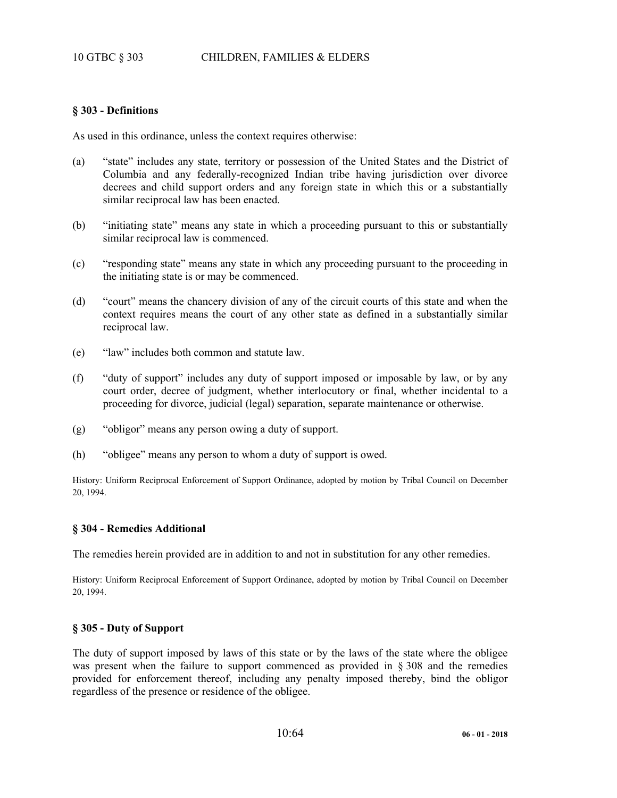#### **§ 303 - Definitions**

As used in this ordinance, unless the context requires otherwise:

- (a) "state" includes any state, territory or possession of the United States and the District of Columbia and any federally-recognized Indian tribe having jurisdiction over divorce decrees and child support orders and any foreign state in which this or a substantially similar reciprocal law has been enacted.
- (b) "initiating state" means any state in which a proceeding pursuant to this or substantially similar reciprocal law is commenced.
- (c) "responding state" means any state in which any proceeding pursuant to the proceeding in the initiating state is or may be commenced.
- (d) "court" means the chancery division of any of the circuit courts of this state and when the context requires means the court of any other state as defined in a substantially similar reciprocal law.
- (e) "law" includes both common and statute law.
- (f) "duty of support" includes any duty of support imposed or imposable by law, or by any court order, decree of judgment, whether interlocutory or final, whether incidental to a proceeding for divorce, judicial (legal) separation, separate maintenance or otherwise.
- (g) "obligor" means any person owing a duty of support.
- (h) "obligee" means any person to whom a duty of support is owed.

History: Uniform Reciprocal Enforcement of Support Ordinance, adopted by motion by Tribal Council on December 20, 1994.

#### **§ 304 - Remedies Additional**

The remedies herein provided are in addition to and not in substitution for any other remedies.

History: Uniform Reciprocal Enforcement of Support Ordinance, adopted by motion by Tribal Council on December 20, 1994.

#### **§ 305 - Duty of Support**

The duty of support imposed by laws of this state or by the laws of the state where the obligee was present when the failure to support commenced as provided in § 308 and the remedies provided for enforcement thereof, including any penalty imposed thereby, bind the obligor regardless of the presence or residence of the obligee.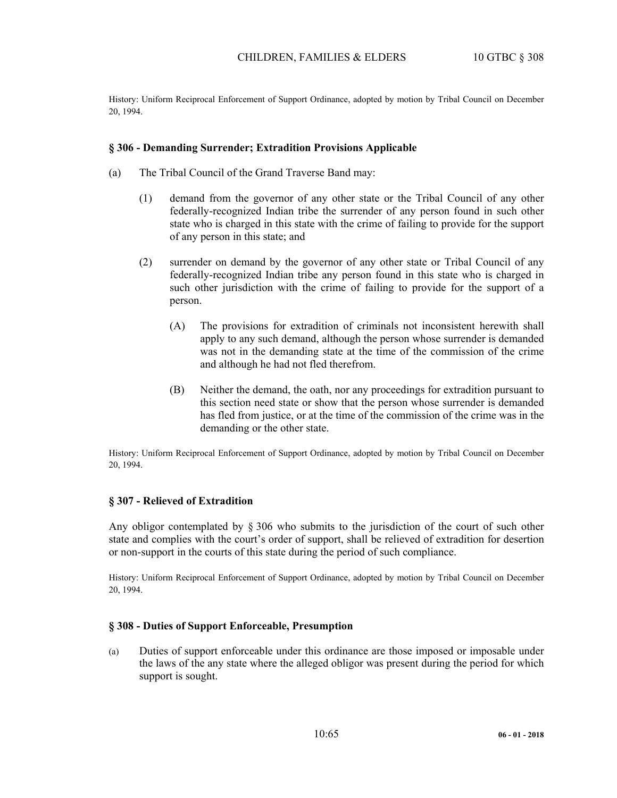History: Uniform Reciprocal Enforcement of Support Ordinance, adopted by motion by Tribal Council on December 20, 1994.

#### **§ 306 - Demanding Surrender; Extradition Provisions Applicable**

- (a) The Tribal Council of the Grand Traverse Band may:
	- (1) demand from the governor of any other state or the Tribal Council of any other federally-recognized Indian tribe the surrender of any person found in such other state who is charged in this state with the crime of failing to provide for the support of any person in this state; and
	- (2) surrender on demand by the governor of any other state or Tribal Council of any federally-recognized Indian tribe any person found in this state who is charged in such other jurisdiction with the crime of failing to provide for the support of a person.
		- (A) The provisions for extradition of criminals not inconsistent herewith shall apply to any such demand, although the person whose surrender is demanded was not in the demanding state at the time of the commission of the crime and although he had not fled therefrom.
		- (B) Neither the demand, the oath, nor any proceedings for extradition pursuant to this section need state or show that the person whose surrender is demanded has fled from justice, or at the time of the commission of the crime was in the demanding or the other state.

History: Uniform Reciprocal Enforcement of Support Ordinance, adopted by motion by Tribal Council on December 20, 1994.

### **§ 307 - Relieved of Extradition**

Any obligor contemplated by § 306 who submits to the jurisdiction of the court of such other state and complies with the court's order of support, shall be relieved of extradition for desertion or non-support in the courts of this state during the period of such compliance.

History: Uniform Reciprocal Enforcement of Support Ordinance, adopted by motion by Tribal Council on December 20, 1994.

### **§ 308 - Duties of Support Enforceable, Presumption**

(a) Duties of support enforceable under this ordinance are those imposed or imposable under the laws of the any state where the alleged obligor was present during the period for which support is sought.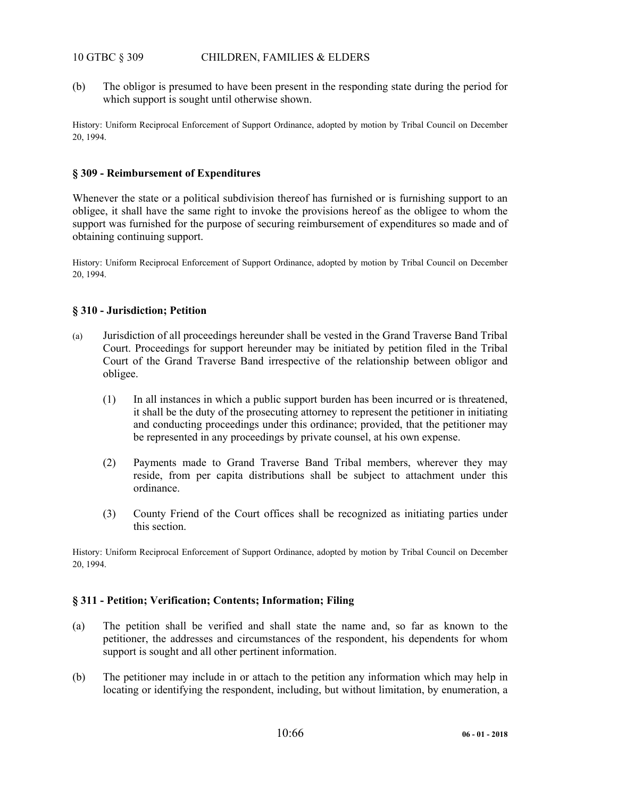# 10 GTBC § 309 CHILDREN, FAMILIES & ELDERS

(b) The obligor is presumed to have been present in the responding state during the period for which support is sought until otherwise shown.

History: Uniform Reciprocal Enforcement of Support Ordinance, adopted by motion by Tribal Council on December 20, 1994.

## **§ 309 - Reimbursement of Expenditures**

Whenever the state or a political subdivision thereof has furnished or is furnishing support to an obligee, it shall have the same right to invoke the provisions hereof as the obligee to whom the support was furnished for the purpose of securing reimbursement of expenditures so made and of obtaining continuing support.

History: Uniform Reciprocal Enforcement of Support Ordinance, adopted by motion by Tribal Council on December 20, 1994.

# **§ 310 - Jurisdiction; Petition**

- (a) Jurisdiction of all proceedings hereunder shall be vested in the Grand Traverse Band Tribal Court. Proceedings for support hereunder may be initiated by petition filed in the Tribal Court of the Grand Traverse Band irrespective of the relationship between obligor and obligee.
	- (1) In all instances in which a public support burden has been incurred or is threatened, it shall be the duty of the prosecuting attorney to represent the petitioner in initiating and conducting proceedings under this ordinance; provided, that the petitioner may be represented in any proceedings by private counsel, at his own expense.
	- (2) Payments made to Grand Traverse Band Tribal members, wherever they may reside, from per capita distributions shall be subject to attachment under this ordinance.
	- (3) County Friend of the Court offices shall be recognized as initiating parties under this section.

History: Uniform Reciprocal Enforcement of Support Ordinance, adopted by motion by Tribal Council on December 20, 1994.

### **§ 311 - Petition; Verification; Contents; Information; Filing**

- (a) The petition shall be verified and shall state the name and, so far as known to the petitioner, the addresses and circumstances of the respondent, his dependents for whom support is sought and all other pertinent information.
- (b) The petitioner may include in or attach to the petition any information which may help in locating or identifying the respondent, including, but without limitation, by enumeration, a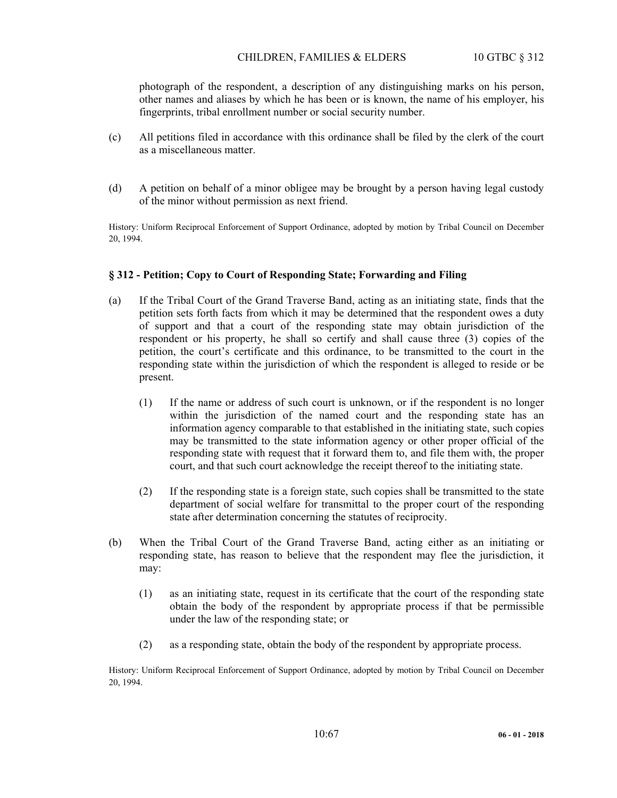### CHILDREN, FAMILIES & ELDERS 10 GTBC § 312

photograph of the respondent, a description of any distinguishing marks on his person, other names and aliases by which he has been or is known, the name of his employer, his fingerprints, tribal enrollment number or social security number.

- (c) All petitions filed in accordance with this ordinance shall be filed by the clerk of the court as a miscellaneous matter.
- (d) A petition on behalf of a minor obligee may be brought by a person having legal custody of the minor without permission as next friend.

History: Uniform Reciprocal Enforcement of Support Ordinance, adopted by motion by Tribal Council on December 20, 1994.

### **§ 312 - Petition; Copy to Court of Responding State; Forwarding and Filing**

- (a) If the Tribal Court of the Grand Traverse Band, acting as an initiating state, finds that the petition sets forth facts from which it may be determined that the respondent owes a duty of support and that a court of the responding state may obtain jurisdiction of the respondent or his property, he shall so certify and shall cause three (3) copies of the petition, the court's certificate and this ordinance, to be transmitted to the court in the responding state within the jurisdiction of which the respondent is alleged to reside or be present.
	- (1) If the name or address of such court is unknown, or if the respondent is no longer within the jurisdiction of the named court and the responding state has an information agency comparable to that established in the initiating state, such copies may be transmitted to the state information agency or other proper official of the responding state with request that it forward them to, and file them with, the proper court, and that such court acknowledge the receipt thereof to the initiating state.
	- (2) If the responding state is a foreign state, such copies shall be transmitted to the state department of social welfare for transmittal to the proper court of the responding state after determination concerning the statutes of reciprocity.
- (b) When the Tribal Court of the Grand Traverse Band, acting either as an initiating or responding state, has reason to believe that the respondent may flee the jurisdiction, it may:
	- (1) as an initiating state, request in its certificate that the court of the responding state obtain the body of the respondent by appropriate process if that be permissible under the law of the responding state; or
	- (2) as a responding state, obtain the body of the respondent by appropriate process.

History: Uniform Reciprocal Enforcement of Support Ordinance, adopted by motion by Tribal Council on December 20, 1994.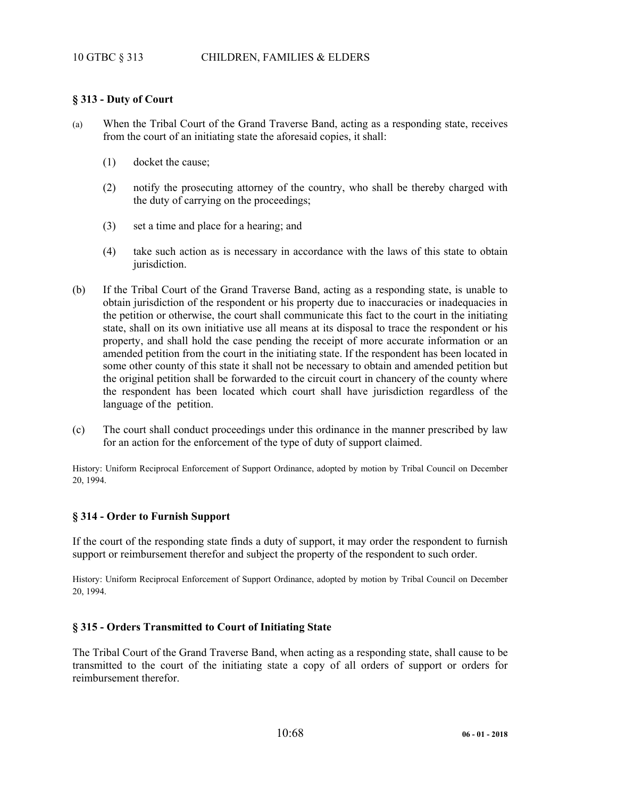# 10 GTBC § 313 CHILDREN, FAMILIES & ELDERS

# **§ 313 - Duty of Court**

- (a) When the Tribal Court of the Grand Traverse Band, acting as a responding state, receives from the court of an initiating state the aforesaid copies, it shall:
	- (1) docket the cause;
	- (2) notify the prosecuting attorney of the country, who shall be thereby charged with the duty of carrying on the proceedings;
	- (3) set a time and place for a hearing; and
	- (4) take such action as is necessary in accordance with the laws of this state to obtain jurisdiction.
- (b) If the Tribal Court of the Grand Traverse Band, acting as a responding state, is unable to obtain jurisdiction of the respondent or his property due to inaccuracies or inadequacies in the petition or otherwise, the court shall communicate this fact to the court in the initiating state, shall on its own initiative use all means at its disposal to trace the respondent or his property, and shall hold the case pending the receipt of more accurate information or an amended petition from the court in the initiating state. If the respondent has been located in some other county of this state it shall not be necessary to obtain and amended petition but the original petition shall be forwarded to the circuit court in chancery of the county where the respondent has been located which court shall have jurisdiction regardless of the language of the petition.
- (c) The court shall conduct proceedings under this ordinance in the manner prescribed by law for an action for the enforcement of the type of duty of support claimed.

History: Uniform Reciprocal Enforcement of Support Ordinance, adopted by motion by Tribal Council on December 20, 1994.

# **§ 314 - Order to Furnish Support**

If the court of the responding state finds a duty of support, it may order the respondent to furnish support or reimbursement therefor and subject the property of the respondent to such order.

History: Uniform Reciprocal Enforcement of Support Ordinance, adopted by motion by Tribal Council on December 20, 1994.

### **§ 315 - Orders Transmitted to Court of Initiating State**

The Tribal Court of the Grand Traverse Band, when acting as a responding state, shall cause to be transmitted to the court of the initiating state a copy of all orders of support or orders for reimbursement therefor.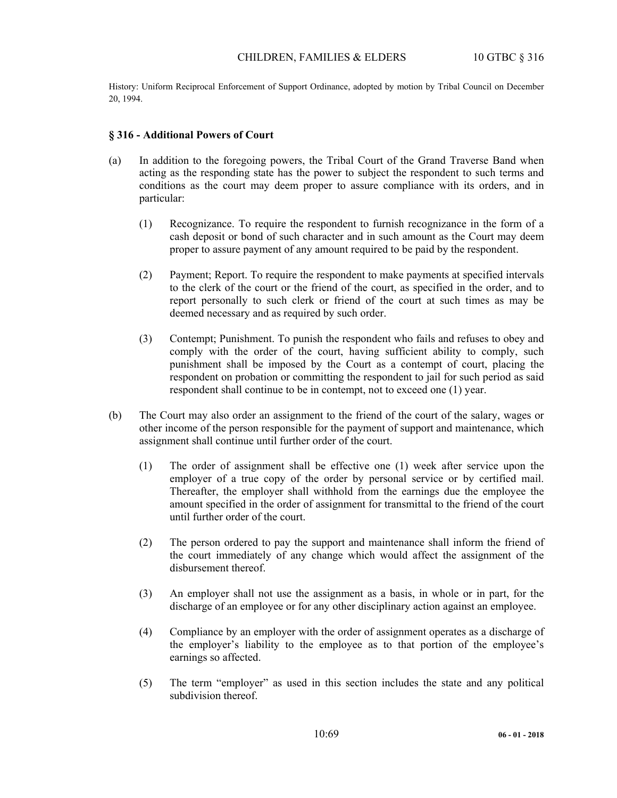History: Uniform Reciprocal Enforcement of Support Ordinance, adopted by motion by Tribal Council on December 20, 1994.

#### **§ 316 - Additional Powers of Court**

- (a) In addition to the foregoing powers, the Tribal Court of the Grand Traverse Band when acting as the responding state has the power to subject the respondent to such terms and conditions as the court may deem proper to assure compliance with its orders, and in particular:
	- (1) Recognizance. To require the respondent to furnish recognizance in the form of a cash deposit or bond of such character and in such amount as the Court may deem proper to assure payment of any amount required to be paid by the respondent.
	- (2) Payment; Report. To require the respondent to make payments at specified intervals to the clerk of the court or the friend of the court, as specified in the order, and to report personally to such clerk or friend of the court at such times as may be deemed necessary and as required by such order.
	- (3) Contempt; Punishment. To punish the respondent who fails and refuses to obey and comply with the order of the court, having sufficient ability to comply, such punishment shall be imposed by the Court as a contempt of court, placing the respondent on probation or committing the respondent to jail for such period as said respondent shall continue to be in contempt, not to exceed one (1) year.
- (b) The Court may also order an assignment to the friend of the court of the salary, wages or other income of the person responsible for the payment of support and maintenance, which assignment shall continue until further order of the court.
	- (1) The order of assignment shall be effective one (1) week after service upon the employer of a true copy of the order by personal service or by certified mail. Thereafter, the employer shall withhold from the earnings due the employee the amount specified in the order of assignment for transmittal to the friend of the court until further order of the court.
	- (2) The person ordered to pay the support and maintenance shall inform the friend of the court immediately of any change which would affect the assignment of the disbursement thereof.
	- (3) An employer shall not use the assignment as a basis, in whole or in part, for the discharge of an employee or for any other disciplinary action against an employee.
	- (4) Compliance by an employer with the order of assignment operates as a discharge of the employer's liability to the employee as to that portion of the employee's earnings so affected.
	- (5) The term "employer" as used in this section includes the state and any political subdivision thereof.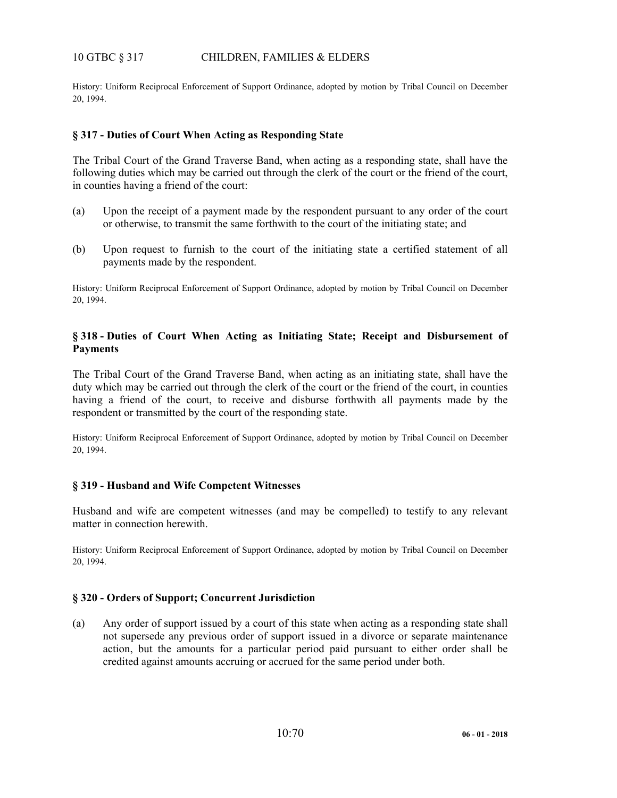# 10 GTBC § 317 CHILDREN, FAMILIES & ELDERS

History: Uniform Reciprocal Enforcement of Support Ordinance, adopted by motion by Tribal Council on December 20, 1994.

### **§ 317 - Duties of Court When Acting as Responding State**

The Tribal Court of the Grand Traverse Band, when acting as a responding state, shall have the following duties which may be carried out through the clerk of the court or the friend of the court, in counties having a friend of the court:

- (a) Upon the receipt of a payment made by the respondent pursuant to any order of the court or otherwise, to transmit the same forthwith to the court of the initiating state; and
- (b) Upon request to furnish to the court of the initiating state a certified statement of all payments made by the respondent.

History: Uniform Reciprocal Enforcement of Support Ordinance, adopted by motion by Tribal Council on December 20, 1994.

# **§ 318 - Duties of Court When Acting as Initiating State; Receipt and Disbursement of Payments**

The Tribal Court of the Grand Traverse Band, when acting as an initiating state, shall have the duty which may be carried out through the clerk of the court or the friend of the court, in counties having a friend of the court, to receive and disburse forthwith all payments made by the respondent or transmitted by the court of the responding state.

History: Uniform Reciprocal Enforcement of Support Ordinance, adopted by motion by Tribal Council on December 20, 1994.

### **§ 319 - Husband and Wife Competent Witnesses**

Husband and wife are competent witnesses (and may be compelled) to testify to any relevant matter in connection herewith.

History: Uniform Reciprocal Enforcement of Support Ordinance, adopted by motion by Tribal Council on December 20, 1994.

### **§ 320 - Orders of Support; Concurrent Jurisdiction**

(a) Any order of support issued by a court of this state when acting as a responding state shall not supersede any previous order of support issued in a divorce or separate maintenance action, but the amounts for a particular period paid pursuant to either order shall be credited against amounts accruing or accrued for the same period under both.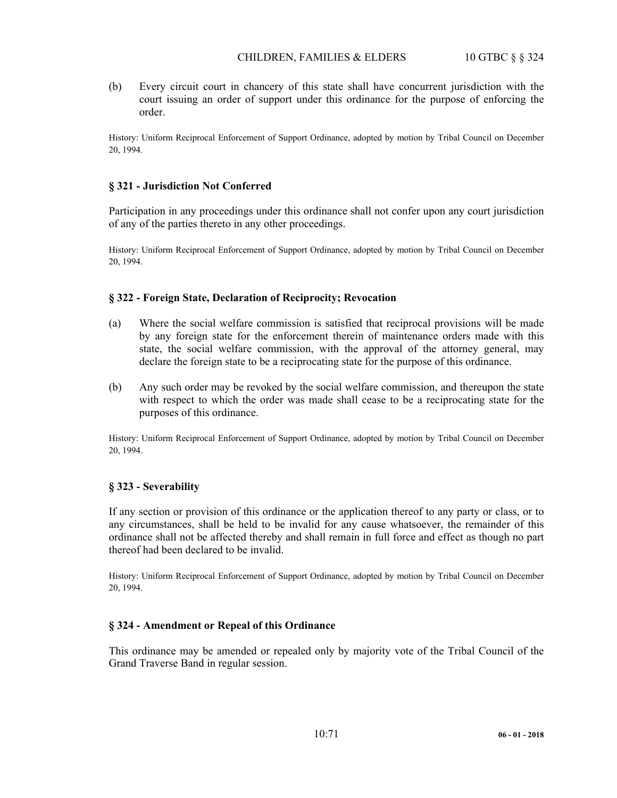(b) Every circuit court in chancery of this state shall have concurrent jurisdiction with the court issuing an order of support under this ordinance for the purpose of enforcing the order.

History: Uniform Reciprocal Enforcement of Support Ordinance, adopted by motion by Tribal Council on December 20, 1994.

### **§ 321 - Jurisdiction Not Conferred**

Participation in any proceedings under this ordinance shall not confer upon any court jurisdiction of any of the parties thereto in any other proceedings.

History: Uniform Reciprocal Enforcement of Support Ordinance, adopted by motion by Tribal Council on December 20, 1994.

#### **§ 322 - Foreign State, Declaration of Reciprocity; Revocation**

- (a) Where the social welfare commission is satisfied that reciprocal provisions will be made by any foreign state for the enforcement therein of maintenance orders made with this state, the social welfare commission, with the approval of the attorney general, may declare the foreign state to be a reciprocating state for the purpose of this ordinance.
- (b) Any such order may be revoked by the social welfare commission, and thereupon the state with respect to which the order was made shall cease to be a reciprocating state for the purposes of this ordinance.

History: Uniform Reciprocal Enforcement of Support Ordinance, adopted by motion by Tribal Council on December 20, 1994.

### **§ 323 - Severability**

If any section or provision of this ordinance or the application thereof to any party or class, or to any circumstances, shall be held to be invalid for any cause whatsoever, the remainder of this ordinance shall not be affected thereby and shall remain in full force and effect as though no part thereof had been declared to be invalid.

History: Uniform Reciprocal Enforcement of Support Ordinance, adopted by motion by Tribal Council on December 20, 1994.

#### **§ 324 - Amendment or Repeal of this Ordinance**

This ordinance may be amended or repealed only by majority vote of the Tribal Council of the Grand Traverse Band in regular session.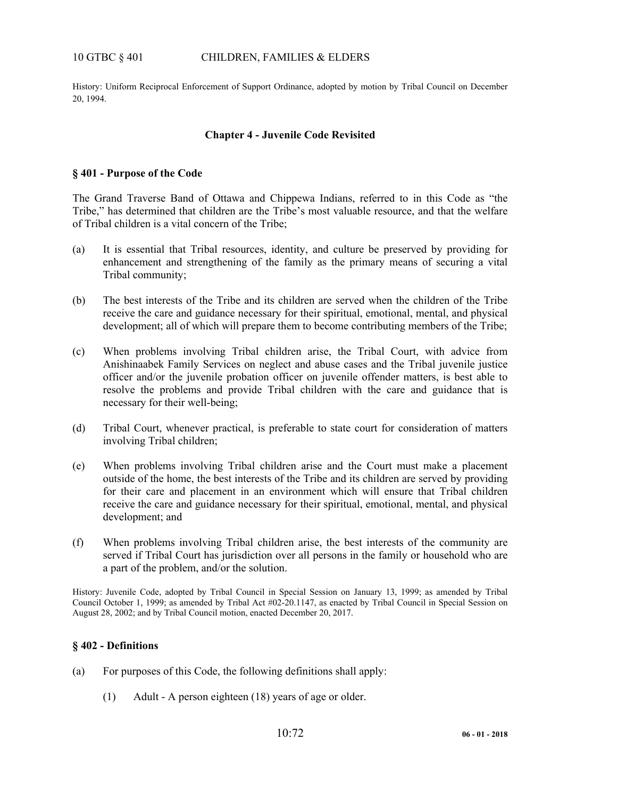### 10 GTBC § 401 CHILDREN, FAMILIES & ELDERS

History: Uniform Reciprocal Enforcement of Support Ordinance, adopted by motion by Tribal Council on December 20, 1994.

### **Chapter 4 - Juvenile Code Revisited**

### **§ 401 - Purpose of the Code**

The Grand Traverse Band of Ottawa and Chippewa Indians, referred to in this Code as "the Tribe," has determined that children are the Tribe's most valuable resource, and that the welfare of Tribal children is a vital concern of the Tribe;

- (a) It is essential that Tribal resources, identity, and culture be preserved by providing for enhancement and strengthening of the family as the primary means of securing a vital Tribal community;
- (b) The best interests of the Tribe and its children are served when the children of the Tribe receive the care and guidance necessary for their spiritual, emotional, mental, and physical development; all of which will prepare them to become contributing members of the Tribe;
- (c) When problems involving Tribal children arise, the Tribal Court, with advice from Anishinaabek Family Services on neglect and abuse cases and the Tribal juvenile justice officer and/or the juvenile probation officer on juvenile offender matters, is best able to resolve the problems and provide Tribal children with the care and guidance that is necessary for their well-being;
- (d) Tribal Court, whenever practical, is preferable to state court for consideration of matters involving Tribal children;
- (e) When problems involving Tribal children arise and the Court must make a placement outside of the home, the best interests of the Tribe and its children are served by providing for their care and placement in an environment which will ensure that Tribal children receive the care and guidance necessary for their spiritual, emotional, mental, and physical development; and
- (f) When problems involving Tribal children arise, the best interests of the community are served if Tribal Court has jurisdiction over all persons in the family or household who are a part of the problem, and/or the solution.

History: Juvenile Code, adopted by Tribal Council in Special Session on January 13, 1999; as amended by Tribal Council October 1, 1999; as amended by Tribal Act #02-20.1147, as enacted by Tribal Council in Special Session on August 28, 2002; and by Tribal Council motion, enacted December 20, 2017.

# **§ 402 - Definitions**

- (a) For purposes of this Code, the following definitions shall apply:
	- (1) Adult A person eighteen (18) years of age or older.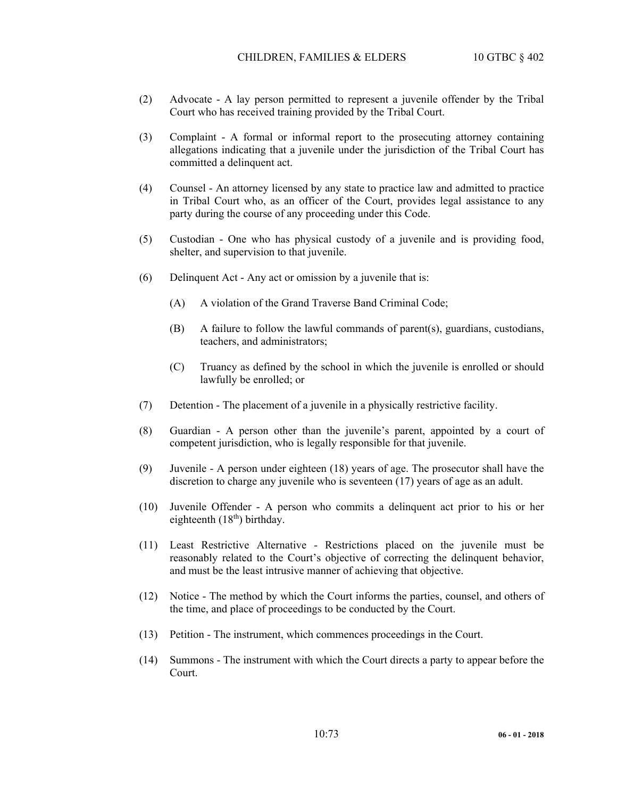- (2) Advocate A lay person permitted to represent a juvenile offender by the Tribal Court who has received training provided by the Tribal Court.
- (3) Complaint A formal or informal report to the prosecuting attorney containing allegations indicating that a juvenile under the jurisdiction of the Tribal Court has committed a delinquent act.
- (4) Counsel An attorney licensed by any state to practice law and admitted to practice in Tribal Court who, as an officer of the Court, provides legal assistance to any party during the course of any proceeding under this Code.
- (5) Custodian One who has physical custody of a juvenile and is providing food, shelter, and supervision to that juvenile.
- (6) Delinquent Act Any act or omission by a juvenile that is:
	- (A) A violation of the Grand Traverse Band Criminal Code;
	- (B) A failure to follow the lawful commands of parent(s), guardians, custodians, teachers, and administrators;
	- (C) Truancy as defined by the school in which the juvenile is enrolled or should lawfully be enrolled; or
- (7) Detention The placement of a juvenile in a physically restrictive facility.
- (8) Guardian A person other than the juvenile's parent, appointed by a court of competent jurisdiction, who is legally responsible for that juvenile.
- (9) Juvenile A person under eighteen (18) years of age. The prosecutor shall have the discretion to charge any juvenile who is seventeen (17) years of age as an adult.
- (10) Juvenile Offender A person who commits a delinquent act prior to his or her eighteenth  $(18<sup>th</sup>)$  birthday.
- (11) Least Restrictive Alternative Restrictions placed on the juvenile must be reasonably related to the Court's objective of correcting the delinquent behavior, and must be the least intrusive manner of achieving that objective.
- (12) Notice The method by which the Court informs the parties, counsel, and others of the time, and place of proceedings to be conducted by the Court.
- (13) Petition The instrument, which commences proceedings in the Court.
- (14) Summons The instrument with which the Court directs a party to appear before the Court.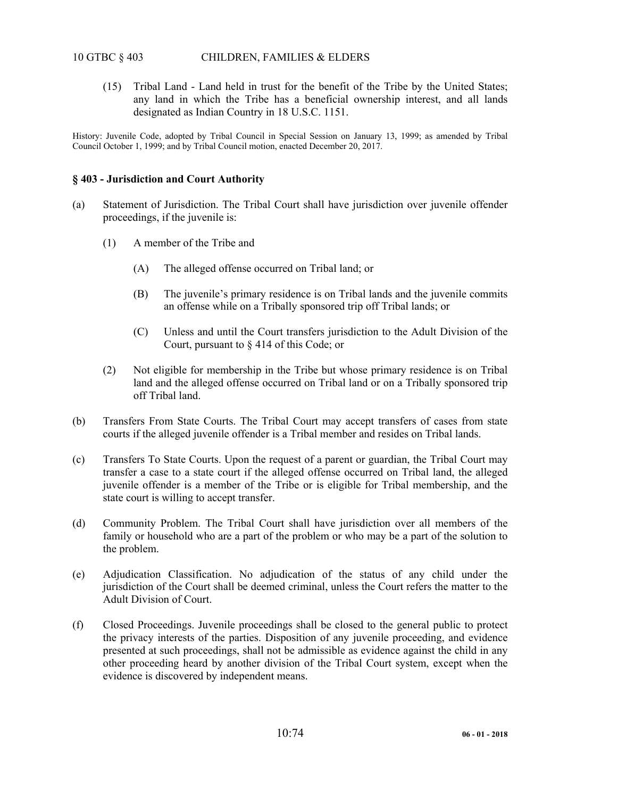# 10 GTBC § 403 CHILDREN, FAMILIES & ELDERS

 (15) Tribal Land - Land held in trust for the benefit of the Tribe by the United States; any land in which the Tribe has a beneficial ownership interest, and all lands designated as Indian Country in 18 U.S.C. 1151.

History: Juvenile Code, adopted by Tribal Council in Special Session on January 13, 1999; as amended by Tribal Council October 1, 1999; and by Tribal Council motion, enacted December 20, 2017.

### **§ 403 - Jurisdiction and Court Authority**

- (a) Statement of Jurisdiction. The Tribal Court shall have jurisdiction over juvenile offender proceedings, if the juvenile is:
	- (1) A member of the Tribe and
		- (A) The alleged offense occurred on Tribal land; or
		- (B) The juvenile's primary residence is on Tribal lands and the juvenile commits an offense while on a Tribally sponsored trip off Tribal lands; or
		- (C) Unless and until the Court transfers jurisdiction to the Adult Division of the Court, pursuant to § 414 of this Code; or
	- (2) Not eligible for membership in the Tribe but whose primary residence is on Tribal land and the alleged offense occurred on Tribal land or on a Tribally sponsored trip off Tribal land.
- (b) Transfers From State Courts. The Tribal Court may accept transfers of cases from state courts if the alleged juvenile offender is a Tribal member and resides on Tribal lands.
- (c) Transfers To State Courts. Upon the request of a parent or guardian, the Tribal Court may transfer a case to a state court if the alleged offense occurred on Tribal land, the alleged juvenile offender is a member of the Tribe or is eligible for Tribal membership, and the state court is willing to accept transfer.
- (d) Community Problem. The Tribal Court shall have jurisdiction over all members of the family or household who are a part of the problem or who may be a part of the solution to the problem.
- (e) Adjudication Classification. No adjudication of the status of any child under the jurisdiction of the Court shall be deemed criminal, unless the Court refers the matter to the Adult Division of Court.
- (f) Closed Proceedings. Juvenile proceedings shall be closed to the general public to protect the privacy interests of the parties. Disposition of any juvenile proceeding, and evidence presented at such proceedings, shall not be admissible as evidence against the child in any other proceeding heard by another division of the Tribal Court system, except when the evidence is discovered by independent means.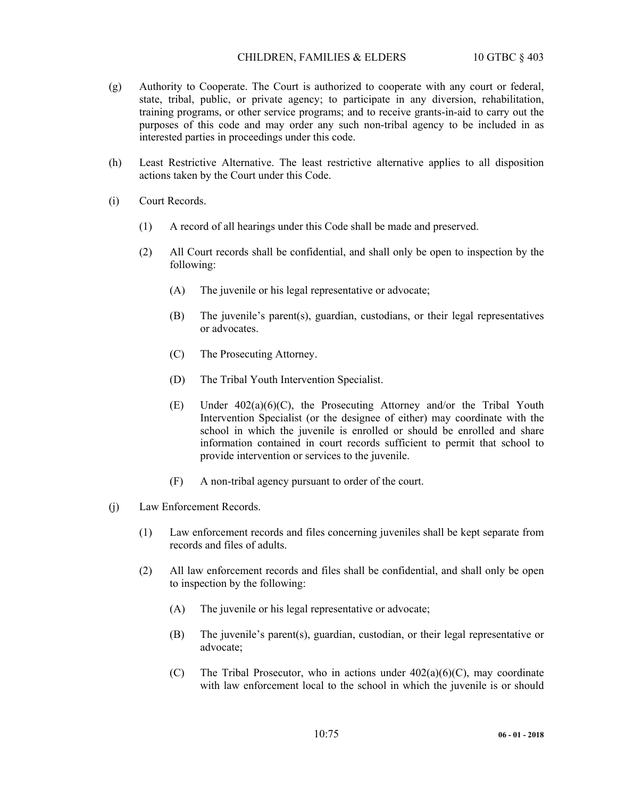## CHILDREN, FAMILIES & ELDERS 10 GTBC § 403

- (g) Authority to Cooperate. The Court is authorized to cooperate with any court or federal, state, tribal, public, or private agency; to participate in any diversion, rehabilitation, training programs, or other service programs; and to receive grants-in-aid to carry out the purposes of this code and may order any such non-tribal agency to be included in as interested parties in proceedings under this code.
- (h) Least Restrictive Alternative. The least restrictive alternative applies to all disposition actions taken by the Court under this Code.
- (i) Court Records.
	- (1) A record of all hearings under this Code shall be made and preserved.
	- (2) All Court records shall be confidential, and shall only be open to inspection by the following:
		- (A) The juvenile or his legal representative or advocate;
		- (B) The juvenile's parent(s), guardian, custodians, or their legal representatives or advocates.
		- (C) The Prosecuting Attorney.
		- (D) The Tribal Youth Intervention Specialist.
		- (E) Under 402(a)(6)(C), the Prosecuting Attorney and/or the Tribal Youth Intervention Specialist (or the designee of either) may coordinate with the school in which the juvenile is enrolled or should be enrolled and share information contained in court records sufficient to permit that school to provide intervention or services to the juvenile.
		- (F) A non-tribal agency pursuant to order of the court.
- (j) Law Enforcement Records.
	- (1) Law enforcement records and files concerning juveniles shall be kept separate from records and files of adults.
	- (2) All law enforcement records and files shall be confidential, and shall only be open to inspection by the following:
		- (A) The juvenile or his legal representative or advocate;
		- (B) The juvenile's parent(s), guardian, custodian, or their legal representative or advocate;
		- (C) The Tribal Prosecutor, who in actions under  $402(a)(6)(C)$ , may coordinate with law enforcement local to the school in which the juvenile is or should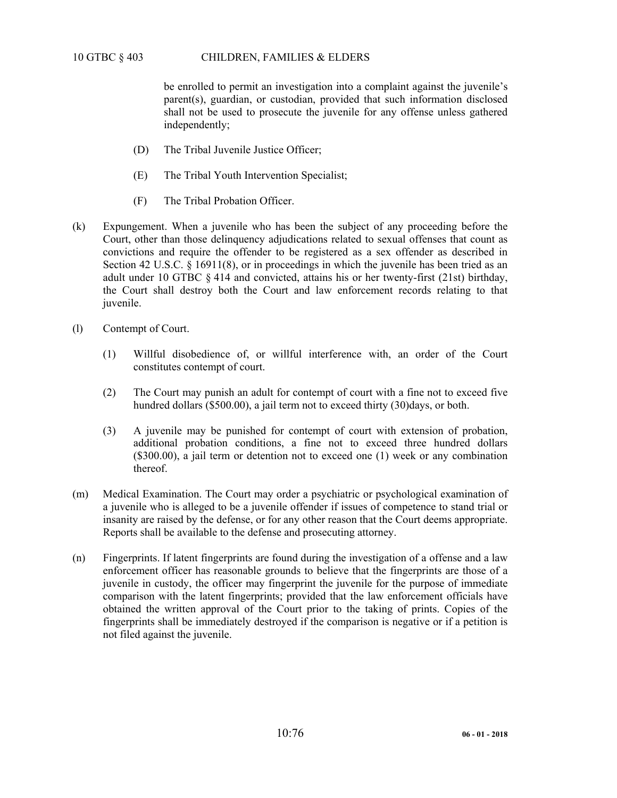be enrolled to permit an investigation into a complaint against the juvenile's parent(s), guardian, or custodian, provided that such information disclosed shall not be used to prosecute the juvenile for any offense unless gathered independently;

- (D) The Tribal Juvenile Justice Officer;
- (E) The Tribal Youth Intervention Specialist;
- (F) The Tribal Probation Officer.
- (k) Expungement. When a juvenile who has been the subject of any proceeding before the Court, other than those delinquency adjudications related to sexual offenses that count as convictions and require the offender to be registered as a sex offender as described in Section 42 U.S.C. § 16911(8), or in proceedings in which the juvenile has been tried as an adult under 10 GTBC § 414 and convicted, attains his or her twenty-first (21st) birthday, the Court shall destroy both the Court and law enforcement records relating to that juvenile.
- (l) Contempt of Court.
	- (1) Willful disobedience of, or willful interference with, an order of the Court constitutes contempt of court.
	- (2) The Court may punish an adult for contempt of court with a fine not to exceed five hundred dollars (\$500.00), a jail term not to exceed thirty (30)days, or both.
	- (3) A juvenile may be punished for contempt of court with extension of probation, additional probation conditions, a fine not to exceed three hundred dollars (\$300.00), a jail term or detention not to exceed one (1) week or any combination thereof.
- (m) Medical Examination. The Court may order a psychiatric or psychological examination of a juvenile who is alleged to be a juvenile offender if issues of competence to stand trial or insanity are raised by the defense, or for any other reason that the Court deems appropriate. Reports shall be available to the defense and prosecuting attorney.
- (n) Fingerprints. If latent fingerprints are found during the investigation of a offense and a law enforcement officer has reasonable grounds to believe that the fingerprints are those of a juvenile in custody, the officer may fingerprint the juvenile for the purpose of immediate comparison with the latent fingerprints; provided that the law enforcement officials have obtained the written approval of the Court prior to the taking of prints. Copies of the fingerprints shall be immediately destroyed if the comparison is negative or if a petition is not filed against the juvenile.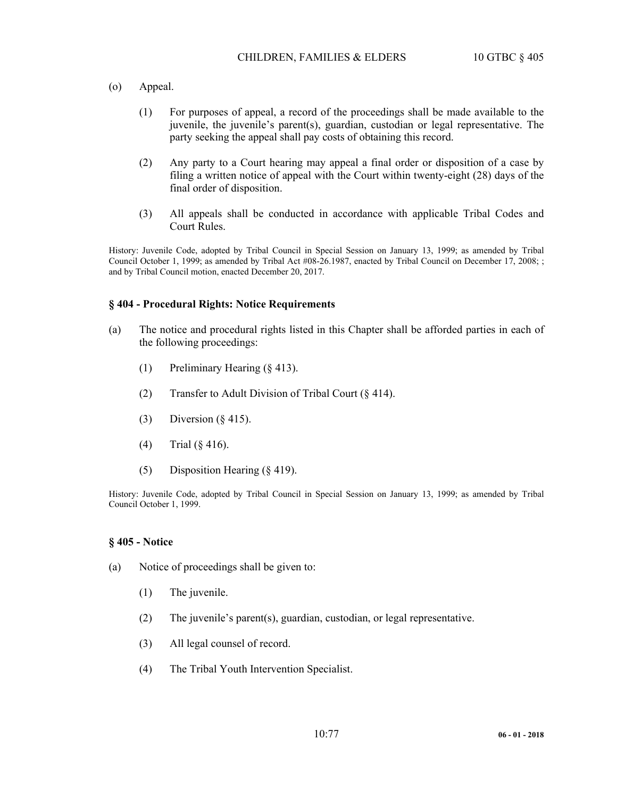- (o) Appeal.
	- (1) For purposes of appeal, a record of the proceedings shall be made available to the juvenile, the juvenile's parent(s), guardian, custodian or legal representative. The party seeking the appeal shall pay costs of obtaining this record.
	- (2) Any party to a Court hearing may appeal a final order or disposition of a case by filing a written notice of appeal with the Court within twenty-eight (28) days of the final order of disposition.
	- (3) All appeals shall be conducted in accordance with applicable Tribal Codes and Court Rules.

History: Juvenile Code, adopted by Tribal Council in Special Session on January 13, 1999; as amended by Tribal Council October 1, 1999; as amended by Tribal Act #08-26.1987, enacted by Tribal Council on December 17, 2008; ; and by Tribal Council motion, enacted December 20, 2017.

#### **§ 404 - Procedural Rights: Notice Requirements**

- (a) The notice and procedural rights listed in this Chapter shall be afforded parties in each of the following proceedings:
	- (1) Preliminary Hearing (§ 413).
	- (2) Transfer to Adult Division of Tribal Court (§ 414).
	- (3) Diversion (§ 415).
	- (4) Trial (§ 416).
	- (5) Disposition Hearing (§ 419).

History: Juvenile Code, adopted by Tribal Council in Special Session on January 13, 1999; as amended by Tribal Council October 1, 1999.

#### **§ 405 - Notice**

- (a) Notice of proceedings shall be given to:
	- (1) The juvenile.
	- (2) The juvenile's parent(s), guardian, custodian, or legal representative.
	- (3) All legal counsel of record.
	- (4) The Tribal Youth Intervention Specialist.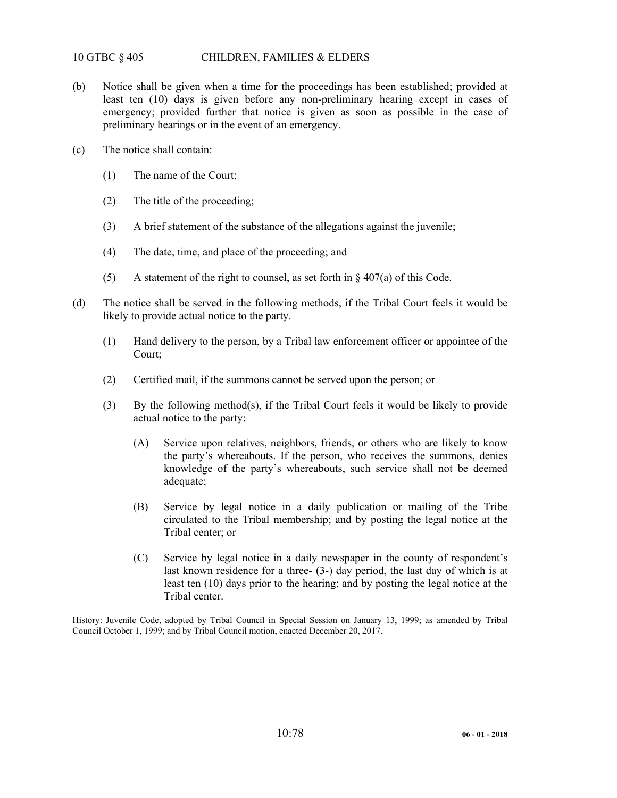# 10 GTBC § 405 CHILDREN, FAMILIES & ELDERS

- (b) Notice shall be given when a time for the proceedings has been established; provided at least ten (10) days is given before any non-preliminary hearing except in cases of emergency; provided further that notice is given as soon as possible in the case of preliminary hearings or in the event of an emergency.
- (c) The notice shall contain:
	- (1) The name of the Court;
	- (2) The title of the proceeding;
	- (3) A brief statement of the substance of the allegations against the juvenile;
	- (4) The date, time, and place of the proceeding; and
	- (5) A statement of the right to counsel, as set forth in  $\S 407(a)$  of this Code.
- (d) The notice shall be served in the following methods, if the Tribal Court feels it would be likely to provide actual notice to the party.
	- (1) Hand delivery to the person, by a Tribal law enforcement officer or appointee of the Court;
	- (2) Certified mail, if the summons cannot be served upon the person; or
	- (3) By the following method(s), if the Tribal Court feels it would be likely to provide actual notice to the party:
		- (A) Service upon relatives, neighbors, friends, or others who are likely to know the party's whereabouts. If the person, who receives the summons, denies knowledge of the party's whereabouts, such service shall not be deemed adequate;
		- (B) Service by legal notice in a daily publication or mailing of the Tribe circulated to the Tribal membership; and by posting the legal notice at the Tribal center; or
		- (C) Service by legal notice in a daily newspaper in the county of respondent's last known residence for a three- (3-) day period, the last day of which is at least ten (10) days prior to the hearing; and by posting the legal notice at the Tribal center.

History: Juvenile Code, adopted by Tribal Council in Special Session on January 13, 1999; as amended by Tribal Council October 1, 1999; and by Tribal Council motion, enacted December 20, 2017.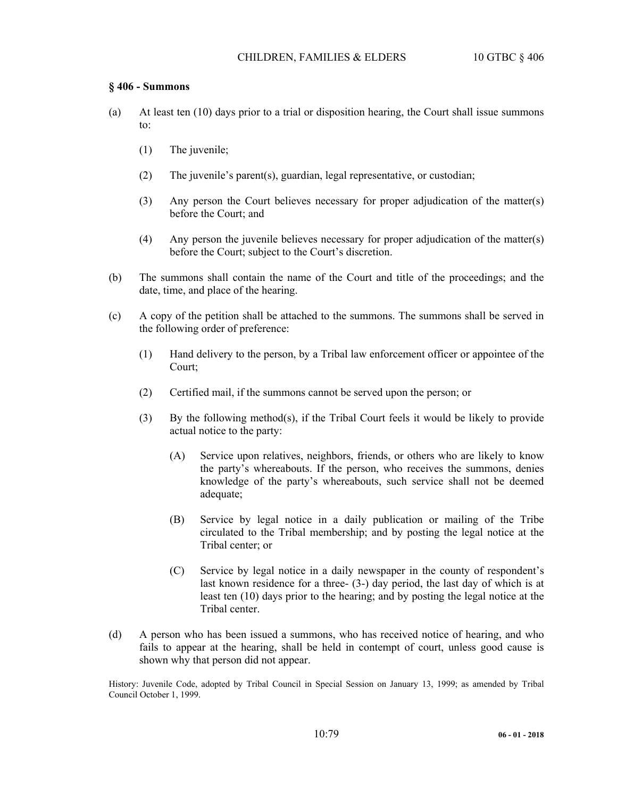# **§ 406 - Summons**

- (a) At least ten (10) days prior to a trial or disposition hearing, the Court shall issue summons to:
	- (1) The juvenile;
	- (2) The juvenile's parent(s), guardian, legal representative, or custodian;
	- (3) Any person the Court believes necessary for proper adjudication of the matter(s) before the Court; and
	- (4) Any person the juvenile believes necessary for proper adjudication of the matter(s) before the Court; subject to the Court's discretion.
- (b) The summons shall contain the name of the Court and title of the proceedings; and the date, time, and place of the hearing.
- (c) A copy of the petition shall be attached to the summons. The summons shall be served in the following order of preference:
	- (1) Hand delivery to the person, by a Tribal law enforcement officer or appointee of the Court;
	- (2) Certified mail, if the summons cannot be served upon the person; or
	- (3) By the following method(s), if the Tribal Court feels it would be likely to provide actual notice to the party:
		- (A) Service upon relatives, neighbors, friends, or others who are likely to know the party's whereabouts. If the person, who receives the summons, denies knowledge of the party's whereabouts, such service shall not be deemed adequate;
		- (B) Service by legal notice in a daily publication or mailing of the Tribe circulated to the Tribal membership; and by posting the legal notice at the Tribal center; or
		- (C) Service by legal notice in a daily newspaper in the county of respondent's last known residence for a three- (3-) day period, the last day of which is at least ten (10) days prior to the hearing; and by posting the legal notice at the Tribal center.
- (d) A person who has been issued a summons, who has received notice of hearing, and who fails to appear at the hearing, shall be held in contempt of court, unless good cause is shown why that person did not appear.

History: Juvenile Code, adopted by Tribal Council in Special Session on January 13, 1999; as amended by Tribal Council October 1, 1999.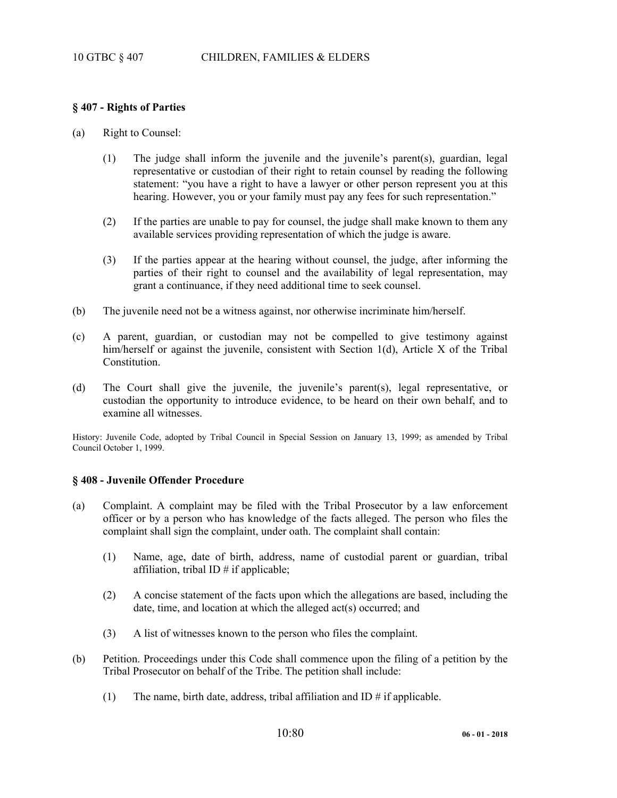## **§ 407 - Rights of Parties**

- (a) Right to Counsel:
	- (1) The judge shall inform the juvenile and the juvenile's parent(s), guardian, legal representative or custodian of their right to retain counsel by reading the following statement: "you have a right to have a lawyer or other person represent you at this hearing. However, you or your family must pay any fees for such representation."
	- (2) If the parties are unable to pay for counsel, the judge shall make known to them any available services providing representation of which the judge is aware.
	- (3) If the parties appear at the hearing without counsel, the judge, after informing the parties of their right to counsel and the availability of legal representation, may grant a continuance, if they need additional time to seek counsel.
- (b) The juvenile need not be a witness against, nor otherwise incriminate him/herself.
- (c) A parent, guardian, or custodian may not be compelled to give testimony against him/herself or against the juvenile, consistent with Section 1(d), Article X of the Tribal Constitution.
- (d) The Court shall give the juvenile, the juvenile's parent(s), legal representative, or custodian the opportunity to introduce evidence, to be heard on their own behalf, and to examine all witnesses.

History: Juvenile Code, adopted by Tribal Council in Special Session on January 13, 1999; as amended by Tribal Council October 1, 1999.

## **§ 408 - Juvenile Offender Procedure**

- (a) Complaint. A complaint may be filed with the Tribal Prosecutor by a law enforcement officer or by a person who has knowledge of the facts alleged. The person who files the complaint shall sign the complaint, under oath. The complaint shall contain:
	- (1) Name, age, date of birth, address, name of custodial parent or guardian, tribal affiliation, tribal ID  $#$  if applicable;
	- (2) A concise statement of the facts upon which the allegations are based, including the date, time, and location at which the alleged act(s) occurred; and
	- (3) A list of witnesses known to the person who files the complaint.
- (b) Petition. Proceedings under this Code shall commence upon the filing of a petition by the Tribal Prosecutor on behalf of the Tribe. The petition shall include:
	- (1) The name, birth date, address, tribal affiliation and ID  $\#$  if applicable.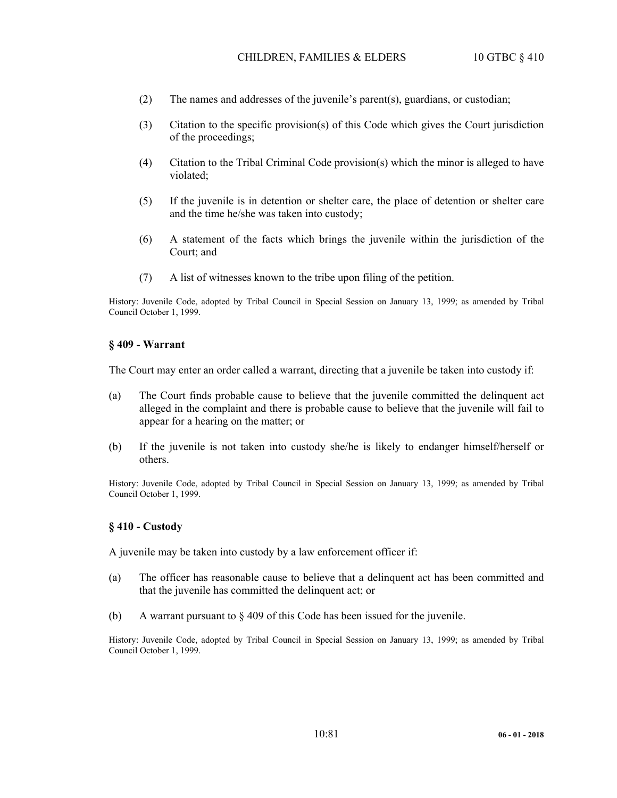- (2) The names and addresses of the juvenile's parent(s), guardians, or custodian;
- (3) Citation to the specific provision(s) of this Code which gives the Court jurisdiction of the proceedings;
- (4) Citation to the Tribal Criminal Code provision(s) which the minor is alleged to have violated;
- (5) If the juvenile is in detention or shelter care, the place of detention or shelter care and the time he/she was taken into custody;
- (6) A statement of the facts which brings the juvenile within the jurisdiction of the Court; and
- (7) A list of witnesses known to the tribe upon filing of the petition.

History: Juvenile Code, adopted by Tribal Council in Special Session on January 13, 1999; as amended by Tribal Council October 1, 1999.

#### **§ 409 - Warrant**

The Court may enter an order called a warrant, directing that a juvenile be taken into custody if:

- (a) The Court finds probable cause to believe that the juvenile committed the delinquent act alleged in the complaint and there is probable cause to believe that the juvenile will fail to appear for a hearing on the matter; or
- (b) If the juvenile is not taken into custody she/he is likely to endanger himself/herself or others.

History: Juvenile Code, adopted by Tribal Council in Special Session on January 13, 1999; as amended by Tribal Council October 1, 1999.

#### **§ 410 - Custody**

A juvenile may be taken into custody by a law enforcement officer if:

- (a) The officer has reasonable cause to believe that a delinquent act has been committed and that the juvenile has committed the delinquent act; or
- (b) A warrant pursuant to  $\S 409$  of this Code has been issued for the juvenile.

History: Juvenile Code, adopted by Tribal Council in Special Session on January 13, 1999; as amended by Tribal Council October 1, 1999.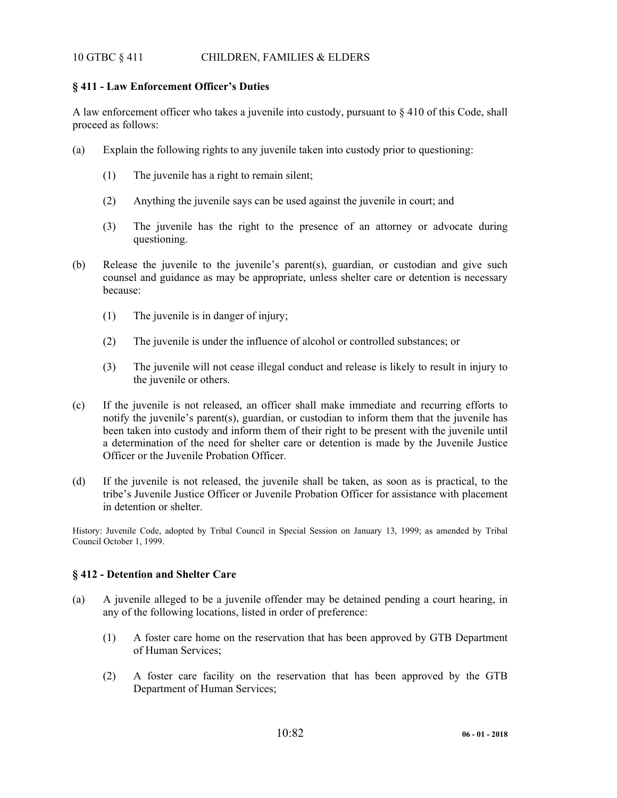# 10 GTBC § 411 CHILDREN, FAMILIES & ELDERS

# **§ 411 - Law Enforcement Officer's Duties**

A law enforcement officer who takes a juvenile into custody, pursuant to  $\S 410$  of this Code, shall proceed as follows:

- (a) Explain the following rights to any juvenile taken into custody prior to questioning:
	- (1) The juvenile has a right to remain silent;
	- (2) Anything the juvenile says can be used against the juvenile in court; and
	- (3) The juvenile has the right to the presence of an attorney or advocate during questioning.
- (b) Release the juvenile to the juvenile's parent(s), guardian, or custodian and give such counsel and guidance as may be appropriate, unless shelter care or detention is necessary because:
	- (1) The juvenile is in danger of injury;
	- (2) The juvenile is under the influence of alcohol or controlled substances; or
	- (3) The juvenile will not cease illegal conduct and release is likely to result in injury to the juvenile or others.
- (c) If the juvenile is not released, an officer shall make immediate and recurring efforts to notify the juvenile's parent(s), guardian, or custodian to inform them that the juvenile has been taken into custody and inform them of their right to be present with the juvenile until a determination of the need for shelter care or detention is made by the Juvenile Justice Officer or the Juvenile Probation Officer.
- (d) If the juvenile is not released, the juvenile shall be taken, as soon as is practical, to the tribe's Juvenile Justice Officer or Juvenile Probation Officer for assistance with placement in detention or shelter.

History: Juvenile Code, adopted by Tribal Council in Special Session on January 13, 1999; as amended by Tribal Council October 1, 1999.

## **§ 412 - Detention and Shelter Care**

- (a) A juvenile alleged to be a juvenile offender may be detained pending a court hearing, in any of the following locations, listed in order of preference:
	- (1) A foster care home on the reservation that has been approved by GTB Department of Human Services;
	- (2) A foster care facility on the reservation that has been approved by the GTB Department of Human Services;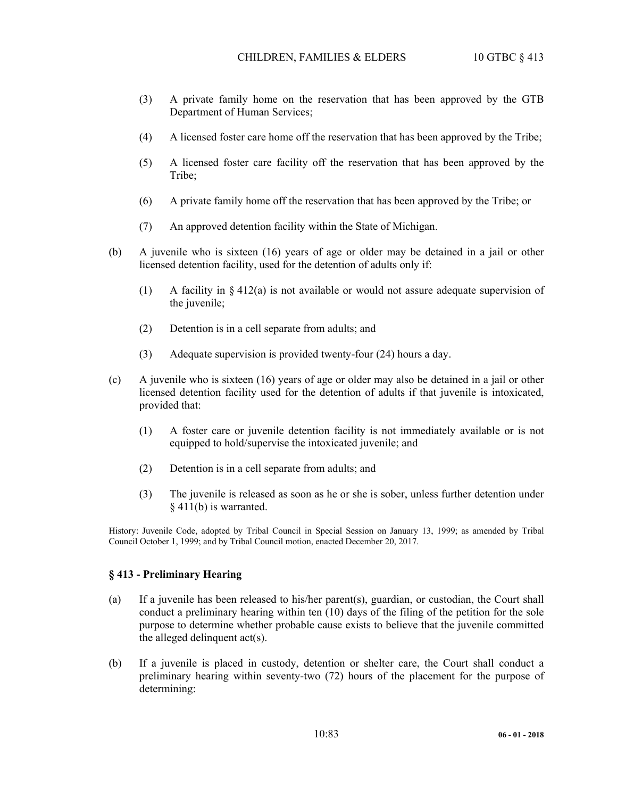- (3) A private family home on the reservation that has been approved by the GTB Department of Human Services;
- (4) A licensed foster care home off the reservation that has been approved by the Tribe;
- (5) A licensed foster care facility off the reservation that has been approved by the Tribe:
- (6) A private family home off the reservation that has been approved by the Tribe; or
- (7) An approved detention facility within the State of Michigan.
- (b) A juvenile who is sixteen (16) years of age or older may be detained in a jail or other licensed detention facility, used for the detention of adults only if:
	- (1) A facility in  $\S 412(a)$  is not available or would not assure adequate supervision of the juvenile;
	- (2) Detention is in a cell separate from adults; and
	- (3) Adequate supervision is provided twenty-four (24) hours a day.
- (c) A juvenile who is sixteen (16) years of age or older may also be detained in a jail or other licensed detention facility used for the detention of adults if that juvenile is intoxicated, provided that:
	- (1) A foster care or juvenile detention facility is not immediately available or is not equipped to hold/supervise the intoxicated juvenile; and
	- (2) Detention is in a cell separate from adults; and
	- (3) The juvenile is released as soon as he or she is sober, unless further detention under § 411(b) is warranted.

History: Juvenile Code, adopted by Tribal Council in Special Session on January 13, 1999; as amended by Tribal Council October 1, 1999; and by Tribal Council motion, enacted December 20, 2017.

#### **§ 413 - Preliminary Hearing**

- (a) If a juvenile has been released to his/her parent(s), guardian, or custodian, the Court shall conduct a preliminary hearing within ten (10) days of the filing of the petition for the sole purpose to determine whether probable cause exists to believe that the juvenile committed the alleged delinquent act(s).
- (b) If a juvenile is placed in custody, detention or shelter care, the Court shall conduct a preliminary hearing within seventy-two (72) hours of the placement for the purpose of determining: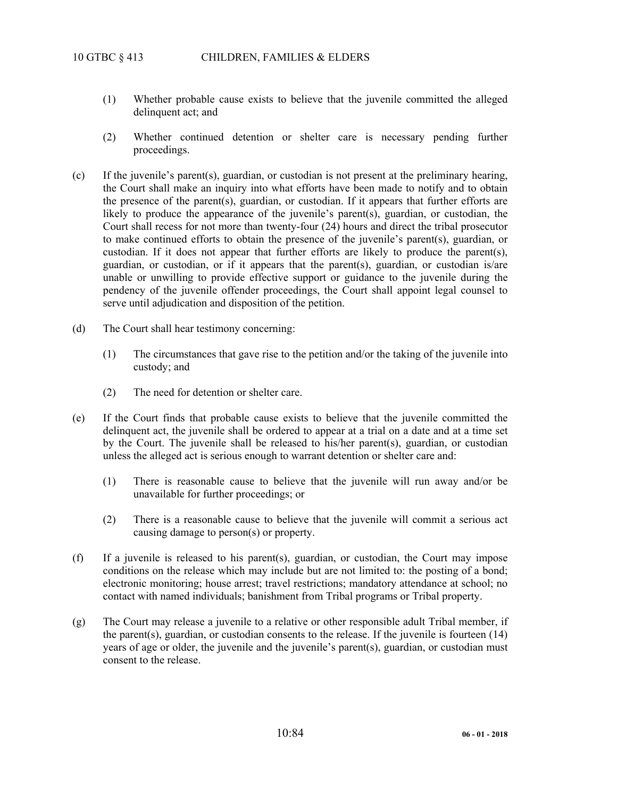- (1) Whether probable cause exists to believe that the juvenile committed the alleged delinquent act; and
- (2) Whether continued detention or shelter care is necessary pending further proceedings.
- (c) If the juvenile's parent(s), guardian, or custodian is not present at the preliminary hearing, the Court shall make an inquiry into what efforts have been made to notify and to obtain the presence of the parent(s), guardian, or custodian. If it appears that further efforts are likely to produce the appearance of the juvenile's parent(s), guardian, or custodian, the Court shall recess for not more than twenty-four (24) hours and direct the tribal prosecutor to make continued efforts to obtain the presence of the juvenile's parent(s), guardian, or custodian. If it does not appear that further efforts are likely to produce the parent(s), guardian, or custodian, or if it appears that the parent(s), guardian, or custodian is/are unable or unwilling to provide effective support or guidance to the juvenile during the pendency of the juvenile offender proceedings, the Court shall appoint legal counsel to serve until adjudication and disposition of the petition.
- (d) The Court shall hear testimony concerning:
	- (1) The circumstances that gave rise to the petition and/or the taking of the juvenile into custody; and
	- (2) The need for detention or shelter care.
- (e) If the Court finds that probable cause exists to believe that the juvenile committed the delinquent act, the juvenile shall be ordered to appear at a trial on a date and at a time set by the Court. The juvenile shall be released to his/her parent(s), guardian, or custodian unless the alleged act is serious enough to warrant detention or shelter care and:
	- (1) There is reasonable cause to believe that the juvenile will run away and/or be unavailable for further proceedings; or
	- (2) There is a reasonable cause to believe that the juvenile will commit a serious act causing damage to person(s) or property.
- (f) If a juvenile is released to his parent(s), guardian, or custodian, the Court may impose conditions on the release which may include but are not limited to: the posting of a bond; electronic monitoring; house arrest; travel restrictions; mandatory attendance at school; no contact with named individuals; banishment from Tribal programs or Tribal property.
- (g) The Court may release a juvenile to a relative or other responsible adult Tribal member, if the parent(s), guardian, or custodian consents to the release. If the juvenile is fourteen  $(14)$ years of age or older, the juvenile and the juvenile's parent(s), guardian, or custodian must consent to the release.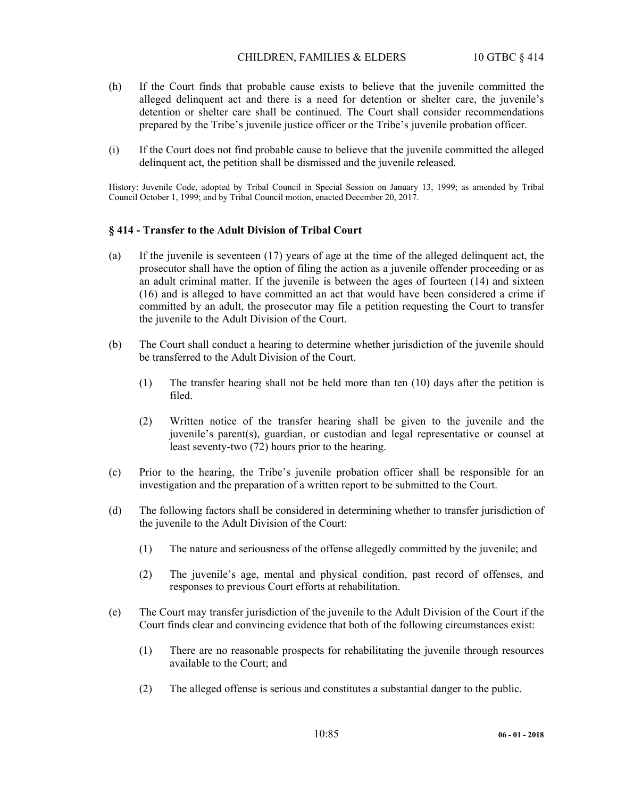## CHILDREN, FAMILIES & ELDERS 10 GTBC § 414

- (h) If the Court finds that probable cause exists to believe that the juvenile committed the alleged delinquent act and there is a need for detention or shelter care, the juvenile's detention or shelter care shall be continued. The Court shall consider recommendations prepared by the Tribe's juvenile justice officer or the Tribe's juvenile probation officer.
- (i) If the Court does not find probable cause to believe that the juvenile committed the alleged delinquent act, the petition shall be dismissed and the juvenile released.

History: Juvenile Code, adopted by Tribal Council in Special Session on January 13, 1999; as amended by Tribal Council October 1, 1999; and by Tribal Council motion, enacted December 20, 2017.

## **§ 414 - Transfer to the Adult Division of Tribal Court**

- (a) If the juvenile is seventeen (17) years of age at the time of the alleged delinquent act, the prosecutor shall have the option of filing the action as a juvenile offender proceeding or as an adult criminal matter. If the juvenile is between the ages of fourteen (14) and sixteen (16) and is alleged to have committed an act that would have been considered a crime if committed by an adult, the prosecutor may file a petition requesting the Court to transfer the juvenile to the Adult Division of the Court.
- (b) The Court shall conduct a hearing to determine whether jurisdiction of the juvenile should be transferred to the Adult Division of the Court.
	- (1) The transfer hearing shall not be held more than ten (10) days after the petition is filed.
	- (2) Written notice of the transfer hearing shall be given to the juvenile and the juvenile's parent(s), guardian, or custodian and legal representative or counsel at least seventy-two (72) hours prior to the hearing.
- (c) Prior to the hearing, the Tribe's juvenile probation officer shall be responsible for an investigation and the preparation of a written report to be submitted to the Court.
- (d) The following factors shall be considered in determining whether to transfer jurisdiction of the juvenile to the Adult Division of the Court:
	- (1) The nature and seriousness of the offense allegedly committed by the juvenile; and
	- (2) The juvenile's age, mental and physical condition, past record of offenses, and responses to previous Court efforts at rehabilitation.
- (e) The Court may transfer jurisdiction of the juvenile to the Adult Division of the Court if the Court finds clear and convincing evidence that both of the following circumstances exist:
	- (1) There are no reasonable prospects for rehabilitating the juvenile through resources available to the Court; and
	- (2) The alleged offense is serious and constitutes a substantial danger to the public.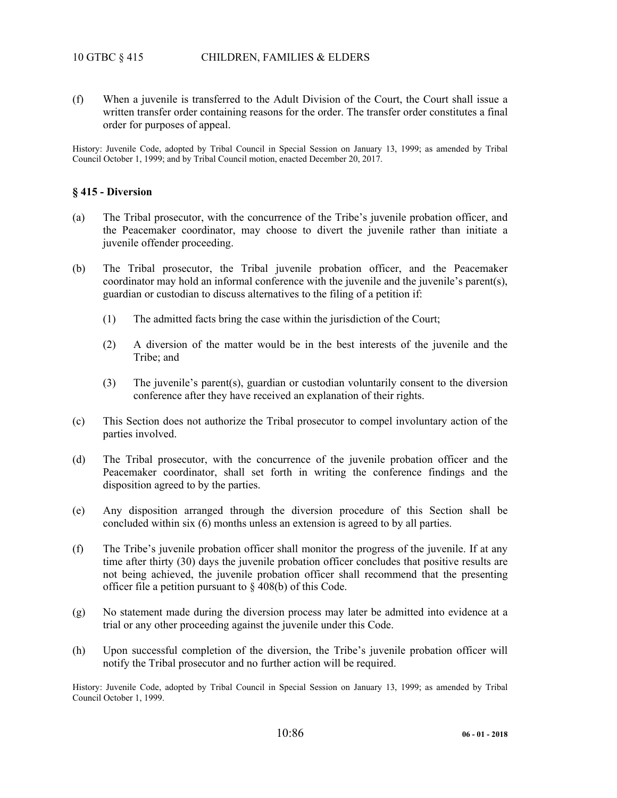(f) When a juvenile is transferred to the Adult Division of the Court, the Court shall issue a written transfer order containing reasons for the order. The transfer order constitutes a final order for purposes of appeal.

History: Juvenile Code, adopted by Tribal Council in Special Session on January 13, 1999; as amended by Tribal Council October 1, 1999; and by Tribal Council motion, enacted December 20, 2017.

## **§ 415 - Diversion**

- (a) The Tribal prosecutor, with the concurrence of the Tribe's juvenile probation officer, and the Peacemaker coordinator, may choose to divert the juvenile rather than initiate a juvenile offender proceeding.
- (b) The Tribal prosecutor, the Tribal juvenile probation officer, and the Peacemaker coordinator may hold an informal conference with the juvenile and the juvenile's parent(s), guardian or custodian to discuss alternatives to the filing of a petition if:
	- (1) The admitted facts bring the case within the jurisdiction of the Court;
	- (2) A diversion of the matter would be in the best interests of the juvenile and the Tribe; and
	- (3) The juvenile's parent(s), guardian or custodian voluntarily consent to the diversion conference after they have received an explanation of their rights.
- (c) This Section does not authorize the Tribal prosecutor to compel involuntary action of the parties involved.
- (d) The Tribal prosecutor, with the concurrence of the juvenile probation officer and the Peacemaker coordinator, shall set forth in writing the conference findings and the disposition agreed to by the parties.
- (e) Any disposition arranged through the diversion procedure of this Section shall be concluded within six (6) months unless an extension is agreed to by all parties.
- (f) The Tribe's juvenile probation officer shall monitor the progress of the juvenile. If at any time after thirty (30) days the juvenile probation officer concludes that positive results are not being achieved, the juvenile probation officer shall recommend that the presenting officer file a petition pursuant to § 408(b) of this Code.
- (g) No statement made during the diversion process may later be admitted into evidence at a trial or any other proceeding against the juvenile under this Code.
- (h) Upon successful completion of the diversion, the Tribe's juvenile probation officer will notify the Tribal prosecutor and no further action will be required.

History: Juvenile Code, adopted by Tribal Council in Special Session on January 13, 1999; as amended by Tribal Council October 1, 1999.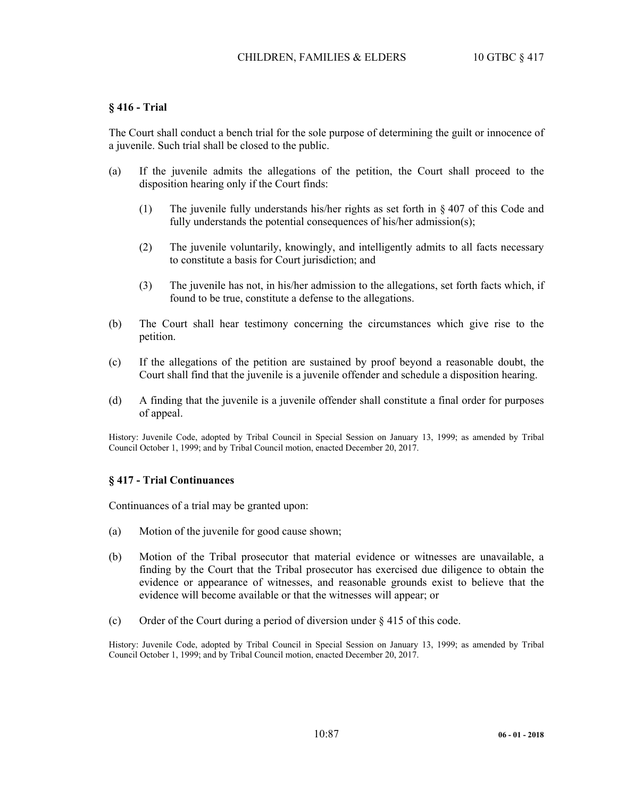## **§ 416 - Trial**

The Court shall conduct a bench trial for the sole purpose of determining the guilt or innocence of a juvenile. Such trial shall be closed to the public.

- (a) If the juvenile admits the allegations of the petition, the Court shall proceed to the disposition hearing only if the Court finds:
	- (1) The juvenile fully understands his/her rights as set forth in § 407 of this Code and fully understands the potential consequences of his/her admission(s);
	- (2) The juvenile voluntarily, knowingly, and intelligently admits to all facts necessary to constitute a basis for Court jurisdiction; and
	- (3) The juvenile has not, in his/her admission to the allegations, set forth facts which, if found to be true, constitute a defense to the allegations.
- (b) The Court shall hear testimony concerning the circumstances which give rise to the petition.
- (c) If the allegations of the petition are sustained by proof beyond a reasonable doubt, the Court shall find that the juvenile is a juvenile offender and schedule a disposition hearing.
- (d) A finding that the juvenile is a juvenile offender shall constitute a final order for purposes of appeal.

History: Juvenile Code, adopted by Tribal Council in Special Session on January 13, 1999; as amended by Tribal Council October 1, 1999; and by Tribal Council motion, enacted December 20, 2017.

## **§ 417 - Trial Continuances**

Continuances of a trial may be granted upon:

- (a) Motion of the juvenile for good cause shown;
- (b) Motion of the Tribal prosecutor that material evidence or witnesses are unavailable, a finding by the Court that the Tribal prosecutor has exercised due diligence to obtain the evidence or appearance of witnesses, and reasonable grounds exist to believe that the evidence will become available or that the witnesses will appear; or
- (c) Order of the Court during a period of diversion under  $\S$  415 of this code.

History: Juvenile Code, adopted by Tribal Council in Special Session on January 13, 1999; as amended by Tribal Council October 1, 1999; and by Tribal Council motion, enacted December 20, 2017.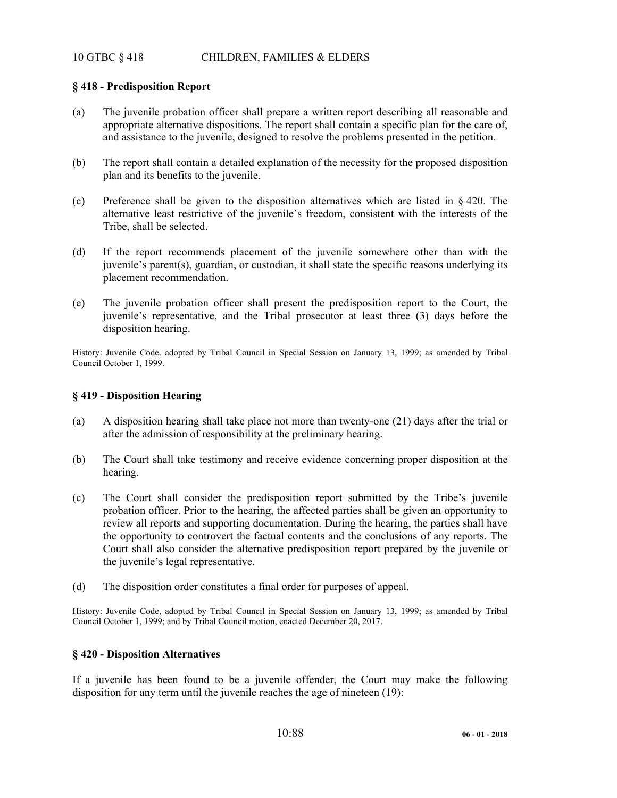# 10 GTBC § 418 CHILDREN, FAMILIES & ELDERS

# **§ 418 - Predisposition Report**

- (a) The juvenile probation officer shall prepare a written report describing all reasonable and appropriate alternative dispositions. The report shall contain a specific plan for the care of, and assistance to the juvenile, designed to resolve the problems presented in the petition.
- (b) The report shall contain a detailed explanation of the necessity for the proposed disposition plan and its benefits to the juvenile.
- (c) Preference shall be given to the disposition alternatives which are listed in  $\S$  420. The alternative least restrictive of the juvenile's freedom, consistent with the interests of the Tribe, shall be selected.
- (d) If the report recommends placement of the juvenile somewhere other than with the juvenile's parent(s), guardian, or custodian, it shall state the specific reasons underlying its placement recommendation.
- (e) The juvenile probation officer shall present the predisposition report to the Court, the juvenile's representative, and the Tribal prosecutor at least three (3) days before the disposition hearing.

History: Juvenile Code, adopted by Tribal Council in Special Session on January 13, 1999; as amended by Tribal Council October 1, 1999.

## **§ 419 - Disposition Hearing**

- (a) A disposition hearing shall take place not more than twenty-one (21) days after the trial or after the admission of responsibility at the preliminary hearing.
- (b) The Court shall take testimony and receive evidence concerning proper disposition at the hearing.
- (c) The Court shall consider the predisposition report submitted by the Tribe's juvenile probation officer. Prior to the hearing, the affected parties shall be given an opportunity to review all reports and supporting documentation. During the hearing, the parties shall have the opportunity to controvert the factual contents and the conclusions of any reports. The Court shall also consider the alternative predisposition report prepared by the juvenile or the juvenile's legal representative.
- (d) The disposition order constitutes a final order for purposes of appeal.

History: Juvenile Code, adopted by Tribal Council in Special Session on January 13, 1999; as amended by Tribal Council October 1, 1999; and by Tribal Council motion, enacted December 20, 2017.

## **§ 420 - Disposition Alternatives**

If a juvenile has been found to be a juvenile offender, the Court may make the following disposition for any term until the juvenile reaches the age of nineteen (19):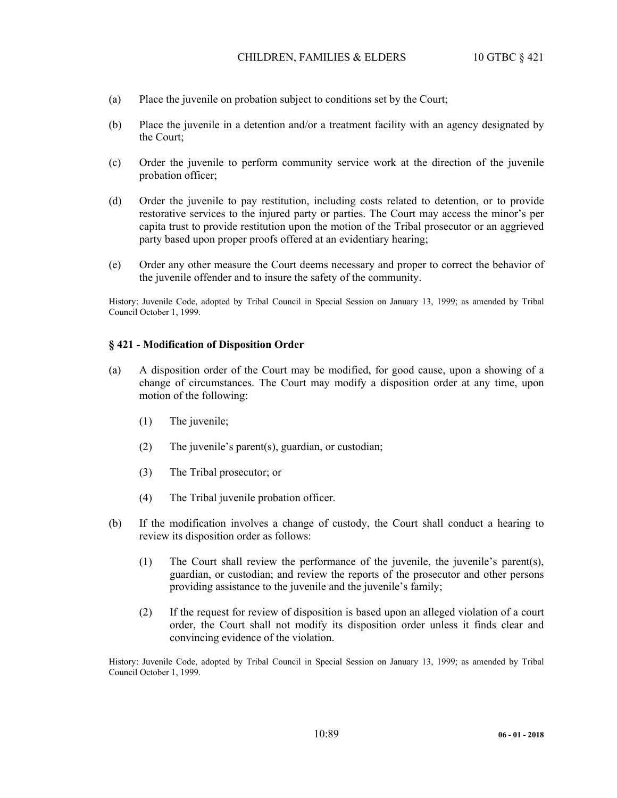- (a) Place the juvenile on probation subject to conditions set by the Court;
- (b) Place the juvenile in a detention and/or a treatment facility with an agency designated by the Court;
- (c) Order the juvenile to perform community service work at the direction of the juvenile probation officer;
- (d) Order the juvenile to pay restitution, including costs related to detention, or to provide restorative services to the injured party or parties. The Court may access the minor's per capita trust to provide restitution upon the motion of the Tribal prosecutor or an aggrieved party based upon proper proofs offered at an evidentiary hearing;
- (e) Order any other measure the Court deems necessary and proper to correct the behavior of the juvenile offender and to insure the safety of the community.

History: Juvenile Code, adopted by Tribal Council in Special Session on January 13, 1999; as amended by Tribal Council October 1, 1999.

#### **§ 421 - Modification of Disposition Order**

- (a) A disposition order of the Court may be modified, for good cause, upon a showing of a change of circumstances. The Court may modify a disposition order at any time, upon motion of the following:
	- (1) The juvenile;
	- (2) The juvenile's parent(s), guardian, or custodian;
	- (3) The Tribal prosecutor; or
	- (4) The Tribal juvenile probation officer.
- (b) If the modification involves a change of custody, the Court shall conduct a hearing to review its disposition order as follows:
	- (1) The Court shall review the performance of the juvenile, the juvenile's parent(s), guardian, or custodian; and review the reports of the prosecutor and other persons providing assistance to the juvenile and the juvenile's family;
	- (2) If the request for review of disposition is based upon an alleged violation of a court order, the Court shall not modify its disposition order unless it finds clear and convincing evidence of the violation.

History: Juvenile Code, adopted by Tribal Council in Special Session on January 13, 1999; as amended by Tribal Council October 1, 1999.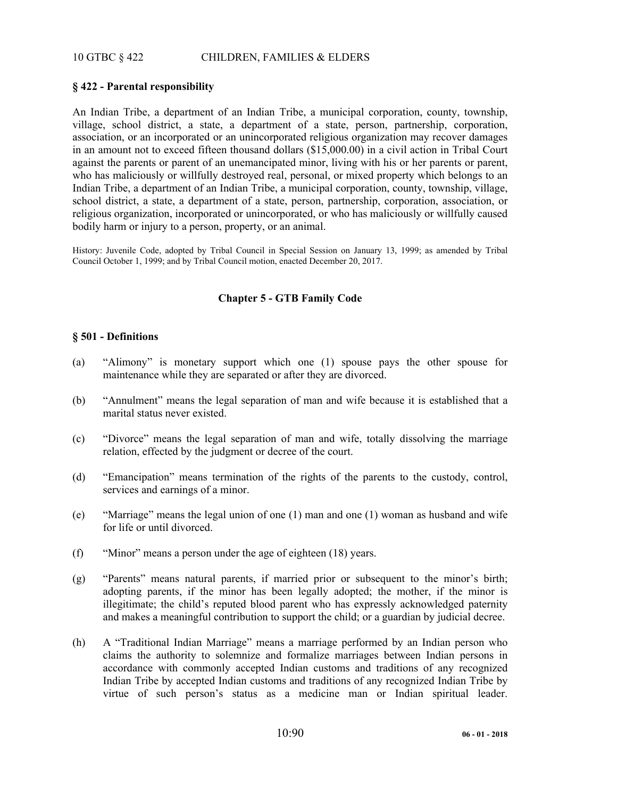# 10 GTBC § 422 CHILDREN, FAMILIES & ELDERS

# **§ 422 - Parental responsibility**

An Indian Tribe, a department of an Indian Tribe, a municipal corporation, county, township, village, school district, a state, a department of a state, person, partnership, corporation, association, or an incorporated or an unincorporated religious organization may recover damages in an amount not to exceed fifteen thousand dollars (\$15,000.00) in a civil action in Tribal Court against the parents or parent of an unemancipated minor, living with his or her parents or parent, who has maliciously or willfully destroyed real, personal, or mixed property which belongs to an Indian Tribe, a department of an Indian Tribe, a municipal corporation, county, township, village, school district, a state, a department of a state, person, partnership, corporation, association, or religious organization, incorporated or unincorporated, or who has maliciously or willfully caused bodily harm or injury to a person, property, or an animal.

History: Juvenile Code, adopted by Tribal Council in Special Session on January 13, 1999; as amended by Tribal Council October 1, 1999; and by Tribal Council motion, enacted December 20, 2017.

# **Chapter 5 - GTB Family Code**

#### **§ 501 - Definitions**

- (a) "Alimony" is monetary support which one (1) spouse pays the other spouse for maintenance while they are separated or after they are divorced.
- (b) "Annulment" means the legal separation of man and wife because it is established that a marital status never existed.
- (c) "Divorce" means the legal separation of man and wife, totally dissolving the marriage relation, effected by the judgment or decree of the court.
- (d) "Emancipation" means termination of the rights of the parents to the custody, control, services and earnings of a minor.
- (e) "Marriage" means the legal union of one (1) man and one (1) woman as husband and wife for life or until divorced.
- (f) "Minor" means a person under the age of eighteen (18) years.
- (g) "Parents" means natural parents, if married prior or subsequent to the minor's birth; adopting parents, if the minor has been legally adopted; the mother, if the minor is illegitimate; the child's reputed blood parent who has expressly acknowledged paternity and makes a meaningful contribution to support the child; or a guardian by judicial decree.
- (h) A "Traditional Indian Marriage" means a marriage performed by an Indian person who claims the authority to solemnize and formalize marriages between Indian persons in accordance with commonly accepted Indian customs and traditions of any recognized Indian Tribe by accepted Indian customs and traditions of any recognized Indian Tribe by virtue of such person's status as a medicine man or Indian spiritual leader.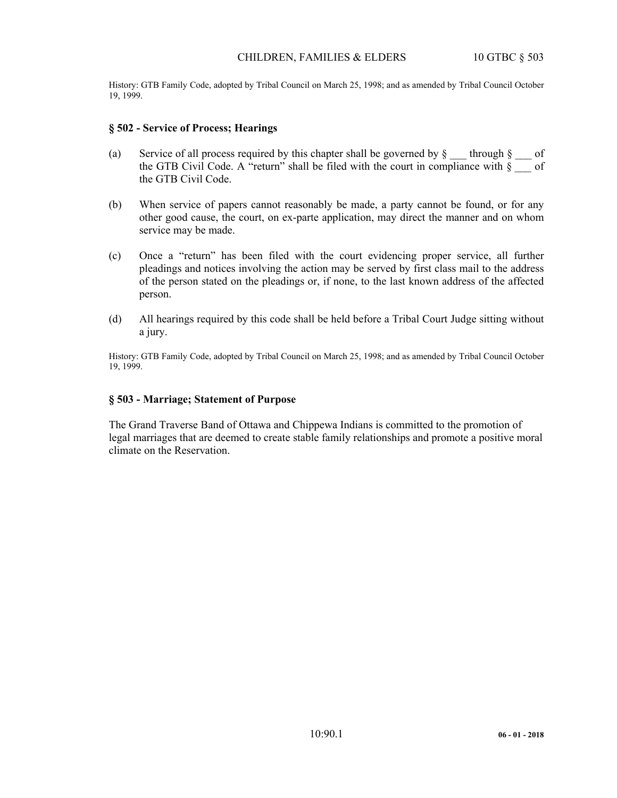History: GTB Family Code, adopted by Tribal Council on March 25, 1998; and as amended by Tribal Council October 19, 1999.

#### **§ 502 - Service of Process; Hearings**

- (a) Service of all process required by this chapter shall be governed by  $\S$   $\equiv$  through  $\S$   $\equiv$  of the GTB Civil Code. A "return" shall be filed with the court in compliance with  $\S$  of the GTB Civil Code.
- (b) When service of papers cannot reasonably be made, a party cannot be found, or for any other good cause, the court, on ex-parte application, may direct the manner and on whom service may be made.
- (c) Once a "return" has been filed with the court evidencing proper service, all further pleadings and notices involving the action may be served by first class mail to the address of the person stated on the pleadings or, if none, to the last known address of the affected person.
- (d) All hearings required by this code shall be held before a Tribal Court Judge sitting without a jury.

History: GTB Family Code, adopted by Tribal Council on March 25, 1998; and as amended by Tribal Council October 19, 1999.

#### **§ 503 - Marriage; Statement of Purpose**

The Grand Traverse Band of Ottawa and Chippewa Indians is committed to the promotion of legal marriages that are deemed to create stable family relationships and promote a positive moral climate on the Reservation.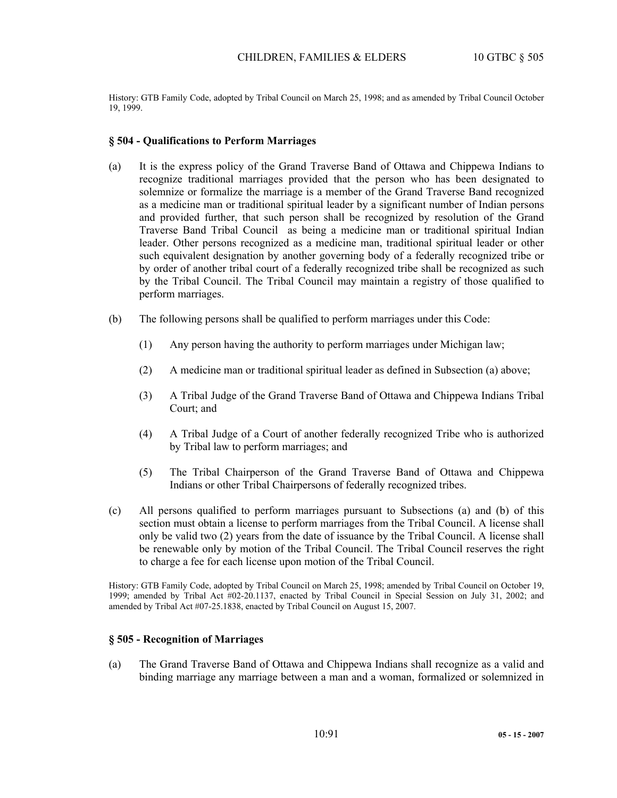History: GTB Family Code, adopted by Tribal Council on March 25, 1998; and as amended by Tribal Council October 19, 1999.

#### **§ 504 - Qualifications to Perform Marriages**

- (a) It is the express policy of the Grand Traverse Band of Ottawa and Chippewa Indians to recognize traditional marriages provided that the person who has been designated to solemnize or formalize the marriage is a member of the Grand Traverse Band recognized as a medicine man or traditional spiritual leader by a significant number of Indian persons and provided further, that such person shall be recognized by resolution of the Grand Traverse Band Tribal Council as being a medicine man or traditional spiritual Indian leader. Other persons recognized as a medicine man, traditional spiritual leader or other such equivalent designation by another governing body of a federally recognized tribe or by order of another tribal court of a federally recognized tribe shall be recognized as such by the Tribal Council. The Tribal Council may maintain a registry of those qualified to perform marriages.
- (b) The following persons shall be qualified to perform marriages under this Code:
	- (1) Any person having the authority to perform marriages under Michigan law;
	- (2) A medicine man or traditional spiritual leader as defined in Subsection (a) above;
	- (3) A Tribal Judge of the Grand Traverse Band of Ottawa and Chippewa Indians Tribal Court; and
	- (4) A Tribal Judge of a Court of another federally recognized Tribe who is authorized by Tribal law to perform marriages; and
	- (5) The Tribal Chairperson of the Grand Traverse Band of Ottawa and Chippewa Indians or other Tribal Chairpersons of federally recognized tribes.
- (c) All persons qualified to perform marriages pursuant to Subsections (a) and (b) of this section must obtain a license to perform marriages from the Tribal Council. A license shall only be valid two (2) years from the date of issuance by the Tribal Council. A license shall be renewable only by motion of the Tribal Council. The Tribal Council reserves the right to charge a fee for each license upon motion of the Tribal Council.

History: GTB Family Code, adopted by Tribal Council on March 25, 1998; amended by Tribal Council on October 19, 1999; amended by Tribal Act #02-20.1137, enacted by Tribal Council in Special Session on July 31, 2002; and amended by Tribal Act #07-25.1838, enacted by Tribal Council on August 15, 2007.

#### **§ 505 - Recognition of Marriages**

(a) The Grand Traverse Band of Ottawa and Chippewa Indians shall recognize as a valid and binding marriage any marriage between a man and a woman, formalized or solemnized in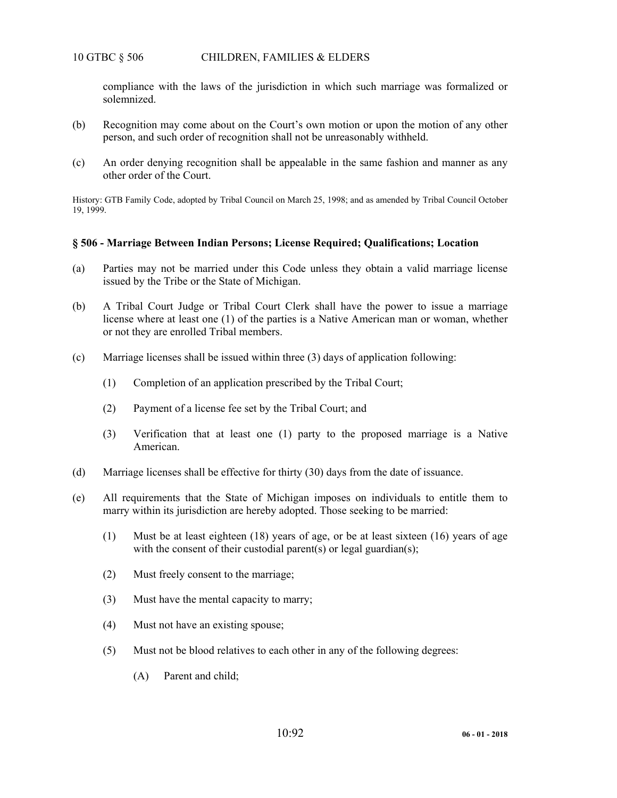compliance with the laws of the jurisdiction in which such marriage was formalized or solemnized.

- (b) Recognition may come about on the Court's own motion or upon the motion of any other person, and such order of recognition shall not be unreasonably withheld.
- (c) An order denying recognition shall be appealable in the same fashion and manner as any other order of the Court.

History: GTB Family Code, adopted by Tribal Council on March 25, 1998; and as amended by Tribal Council October 19, 1999.

#### **§ 506 - Marriage Between Indian Persons; License Required; Qualifications; Location**

- (a) Parties may not be married under this Code unless they obtain a valid marriage license issued by the Tribe or the State of Michigan.
- (b) A Tribal Court Judge or Tribal Court Clerk shall have the power to issue a marriage license where at least one (1) of the parties is a Native American man or woman, whether or not they are enrolled Tribal members.
- (c) Marriage licenses shall be issued within three (3) days of application following:
	- (1) Completion of an application prescribed by the Tribal Court;
	- (2) Payment of a license fee set by the Tribal Court; and
	- (3) Verification that at least one (1) party to the proposed marriage is a Native American.
- (d) Marriage licenses shall be effective for thirty (30) days from the date of issuance.
- (e) All requirements that the State of Michigan imposes on individuals to entitle them to marry within its jurisdiction are hereby adopted. Those seeking to be married:
	- (1) Must be at least eighteen (18) years of age, or be at least sixteen (16) years of age with the consent of their custodial parent(s) or legal guardian(s);
	- (2) Must freely consent to the marriage;
	- (3) Must have the mental capacity to marry;
	- (4) Must not have an existing spouse;
	- (5) Must not be blood relatives to each other in any of the following degrees:
		- (A) Parent and child;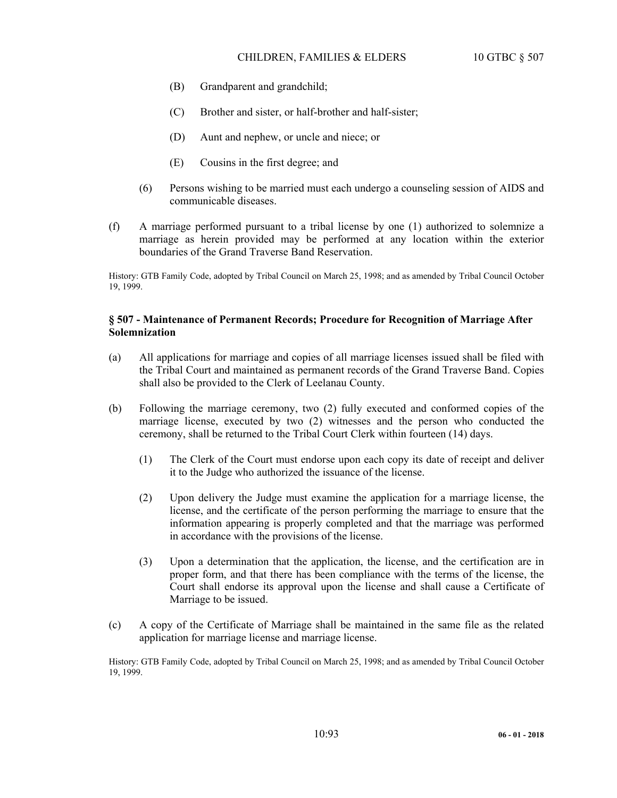- (B) Grandparent and grandchild;
- (C) Brother and sister, or half-brother and half-sister;
- (D) Aunt and nephew, or uncle and niece; or
- (E) Cousins in the first degree; and
- (6) Persons wishing to be married must each undergo a counseling session of AIDS and communicable diseases.
- (f) A marriage performed pursuant to a tribal license by one (1) authorized to solemnize a marriage as herein provided may be performed at any location within the exterior boundaries of the Grand Traverse Band Reservation.

History: GTB Family Code, adopted by Tribal Council on March 25, 1998; and as amended by Tribal Council October 19, 1999.

# **§ 507 - Maintenance of Permanent Records; Procedure for Recognition of Marriage After Solemnization**

- (a) All applications for marriage and copies of all marriage licenses issued shall be filed with the Tribal Court and maintained as permanent records of the Grand Traverse Band. Copies shall also be provided to the Clerk of Leelanau County.
- (b) Following the marriage ceremony, two (2) fully executed and conformed copies of the marriage license, executed by two (2) witnesses and the person who conducted the ceremony, shall be returned to the Tribal Court Clerk within fourteen (14) days.
	- (1) The Clerk of the Court must endorse upon each copy its date of receipt and deliver it to the Judge who authorized the issuance of the license.
	- (2) Upon delivery the Judge must examine the application for a marriage license, the license, and the certificate of the person performing the marriage to ensure that the information appearing is properly completed and that the marriage was performed in accordance with the provisions of the license.
	- (3) Upon a determination that the application, the license, and the certification are in proper form, and that there has been compliance with the terms of the license, the Court shall endorse its approval upon the license and shall cause a Certificate of Marriage to be issued.
- (c) A copy of the Certificate of Marriage shall be maintained in the same file as the related application for marriage license and marriage license.

History: GTB Family Code, adopted by Tribal Council on March 25, 1998; and as amended by Tribal Council October 19, 1999.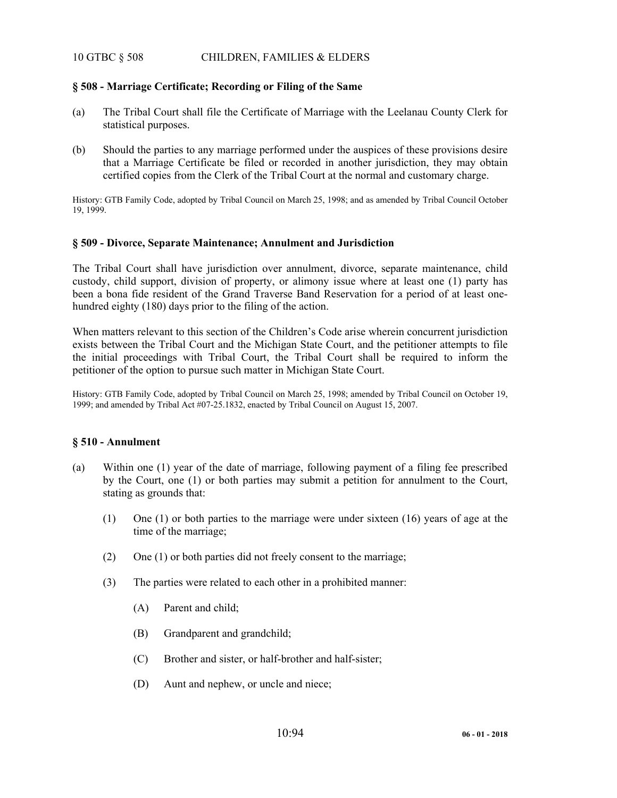# 10 GTBC § 508 CHILDREN, FAMILIES & ELDERS

## **§ 508 - Marriage Certificate; Recording or Filing of the Same**

- (a) The Tribal Court shall file the Certificate of Marriage with the Leelanau County Clerk for statistical purposes.
- (b) Should the parties to any marriage performed under the auspices of these provisions desire that a Marriage Certificate be filed or recorded in another jurisdiction, they may obtain certified copies from the Clerk of the Tribal Court at the normal and customary charge.

History: GTB Family Code, adopted by Tribal Council on March 25, 1998; and as amended by Tribal Council October 19, 1999.

## **§ 509 - Divo**r**ce, Separate Maintenance; Annulment and Jurisdiction**

The Tribal Court shall have jurisdiction over annulment, divorce, separate maintenance, child custody, child support, division of property, or alimony issue where at least one (1) party has been a bona fide resident of the Grand Traverse Band Reservation for a period of at least onehundred eighty (180) days prior to the filing of the action.

When matters relevant to this section of the Children's Code arise wherein concurrent jurisdiction exists between the Tribal Court and the Michigan State Court, and the petitioner attempts to file the initial proceedings with Tribal Court, the Tribal Court shall be required to inform the petitioner of the option to pursue such matter in Michigan State Court.

History: GTB Family Code, adopted by Tribal Council on March 25, 1998; amended by Tribal Council on October 19, 1999; and amended by Tribal Act #07-25.1832, enacted by Tribal Council on August 15, 2007.

## **§ 510 - Annulment**

- (a) Within one (1) year of the date of marriage, following payment of a filing fee prescribed by the Court, one (1) or both parties may submit a petition for annulment to the Court, stating as grounds that:
	- (1) One (1) or both parties to the marriage were under sixteen (16) years of age at the time of the marriage;
	- (2) One (1) or both parties did not freely consent to the marriage;
	- (3) The parties were related to each other in a prohibited manner:
		- (A) Parent and child;
		- (B) Grandparent and grandchild;
		- (C) Brother and sister, or half-brother and half-sister;
		- (D) Aunt and nephew, or uncle and niece;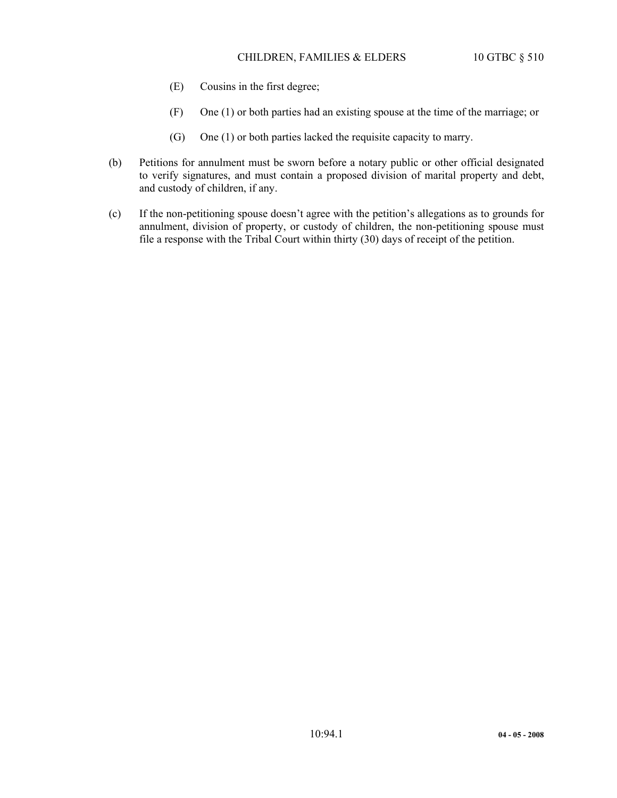- (E) Cousins in the first degree;
- (F) One (1) or both parties had an existing spouse at the time of the marriage; or
- (G) One (1) or both parties lacked the requisite capacity to marry.
- (b) Petitions for annulment must be sworn before a notary public or other official designated to verify signatures, and must contain a proposed division of marital property and debt, and custody of children, if any.
- (c) If the non-petitioning spouse doesn't agree with the petition's allegations as to grounds for annulment, division of property, or custody of children, the non-petitioning spouse must file a response with the Tribal Court within thirty (30) days of receipt of the petition.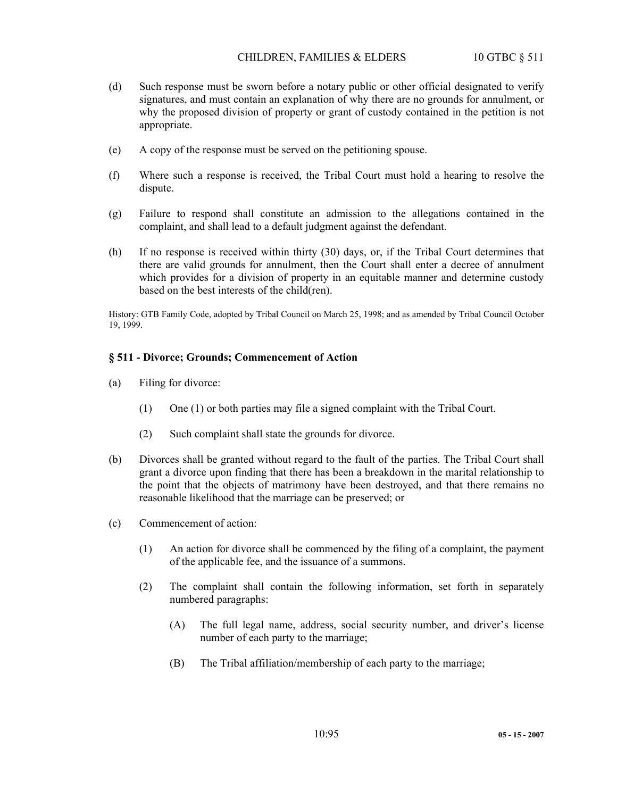- (d) Such response must be sworn before a notary public or other official designated to verify signatures, and must contain an explanation of why there are no grounds for annulment, or why the proposed division of property or grant of custody contained in the petition is not appropriate.
- (e) A copy of the response must be served on the petitioning spouse.
- (f) Where such a response is received, the Tribal Court must hold a hearing to resolve the dispute.
- (g) Failure to respond shall constitute an admission to the allegations contained in the complaint, and shall lead to a default judgment against the defendant.
- (h) If no response is received within thirty (30) days, or, if the Tribal Court determines that there are valid grounds for annulment, then the Court shall enter a decree of annulment which provides for a division of property in an equitable manner and determine custody based on the best interests of the child(ren).

History: GTB Family Code, adopted by Tribal Council on March 25, 1998; and as amended by Tribal Council October 19, 1999.

## **§ 511 - Divorce; Grounds; Commencement of Action**

- (a) Filing for divorce:
	- (1) One (1) or both parties may file a signed complaint with the Tribal Court.
	- (2) Such complaint shall state the grounds for divorce.
- (b) Divorces shall be granted without regard to the fault of the parties. The Tribal Court shall grant a divorce upon finding that there has been a breakdown in the marital relationship to the point that the objects of matrimony have been destroyed, and that there remains no reasonable likelihood that the marriage can be preserved; or
- (c) Commencement of action:
	- (1) An action for divorce shall be commenced by the filing of a complaint, the payment of the applicable fee, and the issuance of a summons.
	- (2) The complaint shall contain the following information, set forth in separately numbered paragraphs:
		- (A) The full legal name, address, social security number, and driver's license number of each party to the marriage;
		- (B) The Tribal affiliation/membership of each party to the marriage;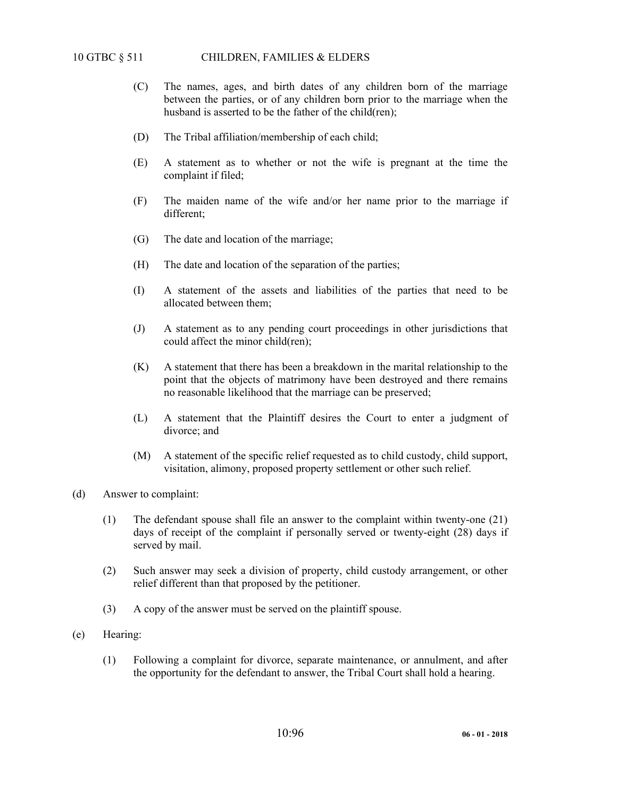- (C) The names, ages, and birth dates of any children born of the marriage between the parties, or of any children born prior to the marriage when the husband is asserted to be the father of the child(ren);
- (D) The Tribal affiliation/membership of each child;
- (E) A statement as to whether or not the wife is pregnant at the time the complaint if filed;
- (F) The maiden name of the wife and/or her name prior to the marriage if different;
- (G) The date and location of the marriage;
- (H) The date and location of the separation of the parties;
- (I) A statement of the assets and liabilities of the parties that need to be allocated between them;
- (J) A statement as to any pending court proceedings in other jurisdictions that could affect the minor child(ren);
- (K) A statement that there has been a breakdown in the marital relationship to the point that the objects of matrimony have been destroyed and there remains no reasonable likelihood that the marriage can be preserved;
- (L) A statement that the Plaintiff desires the Court to enter a judgment of divorce; and
- (M) A statement of the specific relief requested as to child custody, child support, visitation, alimony, proposed property settlement or other such relief.
- (d) Answer to complaint:
	- (1) The defendant spouse shall file an answer to the complaint within twenty-one (21) days of receipt of the complaint if personally served or twenty-eight (28) days if served by mail.
	- (2) Such answer may seek a division of property, child custody arrangement, or other relief different than that proposed by the petitioner.
	- (3) A copy of the answer must be served on the plaintiff spouse.
- (e) Hearing:
	- (1) Following a complaint for divorce, separate maintenance, or annulment, and after the opportunity for the defendant to answer, the Tribal Court shall hold a hearing.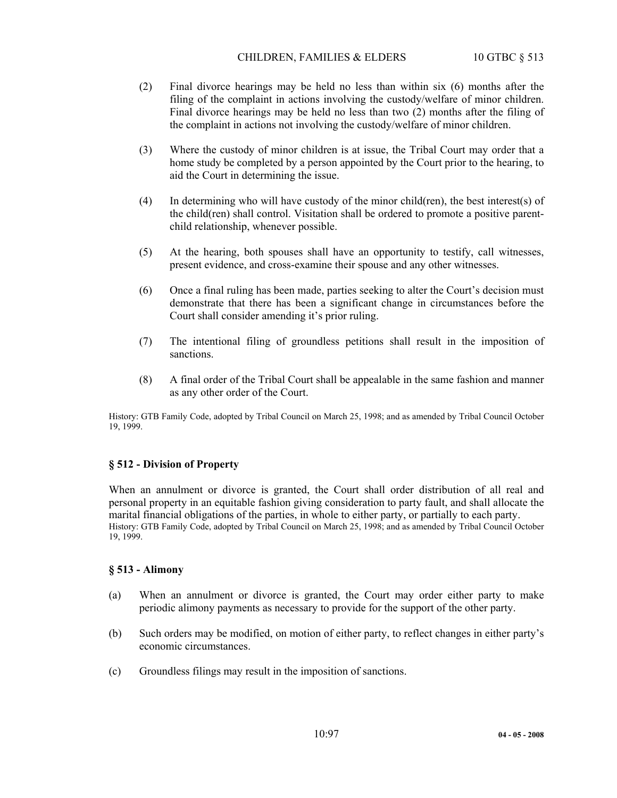## CHILDREN, FAMILIES & ELDERS 10 GTBC § 513

- (2) Final divorce hearings may be held no less than within six (6) months after the filing of the complaint in actions involving the custody/welfare of minor children. Final divorce hearings may be held no less than two (2) months after the filing of the complaint in actions not involving the custody/welfare of minor children.
- (3) Where the custody of minor children is at issue, the Tribal Court may order that a home study be completed by a person appointed by the Court prior to the hearing, to aid the Court in determining the issue.
- (4) In determining who will have custody of the minor child(ren), the best interest(s) of the child(ren) shall control. Visitation shall be ordered to promote a positive parentchild relationship, whenever possible.
- (5) At the hearing, both spouses shall have an opportunity to testify, call witnesses, present evidence, and cross-examine their spouse and any other witnesses.
- (6) Once a final ruling has been made, parties seeking to alter the Court's decision must demonstrate that there has been a significant change in circumstances before the Court shall consider amending it's prior ruling.
- (7) The intentional filing of groundless petitions shall result in the imposition of sanctions.
- (8) A final order of the Tribal Court shall be appealable in the same fashion and manner as any other order of the Court.

History: GTB Family Code, adopted by Tribal Council on March 25, 1998; and as amended by Tribal Council October 19, 1999.

# **§ 512 - Division of Property**

When an annulment or divorce is granted, the Court shall order distribution of all real and personal property in an equitable fashion giving consideration to party fault, and shall allocate the marital financial obligations of the parties, in whole to either party, or partially to each party. History: GTB Family Code, adopted by Tribal Council on March 25, 1998; and as amended by Tribal Council October 19, 1999.

## **§ 513 - Alimony**

- (a) When an annulment or divorce is granted, the Court may order either party to make periodic alimony payments as necessary to provide for the support of the other party.
- (b) Such orders may be modified, on motion of either party, to reflect changes in either party's economic circumstances.
- (c) Groundless filings may result in the imposition of sanctions.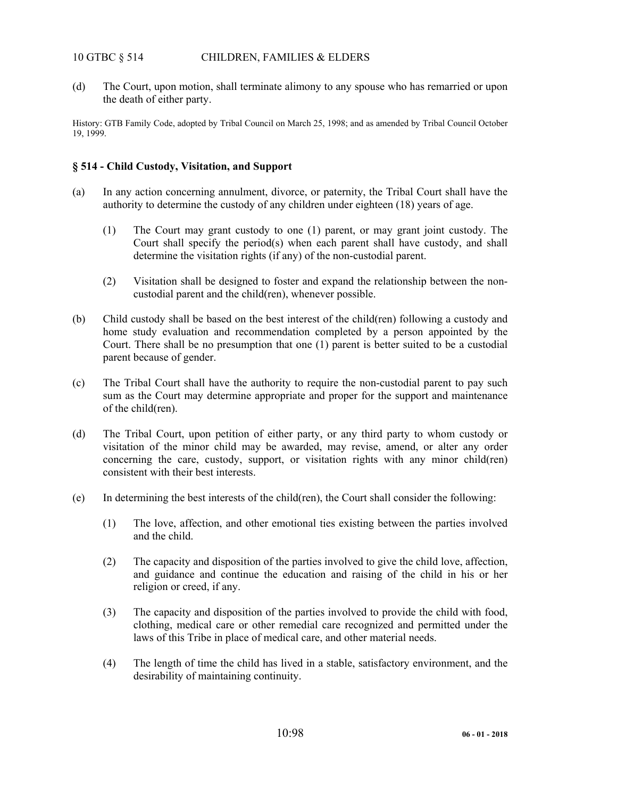# 10 GTBC § 514 CHILDREN, FAMILIES & ELDERS

(d) The Court, upon motion, shall terminate alimony to any spouse who has remarried or upon the death of either party.

History: GTB Family Code, adopted by Tribal Council on March 25, 1998; and as amended by Tribal Council October 19, 1999.

# **§ 514 - Child Custody, Visitation, and Support**

- (a) In any action concerning annulment, divorce, or paternity, the Tribal Court shall have the authority to determine the custody of any children under eighteen (18) years of age.
	- (1) The Court may grant custody to one (1) parent, or may grant joint custody. The Court shall specify the period(s) when each parent shall have custody, and shall determine the visitation rights (if any) of the non-custodial parent.
	- (2) Visitation shall be designed to foster and expand the relationship between the noncustodial parent and the child(ren), whenever possible.
- (b) Child custody shall be based on the best interest of the child(ren) following a custody and home study evaluation and recommendation completed by a person appointed by the Court. There shall be no presumption that one (1) parent is better suited to be a custodial parent because of gender.
- (c) The Tribal Court shall have the authority to require the non-custodial parent to pay such sum as the Court may determine appropriate and proper for the support and maintenance of the child(ren).
- (d) The Tribal Court, upon petition of either party, or any third party to whom custody or visitation of the minor child may be awarded, may revise, amend, or alter any order concerning the care, custody, support, or visitation rights with any minor child(ren) consistent with their best interests.
- (e) In determining the best interests of the child(ren), the Court shall consider the following:
	- (1) The love, affection, and other emotional ties existing between the parties involved and the child.
	- (2) The capacity and disposition of the parties involved to give the child love, affection, and guidance and continue the education and raising of the child in his or her religion or creed, if any.
	- (3) The capacity and disposition of the parties involved to provide the child with food, clothing, medical care or other remedial care recognized and permitted under the laws of this Tribe in place of medical care, and other material needs.
	- (4) The length of time the child has lived in a stable, satisfactory environment, and the desirability of maintaining continuity.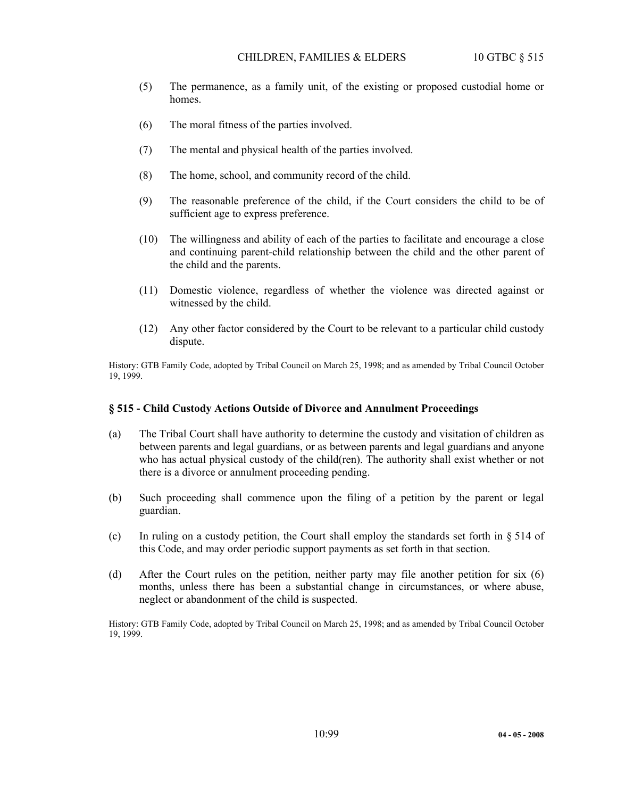- (5) The permanence, as a family unit, of the existing or proposed custodial home or homes.
- (6) The moral fitness of the parties involved.
- (7) The mental and physical health of the parties involved.
- (8) The home, school, and community record of the child.
- (9) The reasonable preference of the child, if the Court considers the child to be of sufficient age to express preference.
- (10) The willingness and ability of each of the parties to facilitate and encourage a close and continuing parent-child relationship between the child and the other parent of the child and the parents.
- (11) Domestic violence, regardless of whether the violence was directed against or witnessed by the child.
- (12) Any other factor considered by the Court to be relevant to a particular child custody dispute.

History: GTB Family Code, adopted by Tribal Council on March 25, 1998; and as amended by Tribal Council October 19, 1999.

## **§ 515 - Child Custody Actions Outside of Divorce and Annulment Proceedings**

- (a) The Tribal Court shall have authority to determine the custody and visitation of children as between parents and legal guardians, or as between parents and legal guardians and anyone who has actual physical custody of the child(ren). The authority shall exist whether or not there is a divorce or annulment proceeding pending.
- (b) Such proceeding shall commence upon the filing of a petition by the parent or legal guardian.
- (c) In ruling on a custody petition, the Court shall employ the standards set forth in § 514 of this Code, and may order periodic support payments as set forth in that section.
- (d) After the Court rules on the petition, neither party may file another petition for six (6) months, unless there has been a substantial change in circumstances, or where abuse, neglect or abandonment of the child is suspected.

History: GTB Family Code, adopted by Tribal Council on March 25, 1998; and as amended by Tribal Council October 19, 1999.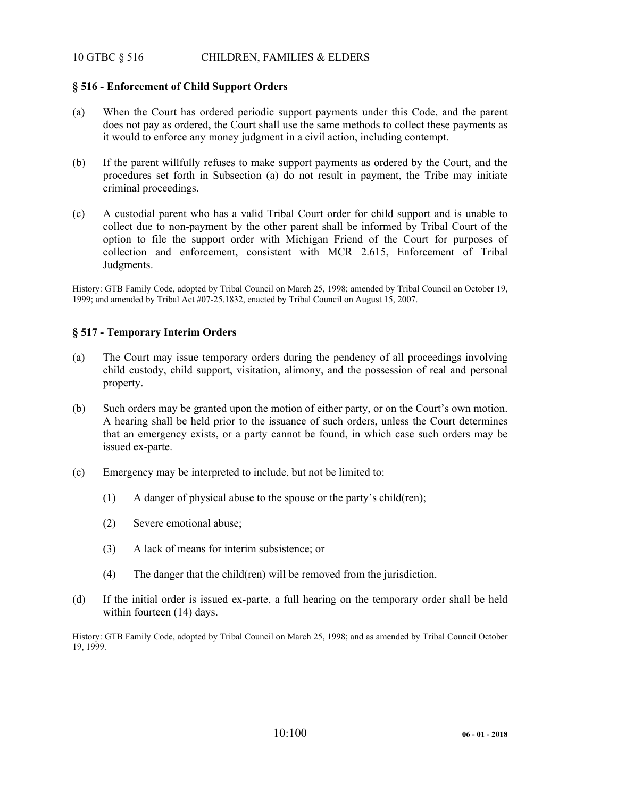# 10 GTBC § 516 CHILDREN, FAMILIES & ELDERS

# **§ 516 - Enforcement of Child Support Orders**

- (a) When the Court has ordered periodic support payments under this Code, and the parent does not pay as ordered, the Court shall use the same methods to collect these payments as it would to enforce any money judgment in a civil action, including contempt.
- (b) If the parent willfully refuses to make support payments as ordered by the Court, and the procedures set forth in Subsection (a) do not result in payment, the Tribe may initiate criminal proceedings.
- (c) A custodial parent who has a valid Tribal Court order for child support and is unable to collect due to non-payment by the other parent shall be informed by Tribal Court of the option to file the support order with Michigan Friend of the Court for purposes of collection and enforcement, consistent with MCR 2.615, Enforcement of Tribal Judgments.

History: GTB Family Code, adopted by Tribal Council on March 25, 1998; amended by Tribal Council on October 19, 1999; and amended by Tribal Act #07-25.1832, enacted by Tribal Council on August 15, 2007.

## **§ 517 - Temporary Interim Orders**

- (a) The Court may issue temporary orders during the pendency of all proceedings involving child custody, child support, visitation, alimony, and the possession of real and personal property.
- (b) Such orders may be granted upon the motion of either party, or on the Court's own motion. A hearing shall be held prior to the issuance of such orders, unless the Court determines that an emergency exists, or a party cannot be found, in which case such orders may be issued ex-parte.
- (c) Emergency may be interpreted to include, but not be limited to:
	- (1) A danger of physical abuse to the spouse or the party's child(ren);
	- (2) Severe emotional abuse;
	- (3) A lack of means for interim subsistence; or
	- (4) The danger that the child(ren) will be removed from the jurisdiction.
- (d) If the initial order is issued ex-parte, a full hearing on the temporary order shall be held within fourteen (14) days.

History: GTB Family Code, adopted by Tribal Council on March 25, 1998; and as amended by Tribal Council October 19, 1999.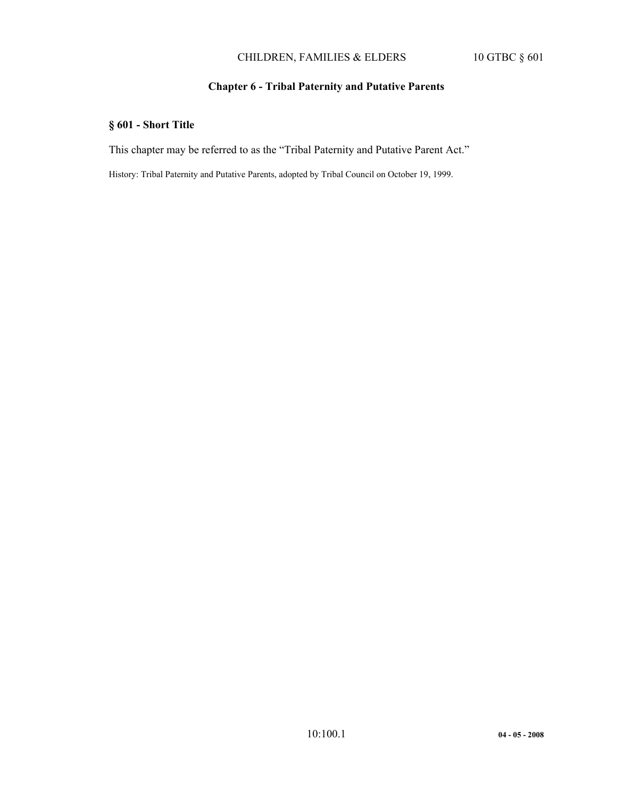# CHILDREN, FAMILIES & ELDERS 10 GTBC § 601

# **Chapter 6 - Tribal Paternity and Putative Parents**

# **§ 601 - Short Title**

This chapter may be referred to as the "Tribal Paternity and Putative Parent Act."

History: Tribal Paternity and Putative Parents, adopted by Tribal Council on October 19, 1999.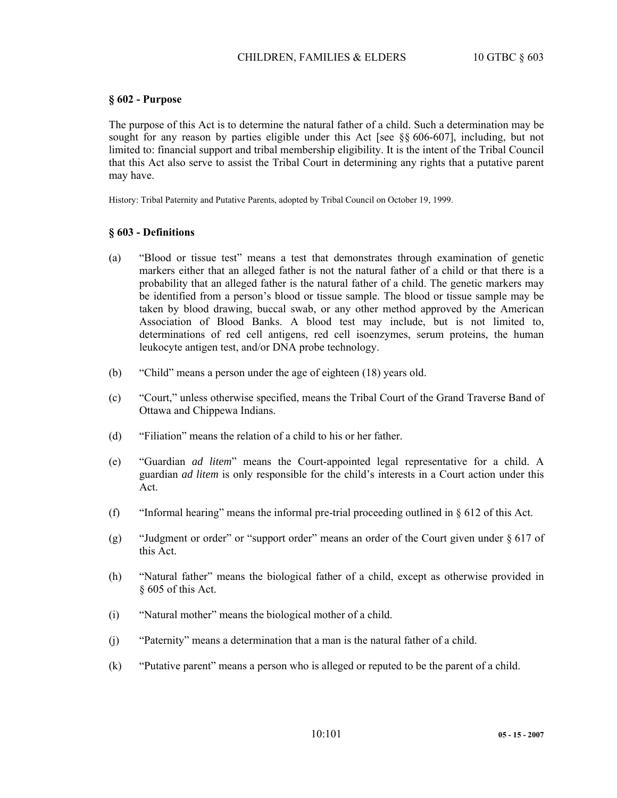## **§ 602 - Purpose**

The purpose of this Act is to determine the natural father of a child. Such a determination may be sought for any reason by parties eligible under this Act [see §§ 606-607], including, but not limited to: financial support and tribal membership eligibility. It is the intent of the Tribal Council that this Act also serve to assist the Tribal Court in determining any rights that a putative parent may have.

History: Tribal Paternity and Putative Parents, adopted by Tribal Council on October 19, 1999.

#### **§ 603 - Definitions**

- (a) "Blood or tissue test" means a test that demonstrates through examination of genetic markers either that an alleged father is not the natural father of a child or that there is a probability that an alleged father is the natural father of a child. The genetic markers may be identified from a person's blood or tissue sample. The blood or tissue sample may be taken by blood drawing, buccal swab, or any other method approved by the American Association of Blood Banks. A blood test may include, but is not limited to, determinations of red cell antigens, red cell isoenzymes, serum proteins, the human leukocyte antigen test, and/or DNA probe technology.
- (b) "Child" means a person under the age of eighteen (18) years old.
- (c) "Court," unless otherwise specified, means the Tribal Court of the Grand Traverse Band of Ottawa and Chippewa Indians.
- (d) "Filiation" means the relation of a child to his or her father.
- (e) "Guardian *ad litem*" means the Court-appointed legal representative for a child. A guardian *ad litem* is only responsible for the child's interests in a Court action under this Act.
- (f) "Informal hearing" means the informal pre-trial proceeding outlined in  $\S 612$  of this Act.
- (g) "Judgment or order" or "support order" means an order of the Court given under  $\S 617$  of this Act.
- (h) "Natural father" means the biological father of a child, except as otherwise provided in § 605 of this Act.
- (i) "Natural mother" means the biological mother of a child.
- (j) "Paternity" means a determination that a man is the natural father of a child.
- (k) "Putative parent" means a person who is alleged or reputed to be the parent of a child.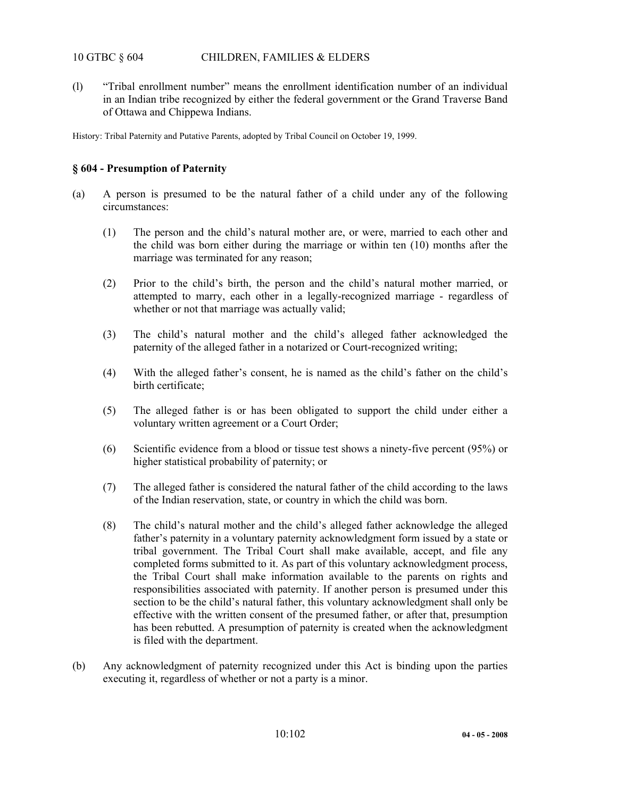# 10 GTBC § 604 CHILDREN, FAMILIES & ELDERS

(l) "Tribal enrollment number" means the enrollment identification number of an individual in an Indian tribe recognized by either the federal government or the Grand Traverse Band of Ottawa and Chippewa Indians.

History: Tribal Paternity and Putative Parents, adopted by Tribal Council on October 19, 1999.

# **§ 604 - Presumption of Paternity**

- (a) A person is presumed to be the natural father of a child under any of the following circumstances:
	- (1) The person and the child's natural mother are, or were, married to each other and the child was born either during the marriage or within ten (10) months after the marriage was terminated for any reason;
	- (2) Prior to the child's birth, the person and the child's natural mother married, or attempted to marry, each other in a legally-recognized marriage - regardless of whether or not that marriage was actually valid;
	- (3) The child's natural mother and the child's alleged father acknowledged the paternity of the alleged father in a notarized or Court-recognized writing;
	- (4) With the alleged father's consent, he is named as the child's father on the child's birth certificate;
	- (5) The alleged father is or has been obligated to support the child under either a voluntary written agreement or a Court Order;
	- (6) Scientific evidence from a blood or tissue test shows a ninety-five percent (95%) or higher statistical probability of paternity; or
	- (7) The alleged father is considered the natural father of the child according to the laws of the Indian reservation, state, or country in which the child was born.
	- (8) The child's natural mother and the child's alleged father acknowledge the alleged father's paternity in a voluntary paternity acknowledgment form issued by a state or tribal government. The Tribal Court shall make available, accept, and file any completed forms submitted to it. As part of this voluntary acknowledgment process, the Tribal Court shall make information available to the parents on rights and responsibilities associated with paternity. If another person is presumed under this section to be the child's natural father, this voluntary acknowledgment shall only be effective with the written consent of the presumed father, or after that, presumption has been rebutted. A presumption of paternity is created when the acknowledgment is filed with the department.
- (b) Any acknowledgment of paternity recognized under this Act is binding upon the parties executing it, regardless of whether or not a party is a minor.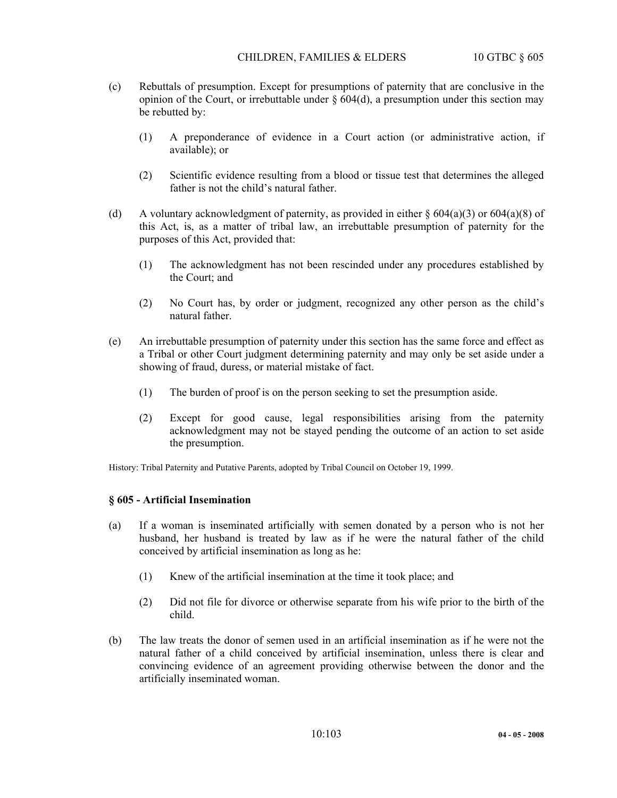- (c) Rebuttals of presumption. Except for presumptions of paternity that are conclusive in the opinion of the Court, or irrebuttable under  $\S 604(d)$ , a presumption under this section may be rebutted by:
	- (1) A preponderance of evidence in a Court action (or administrative action, if available); or
	- (2) Scientific evidence resulting from a blood or tissue test that determines the alleged father is not the child's natural father.
- (d) A voluntary acknowledgment of paternity, as provided in either  $\S 604(a)(3)$  or  $604(a)(8)$  of this Act, is, as a matter of tribal law, an irrebuttable presumption of paternity for the purposes of this Act, provided that:
	- (1) The acknowledgment has not been rescinded under any procedures established by the Court; and
	- (2) No Court has, by order or judgment, recognized any other person as the child's natural father.
- (e) An irrebuttable presumption of paternity under this section has the same force and effect as a Tribal or other Court judgment determining paternity and may only be set aside under a showing of fraud, duress, or material mistake of fact.
	- (1) The burden of proof is on the person seeking to set the presumption aside.
	- (2) Except for good cause, legal responsibilities arising from the paternity acknowledgment may not be stayed pending the outcome of an action to set aside the presumption.

History: Tribal Paternity and Putative Parents, adopted by Tribal Council on October 19, 1999.

## **§ 605 - Artificial Insemination**

- (a) If a woman is inseminated artificially with semen donated by a person who is not her husband, her husband is treated by law as if he were the natural father of the child conceived by artificial insemination as long as he:
	- (1) Knew of the artificial insemination at the time it took place; and
	- (2) Did not file for divorce or otherwise separate from his wife prior to the birth of the child.
- (b) The law treats the donor of semen used in an artificial insemination as if he were not the natural father of a child conceived by artificial insemination, unless there is clear and convincing evidence of an agreement providing otherwise between the donor and the artificially inseminated woman.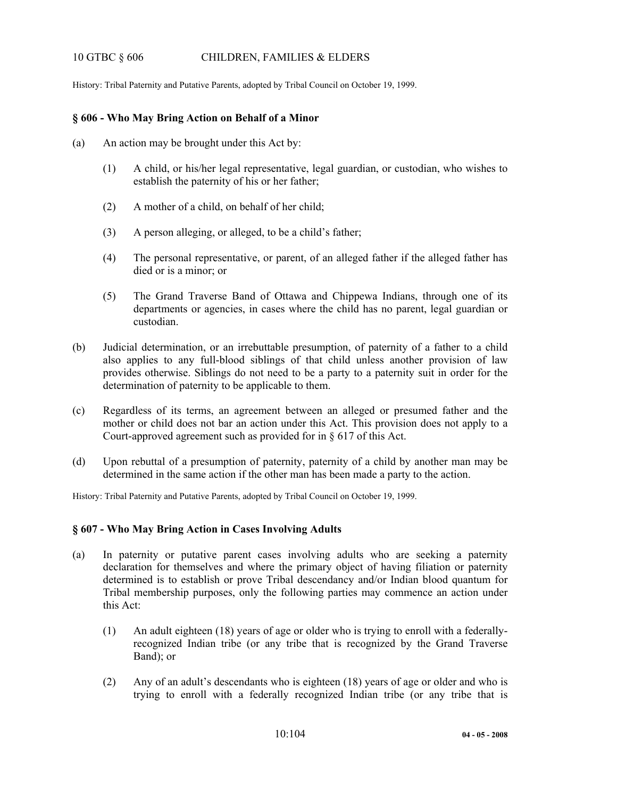# 10 GTBC § 606 CHILDREN, FAMILIES & ELDERS

History: Tribal Paternity and Putative Parents, adopted by Tribal Council on October 19, 1999.

## **§ 606 - Who May Bring Action on Behalf of a Minor**

- (a) An action may be brought under this Act by:
	- (1) A child, or his/her legal representative, legal guardian, or custodian, who wishes to establish the paternity of his or her father;
	- (2) A mother of a child, on behalf of her child;
	- (3) A person alleging, or alleged, to be a child's father;
	- (4) The personal representative, or parent, of an alleged father if the alleged father has died or is a minor; or
	- (5) The Grand Traverse Band of Ottawa and Chippewa Indians, through one of its departments or agencies, in cases where the child has no parent, legal guardian or custodian.
- (b) Judicial determination, or an irrebuttable presumption, of paternity of a father to a child also applies to any full-blood siblings of that child unless another provision of law provides otherwise. Siblings do not need to be a party to a paternity suit in order for the determination of paternity to be applicable to them.
- (c) Regardless of its terms, an agreement between an alleged or presumed father and the mother or child does not bar an action under this Act. This provision does not apply to a Court-approved agreement such as provided for in § 617 of this Act.
- (d) Upon rebuttal of a presumption of paternity, paternity of a child by another man may be determined in the same action if the other man has been made a party to the action.

History: Tribal Paternity and Putative Parents, adopted by Tribal Council on October 19, 1999.

# **§ 607 - Who May Bring Action in Cases Involving Adults**

- (a) In paternity or putative parent cases involving adults who are seeking a paternity declaration for themselves and where the primary object of having filiation or paternity determined is to establish or prove Tribal descendancy and/or Indian blood quantum for Tribal membership purposes, only the following parties may commence an action under this Act:
	- (1) An adult eighteen (18) years of age or older who is trying to enroll with a federallyrecognized Indian tribe (or any tribe that is recognized by the Grand Traverse Band); or
	- (2) Any of an adult's descendants who is eighteen (18) years of age or older and who is trying to enroll with a federally recognized Indian tribe (or any tribe that is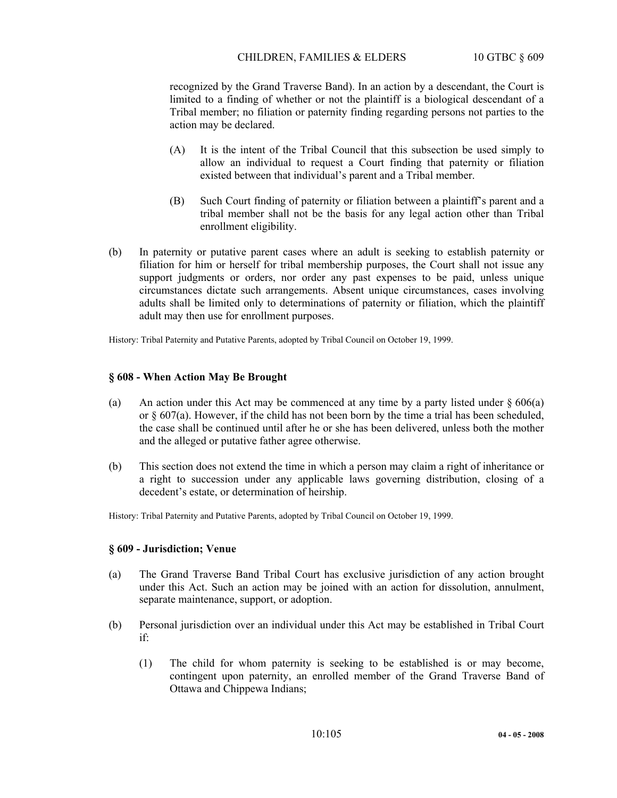recognized by the Grand Traverse Band). In an action by a descendant, the Court is limited to a finding of whether or not the plaintiff is a biological descendant of a Tribal member; no filiation or paternity finding regarding persons not parties to the action may be declared.

- (A) It is the intent of the Tribal Council that this subsection be used simply to allow an individual to request a Court finding that paternity or filiation existed between that individual's parent and a Tribal member.
- (B) Such Court finding of paternity or filiation between a plaintiff's parent and a tribal member shall not be the basis for any legal action other than Tribal enrollment eligibility.
- (b) In paternity or putative parent cases where an adult is seeking to establish paternity or filiation for him or herself for tribal membership purposes, the Court shall not issue any support judgments or orders, nor order any past expenses to be paid, unless unique circumstances dictate such arrangements. Absent unique circumstances, cases involving adults shall be limited only to determinations of paternity or filiation, which the plaintiff adult may then use for enrollment purposes.

History: Tribal Paternity and Putative Parents, adopted by Tribal Council on October 19, 1999.

## **§ 608 - When Action May Be Brought**

- (a) An action under this Act may be commenced at any time by a party listed under § 606(a) or § 607(a). However, if the child has not been born by the time a trial has been scheduled, the case shall be continued until after he or she has been delivered, unless both the mother and the alleged or putative father agree otherwise.
- (b) This section does not extend the time in which a person may claim a right of inheritance or a right to succession under any applicable laws governing distribution, closing of a decedent's estate, or determination of heirship.

History: Tribal Paternity and Putative Parents, adopted by Tribal Council on October 19, 1999.

#### **§ 609 - Jurisdiction; Venue**

- (a) The Grand Traverse Band Tribal Court has exclusive jurisdiction of any action brought under this Act. Such an action may be joined with an action for dissolution, annulment, separate maintenance, support, or adoption.
- (b) Personal jurisdiction over an individual under this Act may be established in Tribal Court if:
	- (1) The child for whom paternity is seeking to be established is or may become, contingent upon paternity, an enrolled member of the Grand Traverse Band of Ottawa and Chippewa Indians;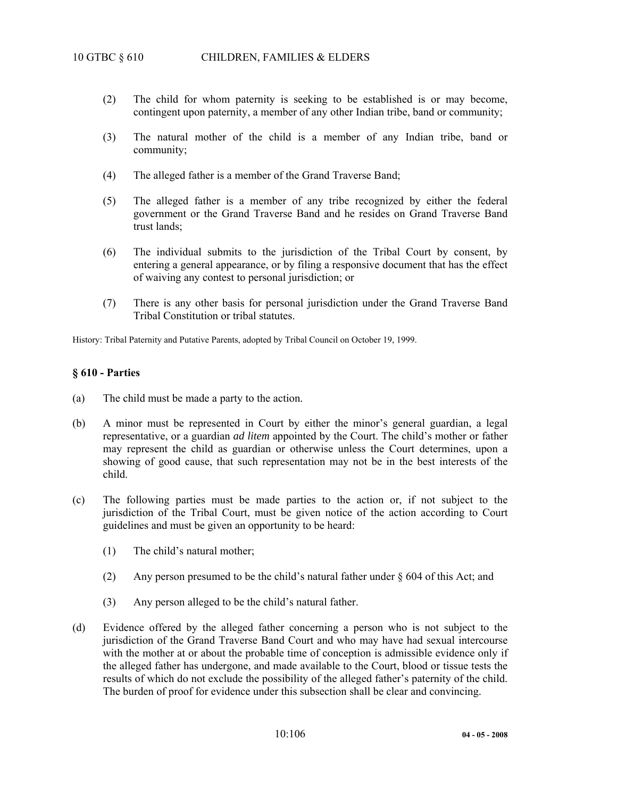- (2) The child for whom paternity is seeking to be established is or may become, contingent upon paternity, a member of any other Indian tribe, band or community;
- (3) The natural mother of the child is a member of any Indian tribe, band or community;
- (4) The alleged father is a member of the Grand Traverse Band;
- (5) The alleged father is a member of any tribe recognized by either the federal government or the Grand Traverse Band and he resides on Grand Traverse Band trust lands;
- (6) The individual submits to the jurisdiction of the Tribal Court by consent, by entering a general appearance, or by filing a responsive document that has the effect of waiving any contest to personal jurisdiction; or
- (7) There is any other basis for personal jurisdiction under the Grand Traverse Band Tribal Constitution or tribal statutes.

History: Tribal Paternity and Putative Parents, adopted by Tribal Council on October 19, 1999.

#### **§ 610 - Parties**

- (a) The child must be made a party to the action.
- (b) A minor must be represented in Court by either the minor's general guardian, a legal representative, or a guardian *ad litem* appointed by the Court. The child's mother or father may represent the child as guardian or otherwise unless the Court determines, upon a showing of good cause, that such representation may not be in the best interests of the child.
- (c) The following parties must be made parties to the action or, if not subject to the jurisdiction of the Tribal Court, must be given notice of the action according to Court guidelines and must be given an opportunity to be heard:
	- (1) The child's natural mother;
	- (2) Any person presumed to be the child's natural father under  $\S$  604 of this Act; and
	- (3) Any person alleged to be the child's natural father.
- (d) Evidence offered by the alleged father concerning a person who is not subject to the jurisdiction of the Grand Traverse Band Court and who may have had sexual intercourse with the mother at or about the probable time of conception is admissible evidence only if the alleged father has undergone, and made available to the Court, blood or tissue tests the results of which do not exclude the possibility of the alleged father's paternity of the child. The burden of proof for evidence under this subsection shall be clear and convincing.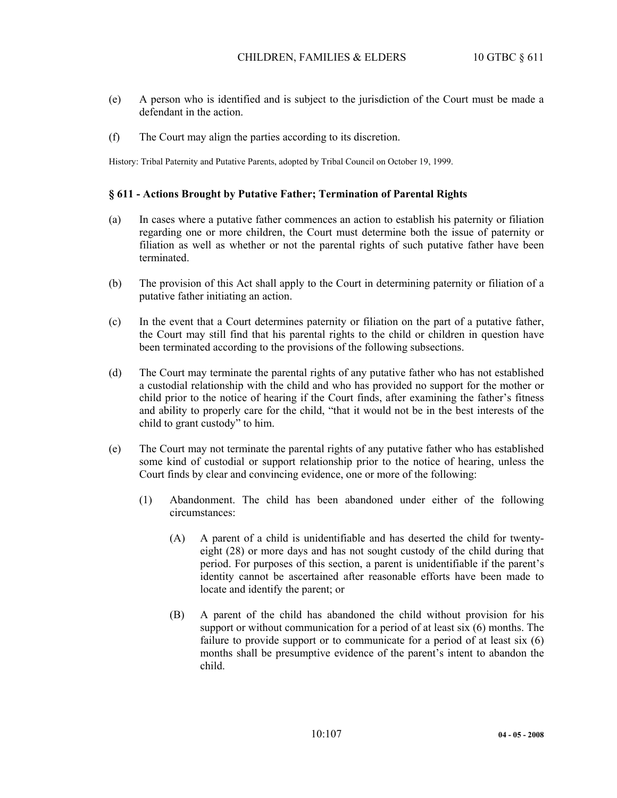- (e) A person who is identified and is subject to the jurisdiction of the Court must be made a defendant in the action.
- (f) The Court may align the parties according to its discretion.

History: Tribal Paternity and Putative Parents, adopted by Tribal Council on October 19, 1999.

#### **§ 611 - Actions Brought by Putative Father; Termination of Parental Rights**

- (a) In cases where a putative father commences an action to establish his paternity or filiation regarding one or more children, the Court must determine both the issue of paternity or filiation as well as whether or not the parental rights of such putative father have been terminated.
- (b) The provision of this Act shall apply to the Court in determining paternity or filiation of a putative father initiating an action.
- (c) In the event that a Court determines paternity or filiation on the part of a putative father, the Court may still find that his parental rights to the child or children in question have been terminated according to the provisions of the following subsections.
- (d) The Court may terminate the parental rights of any putative father who has not established a custodial relationship with the child and who has provided no support for the mother or child prior to the notice of hearing if the Court finds, after examining the father's fitness and ability to properly care for the child, "that it would not be in the best interests of the child to grant custody" to him.
- (e) The Court may not terminate the parental rights of any putative father who has established some kind of custodial or support relationship prior to the notice of hearing, unless the Court finds by clear and convincing evidence, one or more of the following:
	- (1) Abandonment. The child has been abandoned under either of the following circumstances:
		- (A) A parent of a child is unidentifiable and has deserted the child for twentyeight (28) or more days and has not sought custody of the child during that period. For purposes of this section, a parent is unidentifiable if the parent's identity cannot be ascertained after reasonable efforts have been made to locate and identify the parent; or
		- (B) A parent of the child has abandoned the child without provision for his support or without communication for a period of at least six (6) months. The failure to provide support or to communicate for a period of at least six (6) months shall be presumptive evidence of the parent's intent to abandon the child.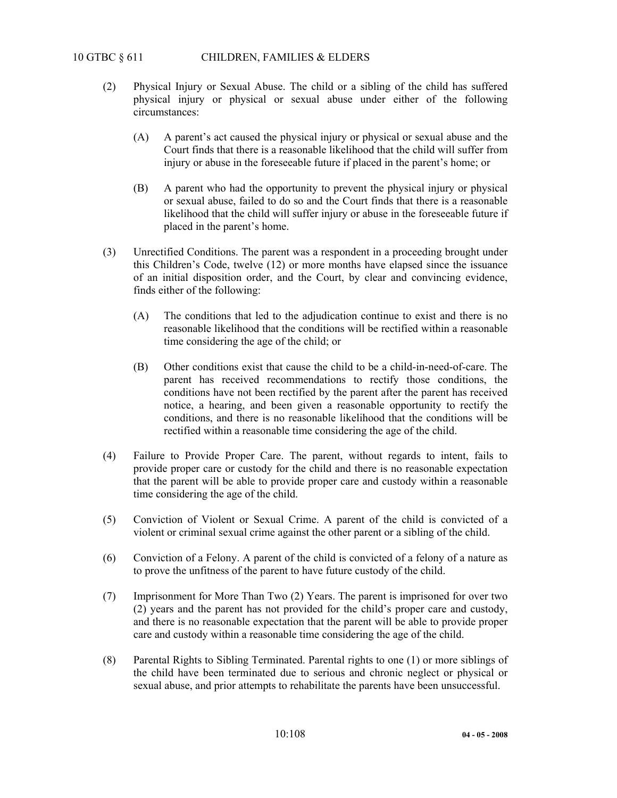- (2) Physical Injury or Sexual Abuse. The child or a sibling of the child has suffered physical injury or physical or sexual abuse under either of the following circumstances:
	- (A) A parent's act caused the physical injury or physical or sexual abuse and the Court finds that there is a reasonable likelihood that the child will suffer from injury or abuse in the foreseeable future if placed in the parent's home; or
	- (B) A parent who had the opportunity to prevent the physical injury or physical or sexual abuse, failed to do so and the Court finds that there is a reasonable likelihood that the child will suffer injury or abuse in the foreseeable future if placed in the parent's home.
- (3) Unrectified Conditions. The parent was a respondent in a proceeding brought under this Children's Code, twelve (12) or more months have elapsed since the issuance of an initial disposition order, and the Court, by clear and convincing evidence, finds either of the following:
	- (A) The conditions that led to the adjudication continue to exist and there is no reasonable likelihood that the conditions will be rectified within a reasonable time considering the age of the child; or
	- (B) Other conditions exist that cause the child to be a child-in-need-of-care. The parent has received recommendations to rectify those conditions, the conditions have not been rectified by the parent after the parent has received notice, a hearing, and been given a reasonable opportunity to rectify the conditions, and there is no reasonable likelihood that the conditions will be rectified within a reasonable time considering the age of the child.
- (4) Failure to Provide Proper Care. The parent, without regards to intent, fails to provide proper care or custody for the child and there is no reasonable expectation that the parent will be able to provide proper care and custody within a reasonable time considering the age of the child.
- (5) Conviction of Violent or Sexual Crime. A parent of the child is convicted of a violent or criminal sexual crime against the other parent or a sibling of the child.
- (6) Conviction of a Felony. A parent of the child is convicted of a felony of a nature as to prove the unfitness of the parent to have future custody of the child.
- (7) Imprisonment for More Than Two (2) Years. The parent is imprisoned for over two (2) years and the parent has not provided for the child's proper care and custody, and there is no reasonable expectation that the parent will be able to provide proper care and custody within a reasonable time considering the age of the child.
- (8) Parental Rights to Sibling Terminated. Parental rights to one (1) or more siblings of the child have been terminated due to serious and chronic neglect or physical or sexual abuse, and prior attempts to rehabilitate the parents have been unsuccessful.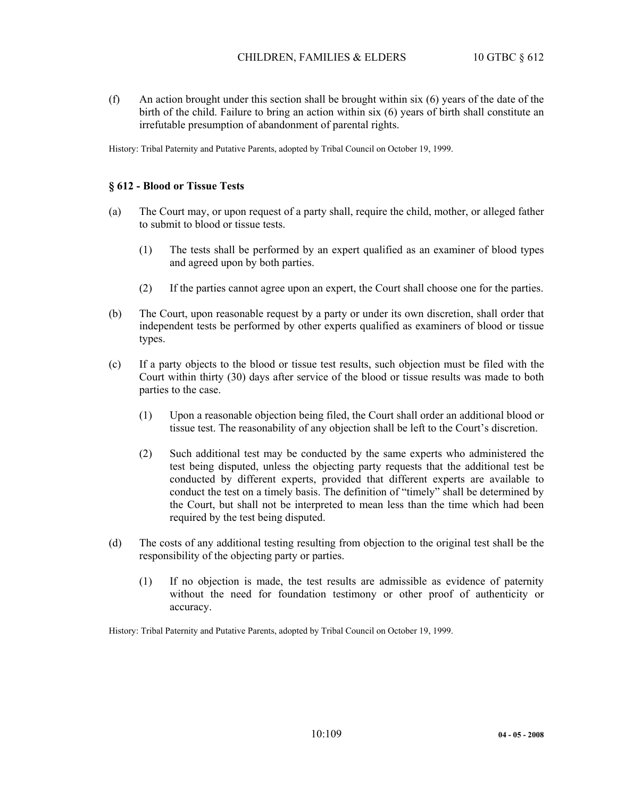(f) An action brought under this section shall be brought within six (6) years of the date of the birth of the child. Failure to bring an action within six (6) years of birth shall constitute an irrefutable presumption of abandonment of parental rights.

History: Tribal Paternity and Putative Parents, adopted by Tribal Council on October 19, 1999.

## **§ 612 - Blood or Tissue Tests**

- (a) The Court may, or upon request of a party shall, require the child, mother, or alleged father to submit to blood or tissue tests.
	- (1) The tests shall be performed by an expert qualified as an examiner of blood types and agreed upon by both parties.
	- (2) If the parties cannot agree upon an expert, the Court shall choose one for the parties.
- (b) The Court, upon reasonable request by a party or under its own discretion, shall order that independent tests be performed by other experts qualified as examiners of blood or tissue types.
- (c) If a party objects to the blood or tissue test results, such objection must be filed with the Court within thirty (30) days after service of the blood or tissue results was made to both parties to the case.
	- (1) Upon a reasonable objection being filed, the Court shall order an additional blood or tissue test. The reasonability of any objection shall be left to the Court's discretion.
	- (2) Such additional test may be conducted by the same experts who administered the test being disputed, unless the objecting party requests that the additional test be conducted by different experts, provided that different experts are available to conduct the test on a timely basis. The definition of "timely" shall be determined by the Court, but shall not be interpreted to mean less than the time which had been required by the test being disputed.
- (d) The costs of any additional testing resulting from objection to the original test shall be the responsibility of the objecting party or parties.
	- (1) If no objection is made, the test results are admissible as evidence of paternity without the need for foundation testimony or other proof of authenticity or accuracy.

History: Tribal Paternity and Putative Parents, adopted by Tribal Council on October 19, 1999.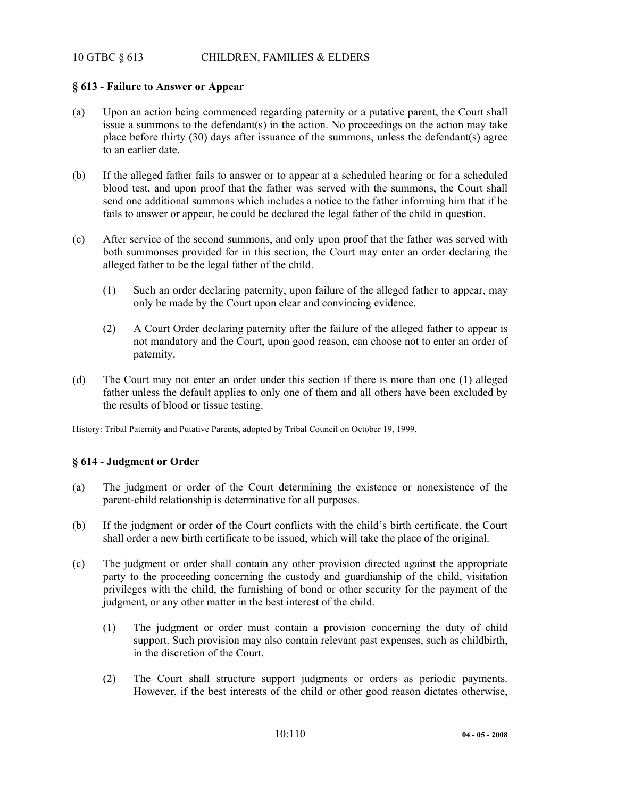# 10 GTBC § 613 CHILDREN, FAMILIES & ELDERS

## **§ 613 - Failure to Answer or Appear**

- (a) Upon an action being commenced regarding paternity or a putative parent, the Court shall issue a summons to the defendant(s) in the action. No proceedings on the action may take place before thirty (30) days after issuance of the summons, unless the defendant(s) agree to an earlier date.
- (b) If the alleged father fails to answer or to appear at a scheduled hearing or for a scheduled blood test, and upon proof that the father was served with the summons, the Court shall send one additional summons which includes a notice to the father informing him that if he fails to answer or appear, he could be declared the legal father of the child in question.
- (c) After service of the second summons, and only upon proof that the father was served with both summonses provided for in this section, the Court may enter an order declaring the alleged father to be the legal father of the child.
	- (1) Such an order declaring paternity, upon failure of the alleged father to appear, may only be made by the Court upon clear and convincing evidence.
	- (2) A Court Order declaring paternity after the failure of the alleged father to appear is not mandatory and the Court, upon good reason, can choose not to enter an order of paternity.
- (d) The Court may not enter an order under this section if there is more than one (1) alleged father unless the default applies to only one of them and all others have been excluded by the results of blood or tissue testing.

History: Tribal Paternity and Putative Parents, adopted by Tribal Council on October 19, 1999.

## **§ 614 - Judgment or Order**

- (a) The judgment or order of the Court determining the existence or nonexistence of the parent-child relationship is determinative for all purposes.
- (b) If the judgment or order of the Court conflicts with the child's birth certificate, the Court shall order a new birth certificate to be issued, which will take the place of the original.
- (c) The judgment or order shall contain any other provision directed against the appropriate party to the proceeding concerning the custody and guardianship of the child, visitation privileges with the child, the furnishing of bond or other security for the payment of the judgment, or any other matter in the best interest of the child.
	- (1) The judgment or order must contain a provision concerning the duty of child support. Such provision may also contain relevant past expenses, such as childbirth, in the discretion of the Court.
	- (2) The Court shall structure support judgments or orders as periodic payments. However, if the best interests of the child or other good reason dictates otherwise,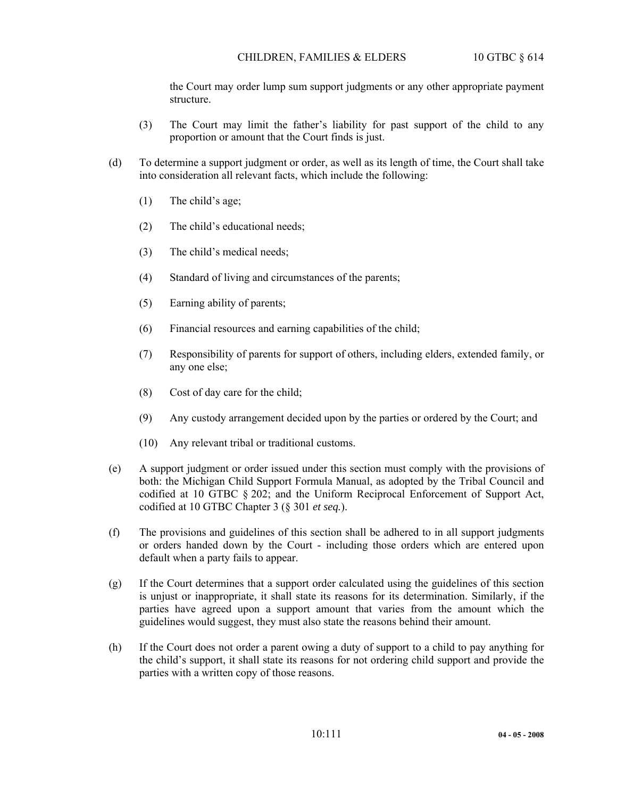the Court may order lump sum support judgments or any other appropriate payment structure.

- (3) The Court may limit the father's liability for past support of the child to any proportion or amount that the Court finds is just.
- (d) To determine a support judgment or order, as well as its length of time, the Court shall take into consideration all relevant facts, which include the following:
	- (1) The child's age;
	- (2) The child's educational needs;
	- (3) The child's medical needs;
	- (4) Standard of living and circumstances of the parents;
	- (5) Earning ability of parents;
	- (6) Financial resources and earning capabilities of the child;
	- (7) Responsibility of parents for support of others, including elders, extended family, or any one else;
	- (8) Cost of day care for the child;
	- (9) Any custody arrangement decided upon by the parties or ordered by the Court; and
	- (10) Any relevant tribal or traditional customs.
- (e) A support judgment or order issued under this section must comply with the provisions of both: the Michigan Child Support Formula Manual, as adopted by the Tribal Council and codified at 10 GTBC § 202; and the Uniform Reciprocal Enforcement of Support Act, codified at 10 GTBC Chapter 3 (§ 301 *et seq.*).
- (f) The provisions and guidelines of this section shall be adhered to in all support judgments or orders handed down by the Court - including those orders which are entered upon default when a party fails to appear.
- (g) If the Court determines that a support order calculated using the guidelines of this section is unjust or inappropriate, it shall state its reasons for its determination. Similarly, if the parties have agreed upon a support amount that varies from the amount which the guidelines would suggest, they must also state the reasons behind their amount.
- (h) If the Court does not order a parent owing a duty of support to a child to pay anything for the child's support, it shall state its reasons for not ordering child support and provide the parties with a written copy of those reasons.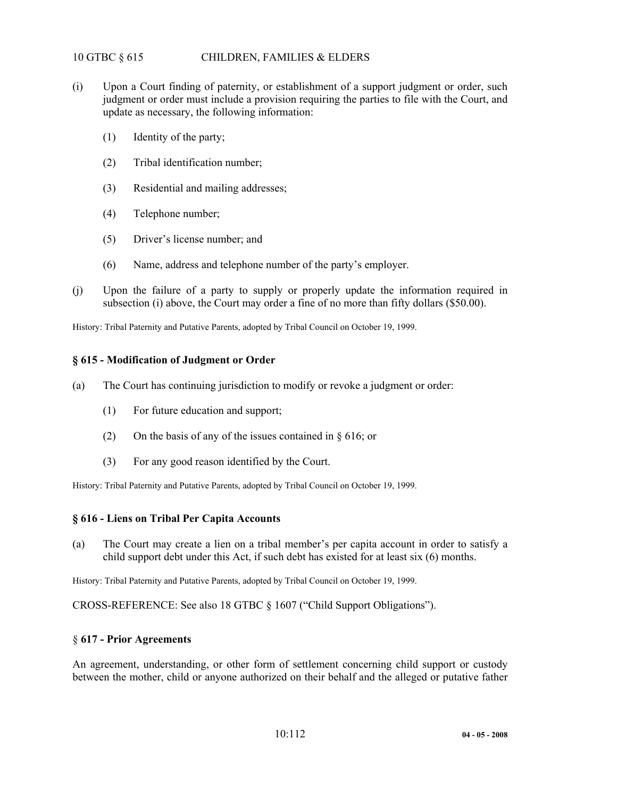# 10 GTBC § 615 CHILDREN, FAMILIES & ELDERS

- (i) Upon a Court finding of paternity, or establishment of a support judgment or order, such judgment or order must include a provision requiring the parties to file with the Court, and update as necessary, the following information:
	- (1) Identity of the party;
	- (2) Tribal identification number;
	- (3) Residential and mailing addresses;
	- (4) Telephone number;
	- (5) Driver's license number; and
	- (6) Name, address and telephone number of the party's employer.
- (j) Upon the failure of a party to supply or properly update the information required in subsection (i) above, the Court may order a fine of no more than fifty dollars (\$50.00).

History: Tribal Paternity and Putative Parents, adopted by Tribal Council on October 19, 1999.

# **§ 615 - Modification of Judgment or Order**

- (a) The Court has continuing jurisdiction to modify or revoke a judgment or order:
	- (1) For future education and support;
	- (2) On the basis of any of the issues contained in § 616; or
	- (3) For any good reason identified by the Court.

History: Tribal Paternity and Putative Parents, adopted by Tribal Council on October 19, 1999.

# **§ 616 - Liens on Tribal Per Capita Accounts**

(a) The Court may create a lien on a tribal member's per capita account in order to satisfy a child support debt under this Act, if such debt has existed for at least six (6) months.

History: Tribal Paternity and Putative Parents, adopted by Tribal Council on October 19, 1999.

CROSS-REFERENCE: See also 18 GTBC § 1607 ("Child Support Obligations").

#### § **617 - Prior Agreements**

An agreement, understanding, or other form of settlement concerning child support or custody between the mother, child or anyone authorized on their behalf and the alleged or putative father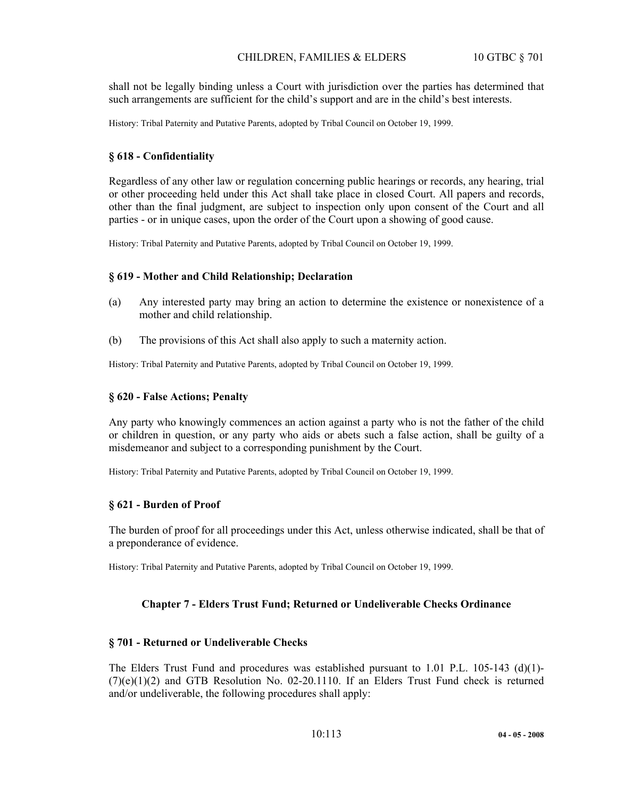shall not be legally binding unless a Court with jurisdiction over the parties has determined that such arrangements are sufficient for the child's support and are in the child's best interests.

History: Tribal Paternity and Putative Parents, adopted by Tribal Council on October 19, 1999.

## **§ 618 - Confidentiality**

Regardless of any other law or regulation concerning public hearings or records, any hearing, trial or other proceeding held under this Act shall take place in closed Court. All papers and records, other than the final judgment, are subject to inspection only upon consent of the Court and all parties - or in unique cases, upon the order of the Court upon a showing of good cause.

History: Tribal Paternity and Putative Parents, adopted by Tribal Council on October 19, 1999.

## **§ 619 - Mother and Child Relationship; Declaration**

- (a) Any interested party may bring an action to determine the existence or nonexistence of a mother and child relationship.
- (b) The provisions of this Act shall also apply to such a maternity action.

History: Tribal Paternity and Putative Parents, adopted by Tribal Council on October 19, 1999.

## **§ 620 - False Actions; Penalty**

Any party who knowingly commences an action against a party who is not the father of the child or children in question, or any party who aids or abets such a false action, shall be guilty of a misdemeanor and subject to a corresponding punishment by the Court.

History: Tribal Paternity and Putative Parents, adopted by Tribal Council on October 19, 1999.

#### **§ 621 - Burden of Proof**

The burden of proof for all proceedings under this Act, unless otherwise indicated, shall be that of a preponderance of evidence.

History: Tribal Paternity and Putative Parents, adopted by Tribal Council on October 19, 1999.

# **Chapter 7 - Elders Trust Fund; Returned or Undeliverable Checks Ordinance**

#### **§ 701 - Returned or Undeliverable Checks**

The Elders Trust Fund and procedures was established pursuant to 1.01 P.L. 105-143 (d)(1)- (7)(e)(1)(2) and GTB Resolution No. 02-20.1110. If an Elders Trust Fund check is returned and/or undeliverable, the following procedures shall apply: